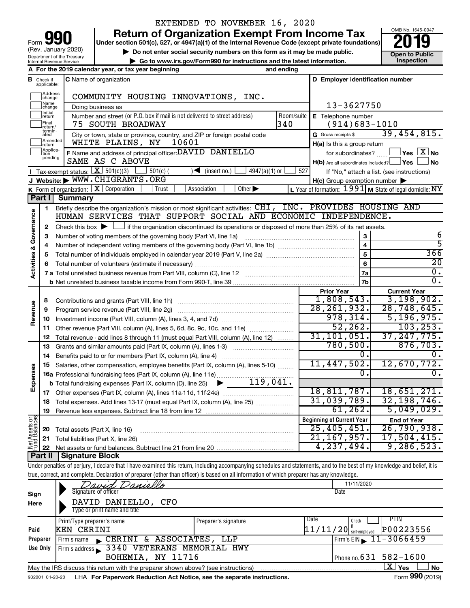| 190<br>Form                                            |
|--------------------------------------------------------|
| (Rev. January 2020)                                    |
| Department of the Treasury<br>Internal Revenue Service |

## EXTENDED TO NOVEMBER 16, 2020

**your Section 501(c), 527, or 4947(a)(1) of the Internal Revenue Code (except private foundations) 2019** 

▶ Do not enter social security numbers on this form as it may be made public. **Open to Public**<br>► Go to www.irs.gov/Form990 for instructions and the latest information. Inspection **| Go to www.irs.gov/Form990 for instructions and the latest information. Inspection**

OMB No. 1545-0047

|                                                                                                                                                             |                                                                                    | A For the 2019 calendar year, or tax year beginning                                                                                                                        | and ending    |                                                     |                                                                       |  |  |
|-------------------------------------------------------------------------------------------------------------------------------------------------------------|------------------------------------------------------------------------------------|----------------------------------------------------------------------------------------------------------------------------------------------------------------------------|---------------|-----------------------------------------------------|-----------------------------------------------------------------------|--|--|
|                                                                                                                                                             | <b>B</b> Check if applicable:                                                      | C Name of organization                                                                                                                                                     |               | D Employer identification number                    |                                                                       |  |  |
|                                                                                                                                                             | Address<br> change                                                                 | COMMUNITY HOUSING INNOVATIONS, INC.                                                                                                                                        |               |                                                     |                                                                       |  |  |
|                                                                                                                                                             | Name<br>change                                                                     | Doing business as                                                                                                                                                          |               | 13-3627750                                          |                                                                       |  |  |
|                                                                                                                                                             | Initial<br>return                                                                  | Number and street (or P.O. box if mail is not delivered to street address)                                                                                                 | Room/suite    | E Telephone number                                  |                                                                       |  |  |
|                                                                                                                                                             | Final<br>return/                                                                   | 75 SOUTH BROADWAY                                                                                                                                                          | 340           | $(914)683 - 1010$                                   |                                                                       |  |  |
|                                                                                                                                                             | termin-<br>ated                                                                    | City or town, state or province, country, and ZIP or foreign postal code                                                                                                   |               | G Gross receipts \$                                 | 39,454,815.                                                           |  |  |
|                                                                                                                                                             |                                                                                    | WHITE PLAINS, NY<br>10601                                                                                                                                                  |               | H(a) Is this a group return                         |                                                                       |  |  |
|                                                                                                                                                             |                                                                                    | F Name and address of principal officer: DAVID DANIELLO                                                                                                                    |               | for subordinates?                                   | $\mathsf{\lvert}$ Yes $\mathsf{\lvert} \mathsf{X} \mathsf{\lvert}$ No |  |  |
|                                                                                                                                                             |                                                                                    | SAME AS C ABOVE                                                                                                                                                            |               | H(b) Are all subordinates included? Ves             | J No                                                                  |  |  |
|                                                                                                                                                             |                                                                                    | Tax-exempt status: $X \over 301(c)(3)$<br>$501(c)$ (<br>$\sqrt{\frac{1}{1}}$ (insert no.)<br>4947(a)(1) or                                                                 | 527           |                                                     | If "No," attach a list. (see instructions)                            |  |  |
|                                                                                                                                                             |                                                                                    | J Website: WWW.CHIGRANTS.ORG<br>Association<br>Other $\blacktriangleright$                                                                                                 |               | $H(c)$ Group exemption number $\blacktriangleright$ |                                                                       |  |  |
|                                                                                                                                                             |                                                                                    | K Form of organization: X Corporation<br>Trust<br><b>Summary</b>                                                                                                           |               |                                                     | L Year of formation: $1991$ M State of legal domicile: NY             |  |  |
|                                                                                                                                                             |                                                                                    | Briefly describe the organization's mission or most significant activities: CHI, INC. PROVIDES HOUSING AND                                                                 |               |                                                     |                                                                       |  |  |
|                                                                                                                                                             |                                                                                    | HUMAN SERVICES THAT SUPPORT SOCIAL AND ECONOMIC INDEPENDENCE.                                                                                                              |               |                                                     |                                                                       |  |  |
|                                                                                                                                                             |                                                                                    | Check this box $\blacktriangleright$ $\Box$ if the organization discontinued its operations or disposed of more than 25% of its net assets.                                |               |                                                     |                                                                       |  |  |
|                                                                                                                                                             |                                                                                    |                                                                                                                                                                            |               | 3                                                   | 6                                                                     |  |  |
|                                                                                                                                                             |                                                                                    |                                                                                                                                                                            |               | $\overline{\mathbf{4}}$                             | $\overline{5}$                                                        |  |  |
|                                                                                                                                                             |                                                                                    |                                                                                                                                                                            |               | 5                                                   | 366                                                                   |  |  |
|                                                                                                                                                             | 6                                                                                  |                                                                                                                                                                            |               | 6                                                   | 20                                                                    |  |  |
|                                                                                                                                                             |                                                                                    |                                                                                                                                                                            |               | 7a                                                  | 0.                                                                    |  |  |
|                                                                                                                                                             |                                                                                    |                                                                                                                                                                            |               | 7b                                                  | $\overline{0}$ .                                                      |  |  |
|                                                                                                                                                             |                                                                                    |                                                                                                                                                                            |               | <b>Prior Year</b>                                   | <b>Current Year</b>                                                   |  |  |
|                                                                                                                                                             | 8                                                                                  |                                                                                                                                                                            |               | 1,808,543.                                          | 3,198,902.                                                            |  |  |
| <b>Activities &amp;</b><br>Revenue                                                                                                                          | 9                                                                                  | Program service revenue (Part VIII, line 2g)                                                                                                                               |               | 28, 261, 932.                                       | 28,748,645.                                                           |  |  |
|                                                                                                                                                             | 10                                                                                 |                                                                                                                                                                            |               | 978, 314.                                           | 5, 196, 975.                                                          |  |  |
|                                                                                                                                                             | 11                                                                                 | Other revenue (Part VIII, column (A), lines 5, 6d, 8c, 9c, 10c, and 11e)                                                                                                   |               | 52, 262.                                            | 103, 253.                                                             |  |  |
| Amended<br>Ireturn<br>Applica-<br>Ition<br>pending<br><b>Part II</b><br>1<br>Governance<br>2<br>з<br>4<br>5<br>12<br>13<br>14<br>15<br>Expenses<br>17<br>19 | Total revenue - add lines 8 through 11 (must equal Part VIII, column (A), line 12) |                                                                                                                                                                            | 31, 101, 051. | 37, 247, 775.                                       |                                                                       |  |  |
|                                                                                                                                                             |                                                                                    | Grants and similar amounts paid (Part IX, column (A), lines 1-3)                                                                                                           |               | 780,500.                                            | 876, 703.                                                             |  |  |
|                                                                                                                                                             |                                                                                    |                                                                                                                                                                            |               | 0.<br>11,447,502.                                   |                                                                       |  |  |
|                                                                                                                                                             |                                                                                    | Salaries, other compensation, employee benefits (Part IX, column (A), lines 5-10)                                                                                          |               | 0.                                                  | 12,670,772.<br>0.                                                     |  |  |
|                                                                                                                                                             |                                                                                    | 16a Professional fundraising fees (Part IX, column (A), line 11e)                                                                                                          |               |                                                     |                                                                       |  |  |
|                                                                                                                                                             |                                                                                    | <b>b</b> Total fundraising expenses (Part IX, column (D), line 25) $\rightarrow$ ______119, 041.                                                                           |               |                                                     | $18,811,787.$ 18,651,271.                                             |  |  |
|                                                                                                                                                             |                                                                                    | 18 Total expenses. Add lines 13-17 (must equal Part IX, column (A), line 25)                                                                                               |               | 31,039,789.                                         | 32, 198, 746.                                                         |  |  |
|                                                                                                                                                             |                                                                                    |                                                                                                                                                                            |               | 61, 262.                                            | 5,049,029.                                                            |  |  |
|                                                                                                                                                             |                                                                                    |                                                                                                                                                                            |               | <b>Beginning of Current Year</b>                    | <b>End of Year</b>                                                    |  |  |
| Net Assets or                                                                                                                                               | 20                                                                                 | Total assets (Part X, line 16)                                                                                                                                             |               | 25,405,451.                                         | 26,790,938.                                                           |  |  |
|                                                                                                                                                             | 21                                                                                 | Total liabilities (Part X, line 26)                                                                                                                                        |               | 21, 167, 957.                                       | 17,504,415.                                                           |  |  |
|                                                                                                                                                             | 22                                                                                 |                                                                                                                                                                            |               | 4,237,494.                                          | 9, 286, 523.                                                          |  |  |
|                                                                                                                                                             | Part II                                                                            | <b>Signature Block</b>                                                                                                                                                     |               |                                                     |                                                                       |  |  |
|                                                                                                                                                             |                                                                                    | Under penalties of perjury, I declare that I have examined this return, including accompanying schedules and statements, and to the best of my knowledge and belief, it is |               |                                                     |                                                                       |  |  |
|                                                                                                                                                             |                                                                                    | true, correct, and complete. Declaration of preparer (other than officer) is based on all information of which preparer has any knowledge.                                 |               |                                                     |                                                                       |  |  |
|                                                                                                                                                             |                                                                                    | Daniello<br>7111                                                                                                                                                           |               | 11/11/2020                                          |                                                                       |  |  |
| Sign                                                                                                                                                        |                                                                                    | Signature of officer                                                                                                                                                       |               | Date                                                |                                                                       |  |  |
| Here                                                                                                                                                        |                                                                                    | DAVID DANIELLO, CFO                                                                                                                                                        |               |                                                     |                                                                       |  |  |

|                 | Type or print name and title                                                      |                      |      |       |                                            |
|-----------------|-----------------------------------------------------------------------------------|----------------------|------|-------|--------------------------------------------|
|                 | Print/Type preparer's name                                                        | Preparer's signature | Date | Check | PIIN                                       |
| Paid            | <b>KEN CERINI</b>                                                                 |                      |      |       | $11/11/20$ self-employed $P00223556$       |
| Preparer        | CERINI & ASSOCIATES, LLP<br>Firm's name                                           |                      |      |       | $I$ Firm's EIN $\triangleright$ 11-3066459 |
| Use Only        | Firm's address 3340 VETERANS MEMORIAL HWY                                         |                      |      |       |                                            |
|                 | BOHEMIA, NY 11716                                                                 |                      |      |       | Phone no. 631 $582 - 1600$                 |
|                 | May the IRS discuss this return with the preparer shown above? (see instructions) |                      |      |       | ∟X⊥ Yes<br>No                              |
| 932001 01-20-20 | LHA For Paperwork Reduction Act Notice, see the separate instructions.            |                      |      |       | Form 990 (2019)                            |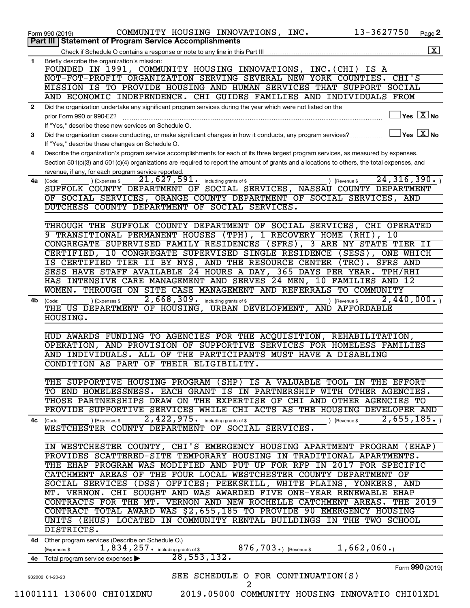|              | 13-3627750<br>COMMUNITY HOUSING INNOVATIONS, INC.<br>Page 2<br>Form 990 (2019)                                                                                                                                                                                                                           |
|--------------|----------------------------------------------------------------------------------------------------------------------------------------------------------------------------------------------------------------------------------------------------------------------------------------------------------|
|              | Part III   Statement of Program Service Accomplishments                                                                                                                                                                                                                                                  |
|              | $\boxed{\textbf{X}}$                                                                                                                                                                                                                                                                                     |
| 1            | Briefly describe the organization's mission:<br>FOUNDED IN 1991, COMMUNITY HOUSING INNOVATIONS, INC. (CHI) IS A<br>NOT-FOT-PROFIT ORGANIZATION SERVING SEVERAL NEW YORK COUNTIES.<br>CHI'S<br>MISSION IS TO PROVIDE HOUSING AND HUMAN SERVICES THAT SUPPORT<br>SOCIAL                                    |
|              | AND ECONOMIC INDEPENDENCE. CHI GUIDES FAMILIES AND INDIVIDUALS FROM                                                                                                                                                                                                                                      |
| $\mathbf{2}$ | Did the organization undertake any significant program services during the year which were not listed on the<br>$\sqrt{\mathsf{Yes}\mathord{\;\mathbb{X}}\mathord{\;\mathsf{No}}}$<br>prior Form 990 or 990-EZ?<br>If "Yes," describe these new services on Schedule O.                                  |
| 3            | $ Y_{ES}   X  $ No<br>Did the organization cease conducting, or make significant changes in how it conducts, any program services?<br>If "Yes," describe these changes on Schedule O.                                                                                                                    |
| 4            | Describe the organization's program service accomplishments for each of its three largest program services, as measured by expenses.<br>Section 501(c)(3) and 501(c)(4) organizations are required to report the amount of grants and allocations to others, the total expenses, and                     |
|              | revenue, if any, for each program service reported.                                                                                                                                                                                                                                                      |
|              | 24, 316, 390.<br>21,627,591.<br>(Expenses \$<br>) (Revenue \$<br>4a (Code:<br>including grants of \$<br>SUFFOLK COUNTY DEPARTMENT OF SOCIAL SERVICES, NASSAU COUNTY DEPARTMENT<br>OF SOCIAL SERVICES, ORANGE COUNTY DEPARTMENT OF SOCIAL SERVICES, AND<br>DUTCHESS COUNTY DEPARTMENT OF SOCIAL SERVICES. |
|              | THROUGH THE SUFFOLK COUNTY DEPARTMENT OF SOCIAL SERVICES, CHI OPERATED                                                                                                                                                                                                                                   |
|              | 9 TRANSITIONAL PERMANENT HOUSES (TPH), 1 RECOVERY HOME<br>10<br>$(RHT)$ ,                                                                                                                                                                                                                                |
|              | CONGREGATE SUPERVISED FAMILY RESIDENCES (SFRS), 3 ARE NY STATE TIER II                                                                                                                                                                                                                                   |
|              | 10 CONGREGATE SUPERVISED SINGLE RESIDENCE<br>$(SESS)$ ,<br><b>ONE WHICH</b><br>CERTIFIED,<br>IS CERTIFIED TIER II BY NYS, AND THE RESOURCE CENTER<br>$(TRC)$ .<br>SFRS AND                                                                                                                               |
|              | SESS HAVE STAFF AVAILABLE 24 HOURS A DAY, 365 DAYS PER YEAR.<br>TPH/RHI                                                                                                                                                                                                                                  |
|              | HAS INTENSIVE CARE MANAGEMENT AND SERVES 24 MEN,<br>10 FAMILIES AND 12                                                                                                                                                                                                                                   |
|              | THROUGH ON SITE CASE MANAGEMENT AND REFERRALS<br>TO COMMUNITY<br>WOMEN.                                                                                                                                                                                                                                  |
|              | 2,668,309. including grants of \$<br>2,440,000.<br>4b (Code:<br>(Revenue \$<br>(Expenses \$                                                                                                                                                                                                              |
|              | THE US DEPARTMENT OF HOUSING, URBAN DEVELOPMENT, AND AFFORDABLE<br>HOUSING.                                                                                                                                                                                                                              |
|              | HUD AWARDS FUNDING TO AGENCIES FOR THE ACQUISITION, REHABILITATION,                                                                                                                                                                                                                                      |
|              | OPERATION, AND PROVISION OF<br>SUPPORTIVE SERVICES FOR HOMELESS FAMILIES                                                                                                                                                                                                                                 |
|              | ALL<br>THE PARTICIPANTS MUST HAVE A DISABLING<br>AND INDIVIDUALS.<br>OF                                                                                                                                                                                                                                  |
|              | CONDITION AS PART OF THEIR ELIGIBILITY.                                                                                                                                                                                                                                                                  |
|              |                                                                                                                                                                                                                                                                                                          |
|              | THE SUPPORTIVE HOUSING PROGRAM (SHP)<br>IS A VALUABLE TOOL IN THE EFFORT                                                                                                                                                                                                                                 |
|              | TO END HOMELESSNESS. EACH GRANT IS<br>IN PARTNERSHIP WITH OTHER AGENCIES.                                                                                                                                                                                                                                |
|              | THOSE PARTNERSHIPS DRAW ON THE EXPERTISE OF CHI AND OTHER AGENCIES TO                                                                                                                                                                                                                                    |
|              | PROVIDE SUPPORTIVE SERVICES WHILE CHI ACTS AS THE HOUSING DEVELOPER AND                                                                                                                                                                                                                                  |
|              | 2,422,975. including grants of \$<br>2,655,185.<br>) (Expenses \$<br>4c (Code:<br>(Revenue \$<br>WESTCHESTER COUNTY DEPARTMENT OF SOCIAL SERVICES.                                                                                                                                                       |
|              | IN WESTCHESTER COUNTY, CHI'S EMERGENCY HOUSING APARTMENT PROGRAM (EHAP)                                                                                                                                                                                                                                  |
|              | PROVIDES SCATTERED-SITE TEMPORARY HOUSING IN TRADITIONAL APARTMENTS.                                                                                                                                                                                                                                     |
|              | THE EHAP PROGRAM WAS MODIFIED AND PUT UP FOR RFP IN<br>FOR SPECIFIC<br>2017                                                                                                                                                                                                                              |
|              | CATCHMENT AREAS OF THE FOUR LOCAL WESTCHESTER COUNTY DEPARTMENT OF                                                                                                                                                                                                                                       |
|              | SOCIAL SERVICES (DSS) OFFICES; PEEKSKILL, WHITE PLAINS, YONKERS, AND                                                                                                                                                                                                                                     |
|              | MT. VERNON. CHI SOUGHT AND WAS AWARDED FIVE ONE-YEAR RENEWABLE EHAP                                                                                                                                                                                                                                      |
|              | CONTRACTS FOR THE MT. VERNON AND NEW ROCHELLE CATCHMENT AREAS. THE 2019                                                                                                                                                                                                                                  |
|              | CONTRACT TOTAL AWARD WAS \$2,655,185 TO PROVIDE 90 EMERGENCY HOUSING<br>UNITS (EHUS) LOCATED IN COMMUNITY RENTAL BUILDINGS IN THE TWO SCHOOL                                                                                                                                                             |
|              | DISTRICTS.                                                                                                                                                                                                                                                                                               |
|              | 4d Other program services (Describe on Schedule O.)<br>876,703. $_0$ (Revenue \$1,662,060.)                                                                                                                                                                                                              |
| 4e           | 1,834,257. including grants of \$<br>(Expenses \$<br>28, 553, 132.<br>Total program service expenses                                                                                                                                                                                                     |
|              | Form 990 (2019)                                                                                                                                                                                                                                                                                          |
|              | SEE SCHEDULE O FOR CONTINUATION(S)<br>932002 01-20-20<br>$\overline{2}$                                                                                                                                                                                                                                  |
|              | 11001111 130600 CHI01XDNU<br>2019.05000 COMMUNITY HOUSING INNOVATIO CHI01XD1                                                                                                                                                                                                                             |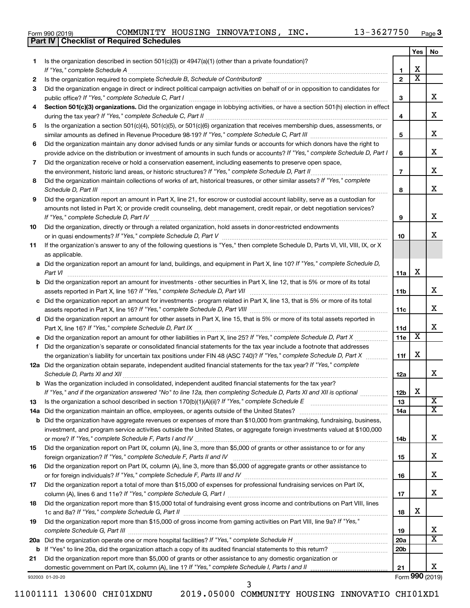|  | Form 990 (2019) |
|--|-----------------|
|  |                 |

**Part IV Checklist of Required Schedules**

Form 990 (2019)  $\,$  COMMUNITY HOUSING INNOVATIONS, INC.  $\,$  13-3627750  $\,$   $_{\rm Page}$ 

|    |                                                                                                                                                                 |                       | Yes                     | No                      |
|----|-----------------------------------------------------------------------------------------------------------------------------------------------------------------|-----------------------|-------------------------|-------------------------|
| 1  | Is the organization described in section $501(c)(3)$ or $4947(a)(1)$ (other than a private foundation)?                                                         |                       |                         |                         |
|    | If "Yes," complete Schedule A                                                                                                                                   | 1                     | х                       |                         |
| 2  | Is the organization required to complete Schedule B, Schedule of Contributors? [11] the organization required to complete Schedule B, Schedule of Contributors? | $\overline{2}$        | $\overline{\textbf{x}}$ |                         |
| 3  | Did the organization engage in direct or indirect political campaign activities on behalf of or in opposition to candidates for                                 |                       |                         |                         |
|    | public office? If "Yes," complete Schedule C, Part I                                                                                                            | 3                     |                         | X                       |
| 4  | Section 501(c)(3) organizations. Did the organization engage in lobbying activities, or have a section 501(h) election in effect                                |                       |                         |                         |
|    |                                                                                                                                                                 | 4                     |                         | X                       |
| 5  | Is the organization a section 501(c)(4), 501(c)(5), or 501(c)(6) organization that receives membership dues, assessments, or                                    |                       |                         | х                       |
|    | Did the organization maintain any donor advised funds or any similar funds or accounts for which donors have the right to                                       | 5                     |                         |                         |
| 6  | provide advice on the distribution or investment of amounts in such funds or accounts? If "Yes," complete Schedule D, Part I                                    | 6                     |                         | X                       |
| 7  | Did the organization receive or hold a conservation easement, including easements to preserve open space,                                                       |                       |                         |                         |
|    |                                                                                                                                                                 | $\overline{7}$        |                         | X                       |
| 8  | Did the organization maintain collections of works of art, historical treasures, or other similar assets? If "Yes," complete                                    |                       |                         |                         |
|    |                                                                                                                                                                 | 8                     |                         | X                       |
| 9  | Did the organization report an amount in Part X, line 21, for escrow or custodial account liability, serve as a custodian for                                   |                       |                         |                         |
|    | amounts not listed in Part X; or provide credit counseling, debt management, credit repair, or debt negotiation services?                                       |                       |                         |                         |
|    |                                                                                                                                                                 | 9                     |                         | X                       |
| 10 | Did the organization, directly or through a related organization, hold assets in donor-restricted endowments                                                    |                       |                         |                         |
|    |                                                                                                                                                                 | 10                    |                         | x                       |
| 11 | If the organization's answer to any of the following questions is "Yes," then complete Schedule D, Parts VI, VII, VIII, IX, or X                                |                       |                         |                         |
|    | as applicable.                                                                                                                                                  |                       |                         |                         |
|    | a Did the organization report an amount for land, buildings, and equipment in Part X, line 10? If "Yes," complete Schedule D,                                   |                       | х                       |                         |
|    | Part VI<br><b>b</b> Did the organization report an amount for investments - other securities in Part X, line 12, that is 5% or more of its total                | 11a                   |                         |                         |
|    |                                                                                                                                                                 | 11b                   |                         | x                       |
|    | c Did the organization report an amount for investments - program related in Part X, line 13, that is 5% or more of its total                                   |                       |                         |                         |
|    |                                                                                                                                                                 | 11c                   |                         | х                       |
|    | d Did the organization report an amount for other assets in Part X, line 15, that is 5% or more of its total assets reported in                                 |                       |                         |                         |
|    |                                                                                                                                                                 | 11d                   |                         | х                       |
|    |                                                                                                                                                                 | 11e                   | $\overline{\textbf{x}}$ |                         |
|    | f Did the organization's separate or consolidated financial statements for the tax year include a footnote that addresses                                       |                       |                         |                         |
|    | the organization's liability for uncertain tax positions under FIN 48 (ASC 740)? If "Yes," complete Schedule D, Part X                                          | 11f                   | х                       |                         |
|    | 12a Did the organization obtain separate, independent audited financial statements for the tax year? If "Yes," complete                                         |                       |                         |                         |
|    | Schedule D. Parts XI and XII                                                                                                                                    | 12a                   |                         | х                       |
|    | <b>b</b> Was the organization included in consolidated, independent audited financial statements for the tax year?                                              |                       | X                       |                         |
|    | If "Yes," and if the organization answered "No" to line 12a, then completing Schedule D, Parts XI and XII is optional www.                                      | 12 <sub>b</sub><br>13 |                         | $\overline{\mathbf{X}}$ |
| 13 | 14a Did the organization maintain an office, employees, or agents outside of the United States?                                                                 | 14a                   |                         | х                       |
|    | <b>b</b> Did the organization have aggregate revenues or expenses of more than \$10,000 from grantmaking, fundraising, business,                                |                       |                         |                         |
|    | investment, and program service activities outside the United States, or aggregate foreign investments valued at \$100,000                                      |                       |                         |                         |
|    |                                                                                                                                                                 | 14b                   |                         | x                       |
| 15 | Did the organization report on Part IX, column (A), line 3, more than \$5,000 of grants or other assistance to or for any                                       |                       |                         |                         |
|    |                                                                                                                                                                 | 15                    |                         | x                       |
| 16 | Did the organization report on Part IX, column (A), line 3, more than \$5,000 of aggregate grants or other assistance to                                        |                       |                         |                         |
|    |                                                                                                                                                                 | 16                    |                         | x                       |
| 17 | Did the organization report a total of more than \$15,000 of expenses for professional fundraising services on Part IX,                                         |                       |                         |                         |
|    |                                                                                                                                                                 | 17                    |                         | x                       |
| 18 | Did the organization report more than \$15,000 total of fundraising event gross income and contributions on Part VIII, lines                                    |                       | х                       |                         |
| 19 | Did the organization report more than \$15,000 of gross income from gaming activities on Part VIII, line 9a? If "Yes,"                                          | 18                    |                         |                         |
|    |                                                                                                                                                                 | 19                    |                         | x                       |
|    |                                                                                                                                                                 | 20a                   |                         | X                       |
|    |                                                                                                                                                                 | 20 <sub>b</sub>       |                         |                         |
| 21 | Did the organization report more than \$5,000 of grants or other assistance to any domestic organization or                                                     |                       |                         |                         |
|    |                                                                                                                                                                 | 21                    |                         | x                       |

11001111 130600 CHI01XDNU 2019.05000 COMMUNITY HOUSING INNOVATIO CHI01XD1

932003 01-20-20

3

Form (2019) **990**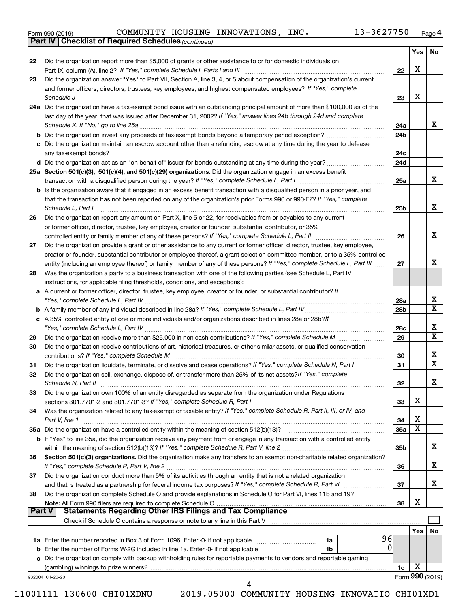|  | Form 990 (2019) |
|--|-----------------|
|  |                 |

*(continued)* **Part IV Checklist of Required Schedules**

|        |                                                                                                                                                                                                                                                                                                                                                                                          |                 | Yes | No                      |
|--------|------------------------------------------------------------------------------------------------------------------------------------------------------------------------------------------------------------------------------------------------------------------------------------------------------------------------------------------------------------------------------------------|-----------------|-----|-------------------------|
| 22     | Did the organization report more than \$5,000 of grants or other assistance to or for domestic individuals on                                                                                                                                                                                                                                                                            |                 |     |                         |
|        |                                                                                                                                                                                                                                                                                                                                                                                          | 22              | х   |                         |
| 23     | Did the organization answer "Yes" to Part VII, Section A, line 3, 4, or 5 about compensation of the organization's current                                                                                                                                                                                                                                                               |                 |     |                         |
|        | and former officers, directors, trustees, key employees, and highest compensated employees? If "Yes," complete                                                                                                                                                                                                                                                                           |                 |     |                         |
|        | $\textit{Schedule J} \textit{ \textbf{} \textbf{} \textbf{} \textbf{} \textbf{} \textbf{} \textbf{} \textbf{} \textbf{} \textbf{} \textbf{} \textbf{} \textbf{} \textbf{} \textbf{} \textbf{} \textbf{} \textbf{} \textbf{} \textbf{} \textbf{} \textbf{} \textbf{} \textbf{} \textbf{} \textbf{} \textbf{} \textbf{} \textbf{} \textbf{} \textbf{} \textbf{} \textbf{} \textbf{} \text$ | 23              | х   |                         |
|        | 24a Did the organization have a tax-exempt bond issue with an outstanding principal amount of more than \$100,000 as of the                                                                                                                                                                                                                                                              |                 |     |                         |
|        | last day of the year, that was issued after December 31, 2002? If "Yes," answer lines 24b through 24d and complete                                                                                                                                                                                                                                                                       |                 |     |                         |
|        | Schedule K. If "No," go to line 25a                                                                                                                                                                                                                                                                                                                                                      | 24a             |     | x                       |
|        |                                                                                                                                                                                                                                                                                                                                                                                          | 24 <sub>b</sub> |     |                         |
|        | c Did the organization maintain an escrow account other than a refunding escrow at any time during the year to defease                                                                                                                                                                                                                                                                   |                 |     |                         |
|        |                                                                                                                                                                                                                                                                                                                                                                                          | 24c             |     |                         |
|        |                                                                                                                                                                                                                                                                                                                                                                                          | 24d             |     |                         |
|        | 25a Section 501(c)(3), 501(c)(4), and 501(c)(29) organizations. Did the organization engage in an excess benefit                                                                                                                                                                                                                                                                         |                 |     |                         |
|        |                                                                                                                                                                                                                                                                                                                                                                                          | 25a             |     | x                       |
|        | b Is the organization aware that it engaged in an excess benefit transaction with a disqualified person in a prior year, and                                                                                                                                                                                                                                                             |                 |     |                         |
|        | that the transaction has not been reported on any of the organization's prior Forms 990 or 990-EZ? If "Yes," complete                                                                                                                                                                                                                                                                    |                 |     | х                       |
|        | Schedule L, Part I                                                                                                                                                                                                                                                                                                                                                                       | 25b             |     |                         |
| 26     | Did the organization report any amount on Part X, line 5 or 22, for receivables from or payables to any current                                                                                                                                                                                                                                                                          |                 |     |                         |
|        | or former officer, director, trustee, key employee, creator or founder, substantial contributor, or 35%                                                                                                                                                                                                                                                                                  |                 |     | х                       |
|        |                                                                                                                                                                                                                                                                                                                                                                                          | 26              |     |                         |
| 27     | Did the organization provide a grant or other assistance to any current or former officer, director, trustee, key employee,<br>creator or founder, substantial contributor or employee thereof, a grant selection committee member, or to a 35% controlled                                                                                                                               |                 |     |                         |
|        | entity (including an employee thereof) or family member of any of these persons? If "Yes," complete Schedule L, Part III                                                                                                                                                                                                                                                                 | 27              |     | х                       |
| 28     | Was the organization a party to a business transaction with one of the following parties (see Schedule L, Part IV                                                                                                                                                                                                                                                                        |                 |     |                         |
|        | instructions, for applicable filing thresholds, conditions, and exceptions):                                                                                                                                                                                                                                                                                                             |                 |     |                         |
|        | a A current or former officer, director, trustee, key employee, creator or founder, or substantial contributor? If                                                                                                                                                                                                                                                                       |                 |     |                         |
|        |                                                                                                                                                                                                                                                                                                                                                                                          | 28a             |     | х                       |
|        |                                                                                                                                                                                                                                                                                                                                                                                          | 28 <sub>b</sub> |     | $\overline{\textbf{X}}$ |
|        | c A 35% controlled entity of one or more individuals and/or organizations described in lines 28a or 28b?If                                                                                                                                                                                                                                                                               |                 |     |                         |
|        |                                                                                                                                                                                                                                                                                                                                                                                          | 28c             |     | х                       |
| 29     |                                                                                                                                                                                                                                                                                                                                                                                          | 29              |     | $\overline{\text{x}}$   |
| 30     | Did the organization receive contributions of art, historical treasures, or other similar assets, or qualified conservation                                                                                                                                                                                                                                                              |                 |     |                         |
|        |                                                                                                                                                                                                                                                                                                                                                                                          | 30              |     | х                       |
| 31     | Did the organization liquidate, terminate, or dissolve and cease operations? If "Yes," complete Schedule N, Part I                                                                                                                                                                                                                                                                       | 31              |     | $\overline{\textbf{X}}$ |
| 32     | Did the organization sell, exchange, dispose of, or transfer more than 25% of its net assets? If "Yes," complete                                                                                                                                                                                                                                                                         |                 |     |                         |
|        | Schedule N, Part II                                                                                                                                                                                                                                                                                                                                                                      | 32              |     | х                       |
| 33     | Did the organization own 100% of an entity disregarded as separate from the organization under Regulations                                                                                                                                                                                                                                                                               |                 |     |                         |
|        |                                                                                                                                                                                                                                                                                                                                                                                          | 33              | х   |                         |
| 34     | Was the organization related to any tax-exempt or taxable entity? If "Yes," complete Schedule R, Part II, III, or IV, and                                                                                                                                                                                                                                                                |                 |     |                         |
|        | Part V, line 1                                                                                                                                                                                                                                                                                                                                                                           | 34              | X   |                         |
|        |                                                                                                                                                                                                                                                                                                                                                                                          | 35a             | X   |                         |
|        | b If "Yes" to line 35a, did the organization receive any payment from or engage in any transaction with a controlled entity                                                                                                                                                                                                                                                              |                 |     |                         |
|        |                                                                                                                                                                                                                                                                                                                                                                                          | 35 <sub>b</sub> |     | х                       |
| 36     | Section 501(c)(3) organizations. Did the organization make any transfers to an exempt non-charitable related organization?                                                                                                                                                                                                                                                               |                 |     |                         |
|        |                                                                                                                                                                                                                                                                                                                                                                                          | 36              |     | х                       |
| 37     | Did the organization conduct more than 5% of its activities through an entity that is not a related organization                                                                                                                                                                                                                                                                         |                 |     |                         |
|        | and that is treated as a partnership for federal income tax purposes? If "Yes," complete Schedule R, Part VI                                                                                                                                                                                                                                                                             | 37              |     | х                       |
| 38     | Did the organization complete Schedule O and provide explanations in Schedule O for Part VI, lines 11b and 19?                                                                                                                                                                                                                                                                           |                 | х   |                         |
| Part V | Statements Regarding Other IRS Filings and Tax Compliance                                                                                                                                                                                                                                                                                                                                | 38              |     |                         |
|        |                                                                                                                                                                                                                                                                                                                                                                                          |                 |     |                         |
|        |                                                                                                                                                                                                                                                                                                                                                                                          |                 | Yes | No                      |
|        | 96<br>1a                                                                                                                                                                                                                                                                                                                                                                                 |                 |     |                         |
|        | $\Omega$<br>1b                                                                                                                                                                                                                                                                                                                                                                           |                 |     |                         |
|        | c Did the organization comply with backup withholding rules for reportable payments to vendors and reportable gaming                                                                                                                                                                                                                                                                     |                 |     |                         |
|        |                                                                                                                                                                                                                                                                                                                                                                                          | 1c              | х   |                         |
|        | 932004 01-20-20                                                                                                                                                                                                                                                                                                                                                                          |                 |     | Form 990 (2019)         |
|        | 4                                                                                                                                                                                                                                                                                                                                                                                        |                 |     |                         |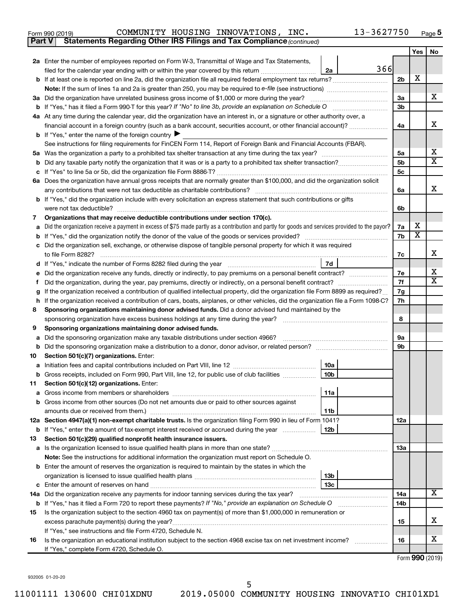| Form 990 (2019) | COMMUNITY |  | HOUSING INNOVATIONS, | INC. | 13-3627750 | Page |
|-----------------|-----------|--|----------------------|------|------------|------|
|-----------------|-----------|--|----------------------|------|------------|------|

| <b>Part V</b> | Statements Regarding Other IRS Filings and Tax Compliance (continued)                                                                                                    |     |                       |                         |
|---------------|--------------------------------------------------------------------------------------------------------------------------------------------------------------------------|-----|-----------------------|-------------------------|
|               |                                                                                                                                                                          |     | Yes                   | No                      |
|               | 2a Enter the number of employees reported on Form W-3, Transmittal of Wage and Tax Statements,                                                                           |     |                       |                         |
|               | 366<br>filed for the calendar year ending with or within the year covered by this return<br>2a                                                                           |     |                       |                         |
|               | b If at least one is reported on line 2a, did the organization file all required federal employment tax returns?                                                         | 2b  | X                     |                         |
|               |                                                                                                                                                                          |     |                       |                         |
|               | 3a Did the organization have unrelated business gross income of \$1,000 or more during the year?                                                                         | За  |                       | х                       |
|               |                                                                                                                                                                          | 3b  |                       |                         |
|               | 4a At any time during the calendar year, did the organization have an interest in, or a signature or other authority over, a                                             |     |                       |                         |
|               | financial account in a foreign country (such as a bank account, securities account, or other financial account)?                                                         | 4a  |                       | х                       |
|               | <b>b</b> If "Yes," enter the name of the foreign country $\blacktriangleright$                                                                                           |     |                       |                         |
|               | See instructions for filing requirements for FinCEN Form 114, Report of Foreign Bank and Financial Accounts (FBAR).                                                      |     |                       |                         |
| 5а            |                                                                                                                                                                          | 5a  |                       | x                       |
| b             |                                                                                                                                                                          | 5b  |                       | $\overline{\textbf{x}}$ |
|               |                                                                                                                                                                          | 5с  |                       |                         |
|               | 6a Does the organization have annual gross receipts that are normally greater than \$100,000, and did the organization solicit                                           |     |                       |                         |
|               |                                                                                                                                                                          | 6a  |                       | х                       |
|               | b If "Yes," did the organization include with every solicitation an express statement that such contributions or gifts                                                   |     |                       |                         |
|               | were not tax deductible?                                                                                                                                                 | 6b  |                       |                         |
| 7             | Organizations that may receive deductible contributions under section 170(c).                                                                                            |     |                       |                         |
| a             | Did the organization receive a payment in excess of \$75 made partly as a contribution and partly for goods and services provided to the payor?                          | 7a  | х                     |                         |
| b             |                                                                                                                                                                          | 7b  | $\overline{\text{X}}$ |                         |
|               | Did the organization sell, exchange, or otherwise dispose of tangible personal property for which it was required                                                        |     |                       |                         |
|               | to file Form 8282?                                                                                                                                                       | 7c  |                       | х                       |
|               | 7d                                                                                                                                                                       |     |                       |                         |
|               | Did the organization receive any funds, directly or indirectly, to pay premiums on a personal benefit contract?                                                          | 7e  |                       | х                       |
| f             |                                                                                                                                                                          | 7f  |                       | $\mathbf x$             |
| g             | If the organization received a contribution of qualified intellectual property, did the organization file Form 8899 as required?                                         | 7g  |                       |                         |
| h             | If the organization received a contribution of cars, boats, airplanes, or other vehicles, did the organization file a Form 1098-C?                                       | 7h  |                       |                         |
| 8             | Sponsoring organizations maintaining donor advised funds. Did a donor advised fund maintained by the                                                                     |     |                       |                         |
|               |                                                                                                                                                                          | 8   |                       |                         |
| 9             | Sponsoring organizations maintaining donor advised funds.                                                                                                                |     |                       |                         |
| а             | Did the sponsoring organization make any taxable distributions under section 4966?                                                                                       | 9а  |                       |                         |
| b             |                                                                                                                                                                          | 9b  |                       |                         |
| 10            | Section 501(c)(7) organizations. Enter:                                                                                                                                  |     |                       |                         |
|               | 10a                                                                                                                                                                      |     |                       |                         |
|               | 10 <sub>b</sub><br>b Gross receipts, included on Form 990, Part VIII, line 12, for public use of club facilities                                                         |     |                       |                         |
| 11            | Section 501(c)(12) organizations. Enter:                                                                                                                                 |     |                       |                         |
|               | 11a                                                                                                                                                                      |     |                       |                         |
|               | b Gross income from other sources (Do not net amounts due or paid to other sources against                                                                               |     |                       |                         |
|               | amounts due or received from them.)<br>11 <sub>b</sub><br>12a Section 4947(a)(1) non-exempt charitable trusts. Is the organization filing Form 990 in lieu of Form 1041? | 12a |                       |                         |
|               | b If "Yes," enter the amount of tax-exempt interest received or accrued during the year<br>12b                                                                           |     |                       |                         |
| 13            | Section 501(c)(29) qualified nonprofit health insurance issuers.                                                                                                         |     |                       |                         |
|               | a Is the organization licensed to issue qualified health plans in more than one state?                                                                                   | 1За |                       |                         |
|               | Note: See the instructions for additional information the organization must report on Schedule O.                                                                        |     |                       |                         |
|               | <b>b</b> Enter the amount of reserves the organization is required to maintain by the states in which the                                                                |     |                       |                         |
|               | 13b                                                                                                                                                                      |     |                       |                         |
|               | 13c                                                                                                                                                                      |     |                       |                         |
|               | 14a Did the organization receive any payments for indoor tanning services during the tax year?                                                                           | 14a |                       | x                       |
|               | <b>b</b> If "Yes," has it filed a Form 720 to report these payments? If "No," provide an explanation on Schedule O                                                       | 14b |                       |                         |
| 15            | Is the organization subject to the section 4960 tax on payment(s) of more than \$1,000,000 in remuneration or                                                            |     |                       |                         |
|               |                                                                                                                                                                          | 15  |                       | х                       |
|               | If "Yes," see instructions and file Form 4720, Schedule N.                                                                                                               |     |                       |                         |
| 16            | Is the organization an educational institution subject to the section 4968 excise tax on net investment income?                                                          | 16  |                       | x                       |
|               | If "Yes," complete Form 4720, Schedule O.                                                                                                                                |     |                       |                         |

Form (2019) **990**

932005 01-20-20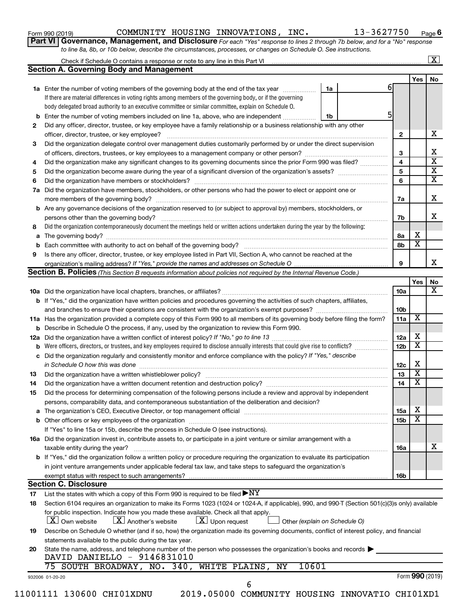| Form 990 (2019) |  |
|-----------------|--|
|-----------------|--|

Form 990 (2019)  $\,$  COMMUNITY HOUSING INNOVATIONS, INC.  $\,$  13-3627750  $\,$   $_{\rm Page}$ 

**Part VI** Governance, Management, and Disclosure For each "Yes" response to lines 2 through 7b below, and for a "No" response *to line 8a, 8b, or 10b below, describe the circumstances, processes, or changes on Schedule O. See instructions.*

|    |                                                                                                                                                                                                                                |                               |                 |                         | $\mathbf{X}$            |
|----|--------------------------------------------------------------------------------------------------------------------------------------------------------------------------------------------------------------------------------|-------------------------------|-----------------|-------------------------|-------------------------|
|    | <b>Section A. Governing Body and Management</b>                                                                                                                                                                                |                               |                 |                         |                         |
|    |                                                                                                                                                                                                                                |                               | 6               | Yes   No                |                         |
|    | <b>1a</b> Enter the number of voting members of the governing body at the end of the tax year                                                                                                                                  | 1a                            |                 |                         |                         |
|    | If there are material differences in voting rights among members of the governing body, or if the governing                                                                                                                    |                               |                 |                         |                         |
|    | body delegated broad authority to an executive committee or similar committee, explain on Schedule O.                                                                                                                          |                               |                 |                         |                         |
| b  | Enter the number of voting members included on line 1a, above, who are independent                                                                                                                                             | 1b                            | 5               |                         |                         |
| 2  | Did any officer, director, trustee, or key employee have a family relationship or a business relationship with any other                                                                                                       |                               |                 |                         |                         |
|    |                                                                                                                                                                                                                                |                               | 2               |                         | х                       |
| 3  | Did the organization delegate control over management duties customarily performed by or under the direct supervision                                                                                                          |                               |                 |                         |                         |
|    |                                                                                                                                                                                                                                |                               | 3               |                         | х                       |
| 4  | Did the organization make any significant changes to its governing documents since the prior Form 990 was filed?                                                                                                               |                               | 4               |                         | $\overline{\textbf{x}}$ |
| 5  |                                                                                                                                                                                                                                |                               | 5               |                         | $\overline{\textbf{x}}$ |
| 6  |                                                                                                                                                                                                                                |                               | 6               |                         | $\overline{\textbf{x}}$ |
| 7a | Did the organization have members, stockholders, or other persons who had the power to elect or appoint one or                                                                                                                 |                               |                 |                         |                         |
|    |                                                                                                                                                                                                                                |                               | 7a              |                         | х                       |
| b  | Are any governance decisions of the organization reserved to (or subject to approval by) members, stockholders, or                                                                                                             |                               |                 |                         |                         |
|    |                                                                                                                                                                                                                                |                               | 7b              |                         | x                       |
| 8  | Did the organization contemporaneously document the meetings held or written actions undertaken during the year by the following:                                                                                              |                               |                 |                         |                         |
| а  |                                                                                                                                                                                                                                |                               | 8а              | X                       |                         |
| b  |                                                                                                                                                                                                                                |                               | 8b              | $\overline{\mathbf{x}}$ |                         |
| 9  | Is there any officer, director, trustee, or key employee listed in Part VII, Section A, who cannot be reached at the                                                                                                           |                               |                 |                         |                         |
|    |                                                                                                                                                                                                                                |                               | 9               |                         |                         |
|    | <b>Section B. Policies</b> (This Section B requests information about policies not required by the Internal Revenue Code.)                                                                                                     |                               |                 |                         |                         |
|    |                                                                                                                                                                                                                                |                               |                 | Yes                     | No                      |
|    |                                                                                                                                                                                                                                |                               | 10a             |                         |                         |
|    |                                                                                                                                                                                                                                |                               |                 |                         |                         |
|    | <b>b</b> If "Yes," did the organization have written policies and procedures governing the activities of such chapters, affiliates,                                                                                            |                               |                 |                         |                         |
|    |                                                                                                                                                                                                                                |                               | 10 <sub>b</sub> | X                       |                         |
|    | 11a Has the organization provided a complete copy of this Form 990 to all members of its governing body before filing the form?                                                                                                |                               | 11a             |                         |                         |
|    | <b>b</b> Describe in Schedule O the process, if any, used by the organization to review this Form 990.                                                                                                                         |                               |                 |                         |                         |
|    |                                                                                                                                                                                                                                |                               | 12a             | Х                       |                         |
| b  | Were officers, directors, or trustees, and key employees required to disclose annually interests that could give rise to conflicts?                                                                                            |                               | 12 <sub>b</sub> | $\overline{\mathbf{X}}$ |                         |
| с  | Did the organization regularly and consistently monitor and enforce compliance with the policy? If "Yes," describe                                                                                                             |                               |                 |                         |                         |
|    | in Schedule O how this was done encourance and an according to the state of the state of the state of the state of the state of the state of the state of the state of the state of the state of the state of the state of the |                               | 12c             | Х                       |                         |
| 13 |                                                                                                                                                                                                                                |                               | 13              | $\overline{\mathbf{X}}$ |                         |
| 14 |                                                                                                                                                                                                                                |                               | 14              | $\overline{\mathbf{X}}$ |                         |
| 15 | Did the process for determining compensation of the following persons include a review and approval by independent                                                                                                             |                               |                 |                         |                         |
|    | persons, comparability data, and contemporaneous substantiation of the deliberation and decision?                                                                                                                              |                               |                 |                         |                         |
| а  | The organization's CEO, Executive Director, or top management official [111] [11] manument content of the organization's CEO, Executive Director, or top management official [11] manument content of the organization of the  |                               | 15a             | X                       |                         |
|    |                                                                                                                                                                                                                                |                               | 15 <sub>b</sub> | х                       |                         |
|    | If "Yes" to line 15a or 15b, describe the process in Schedule O (see instructions).                                                                                                                                            |                               |                 |                         |                         |
|    | 16a Did the organization invest in, contribute assets to, or participate in a joint venture or similar arrangement with a                                                                                                      |                               |                 |                         |                         |
|    | taxable entity during the year?                                                                                                                                                                                                |                               | 16a             |                         | x                       |
|    | b If "Yes," did the organization follow a written policy or procedure requiring the organization to evaluate its participation                                                                                                 |                               |                 |                         |                         |
|    | in joint venture arrangements under applicable federal tax law, and take steps to safeguard the organization's                                                                                                                 |                               |                 |                         |                         |
|    | exempt status with respect to such arrangements?                                                                                                                                                                               |                               | 16b             |                         |                         |
|    | <b>Section C. Disclosure</b>                                                                                                                                                                                                   |                               |                 |                         |                         |
| 17 | List the states with which a copy of this Form 990 is required to be filed $\blacktriangleright\text{NY}$                                                                                                                      |                               |                 |                         |                         |
| 18 | Section 6104 requires an organization to make its Forms 1023 (1024 or 1024-A, if applicable), 990, and 990-T (Section 501(c)(3)s only) available                                                                               |                               |                 |                         |                         |
|    | for public inspection. Indicate how you made these available. Check all that apply.                                                                                                                                            |                               |                 |                         |                         |
|    | $\lfloor x \rfloor$ Upon request<br>  X   Own website<br>$ \mathbf{X} $ Another's website                                                                                                                                      | Other (explain on Schedule O) |                 |                         |                         |
| 19 | Describe on Schedule O whether (and if so, how) the organization made its governing documents, conflict of interest policy, and financial                                                                                      |                               |                 |                         |                         |
|    | statements available to the public during the tax year.                                                                                                                                                                        |                               |                 |                         |                         |
|    |                                                                                                                                                                                                                                |                               |                 |                         |                         |
| 20 | State the name, address, and telephone number of the person who possesses the organization's books and records<br>DAVID DANIELLO - 9146831010                                                                                  |                               |                 |                         |                         |
|    | 75 SOUTH BROADWAY, NO. 340, WHITE PLAINS,<br>10601<br>NY                                                                                                                                                                       |                               |                 |                         |                         |
|    |                                                                                                                                                                                                                                |                               |                 |                         |                         |
|    | 932006 01-20-20                                                                                                                                                                                                                |                               |                 | Form 990 (2019)         |                         |
|    | 6<br>11001111 130600 CHI01XDNU<br>2019.05000 COMMUNITY HOUSING INNOVATIO CHI01XD1                                                                                                                                              |                               |                 |                         |                         |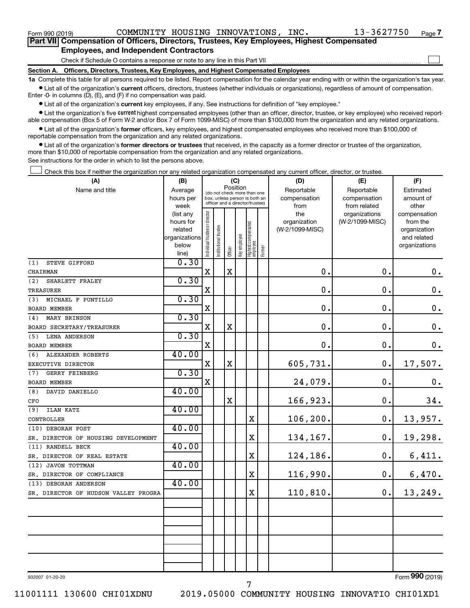$\Box$ 

| Part VII Compensation of Officers, Directors, Trustees, Key Employees, Highest Compensated |
|--------------------------------------------------------------------------------------------|
| <b>Employees, and Independent Contractors</b>                                              |

Check if Schedule O contains a response or note to any line in this Part VII

**Section A. Officers, Directors, Trustees, Key Employees, and Highest Compensated Employees**

**1a**  Complete this table for all persons required to be listed. Report compensation for the calendar year ending with or within the organization's tax year.  $\bullet$  List all of the organization's current officers, directors, trustees (whether individuals or organizations), regardless of amount of compensation.

Enter -0- in columns (D), (E), and (F) if no compensation was paid.

**•** List all of the organization's current key employees, if any. See instructions for definition of "key employee."

• List the organization's five *current* highest compensated employees (other than an officer, director, trustee, or key employee) who received reportable compensation (Box 5 of Form W-2 and/or Box 7 of Form 1099-MISC) of more than \$100,000 from the organization and any related organizations.

 $\bullet$  List all of the organization's former officers, key employees, and highest compensated employees who received more than \$100,000 of reportable compensation from the organization and any related organizations.

**•** List all of the organization's former directors or trustees that received, in the capacity as a former director or trustee of the organization, more than \$10,000 of reportable compensation from the organization and any related organizations.

See instructions for the order in which to list the persons above.

Check this box if neither the organization nor any related organization compensated any current officer, director, or trustee.  $\Box$ 

| (A)                                               | (B)            |                                |                                                                                                 | (C)         |              |                                   |        | (D)             | (E)             | (F)                |
|---------------------------------------------------|----------------|--------------------------------|-------------------------------------------------------------------------------------------------|-------------|--------------|-----------------------------------|--------|-----------------|-----------------|--------------------|
| Name and title                                    | Average        |                                |                                                                                                 | Position    |              |                                   |        | Reportable      | Reportable      | Estimated          |
|                                                   | hours per      |                                | (do not check more than one<br>box, unless person is both an<br>officer and a director/trustee) |             |              |                                   |        | compensation    | compensation    | amount of          |
|                                                   | week           |                                |                                                                                                 |             |              |                                   |        | from            | from related    | other              |
|                                                   | (list any      |                                |                                                                                                 |             |              |                                   |        | the             | organizations   | compensation       |
|                                                   | hours for      |                                |                                                                                                 |             |              |                                   |        | organization    | (W-2/1099-MISC) | from the           |
|                                                   | related        |                                |                                                                                                 |             |              |                                   |        | (W-2/1099-MISC) |                 | organization       |
|                                                   | organizations  |                                |                                                                                                 |             |              |                                   |        |                 |                 | and related        |
|                                                   | below<br>line) | Individual trustee or director | nstitutional trustee                                                                            | Officer     | Key employee | Highest compensated<br>  employee | Former |                 |                 | organizations      |
| STEVE GIFFORD<br>(1)                              | 0.30           |                                |                                                                                                 |             |              |                                   |        |                 |                 |                    |
| CHAIRMAN                                          |                | $\mathbf X$                    |                                                                                                 | X           |              |                                   |        | $\mathbf 0$ .   | 0.              | 0.                 |
| SHARLETT FRALEY<br>(2)                            | 0.30           |                                |                                                                                                 |             |              |                                   |        |                 |                 |                    |
| <b>TREASURER</b>                                  |                | $\mathbf X$                    |                                                                                                 |             |              |                                   |        | $\mathbf 0$ .   | 0.              | $\mathbf 0$ .      |
| (3)<br>MICHAEL F PUNTILLO                         | 0.30           |                                |                                                                                                 |             |              |                                   |        |                 |                 |                    |
| BOARD MEMBER                                      |                | X                              |                                                                                                 |             |              |                                   |        | $\mathbf 0$ .   | 0.              | $\mathbf 0$ .      |
| MARY BRINSON<br>(4)                               | 0.30           |                                |                                                                                                 |             |              |                                   |        |                 |                 |                    |
| BOARD SECRETARY/TREASURER                         |                | X                              |                                                                                                 | $\mathbf X$ |              |                                   |        | $\mathbf 0$ .   | 0.              | $\boldsymbol{0}$ . |
| (5)<br><b>LENA ANDERSON</b>                       | 0.30           |                                |                                                                                                 |             |              |                                   |        |                 |                 |                    |
| BOARD MEMBER                                      |                | X                              |                                                                                                 |             |              |                                   |        | $\mathbf 0$ .   | $\mathbf 0$ .   | 0.                 |
| ALEXANDER ROBERTS<br>(6)                          | 40.00          |                                |                                                                                                 |             |              |                                   |        |                 |                 |                    |
| EXECUTIVE DIRECTOR                                |                | X                              |                                                                                                 | $\mathbf X$ |              |                                   |        | 605,731.        | $\mathbf 0$ .   | 17,507.            |
| (7)<br><b>GERRY FEINBERG</b>                      | 0.30           |                                |                                                                                                 |             |              |                                   |        |                 |                 |                    |
| BOARD MEMBER                                      |                | $\mathbf X$                    |                                                                                                 |             |              |                                   |        | 24,079.         | $\mathbf 0$ .   | $\boldsymbol{0}$ . |
| (8)<br>DAVID DANIELLO                             | 40.00          |                                |                                                                                                 |             |              |                                   |        |                 |                 |                    |
| CFO                                               |                |                                |                                                                                                 | X           |              |                                   |        | 166,923.        | 0.              | 34.                |
| <b>ILAN KATZ</b><br>(9)                           | 40.00          |                                |                                                                                                 |             |              |                                   |        |                 |                 |                    |
| CONTROLLER                                        |                |                                |                                                                                                 |             |              | $\mathbf X$                       |        | 106, 200.       | 0.              | 13,957.            |
| (10) DEBORAH POST                                 | 40.00          |                                |                                                                                                 |             |              |                                   |        |                 |                 |                    |
| SR. DIRECTOR OF HOUSING DEVELOPMENT               | 40.00          |                                |                                                                                                 |             |              | X                                 |        | 134,167.        | $0$ .           | 19,298.            |
| (11) RANDELL BECK                                 |                |                                |                                                                                                 |             |              | X                                 |        |                 | 0.              |                    |
| SR. DIRECTOR OF REAL ESTATE<br>(12) JAVON TOTTMAN | 40.00          |                                |                                                                                                 |             |              |                                   |        | 124,186.        |                 | 6,411.             |
| SR. DIRECTOR OF COMPLIANCE                        |                |                                |                                                                                                 |             |              | X                                 |        | 116,990.        | 0.              | 6,470.             |
| (13) DEBORAH ANDERSON                             | 40.00          |                                |                                                                                                 |             |              |                                   |        |                 |                 |                    |
| SR. DIRECTOR OF HUDSON VALLEY PROGRA              |                |                                |                                                                                                 |             |              | $\mathbf X$                       |        | 110,810.        | 0.              | 13,249.            |
|                                                   |                |                                |                                                                                                 |             |              |                                   |        |                 |                 |                    |
|                                                   |                |                                |                                                                                                 |             |              |                                   |        |                 |                 |                    |
|                                                   |                |                                |                                                                                                 |             |              |                                   |        |                 |                 |                    |
|                                                   |                |                                |                                                                                                 |             |              |                                   |        |                 |                 |                    |
|                                                   |                |                                |                                                                                                 |             |              |                                   |        |                 |                 |                    |
|                                                   |                |                                |                                                                                                 |             |              |                                   |        |                 |                 |                    |
|                                                   |                |                                |                                                                                                 |             |              |                                   |        |                 |                 |                    |
|                                                   |                |                                |                                                                                                 |             |              |                                   |        |                 |                 |                    |
| 932007 01-20-20                                   |                |                                |                                                                                                 |             |              |                                   |        |                 |                 | Form 990 (2019)    |

7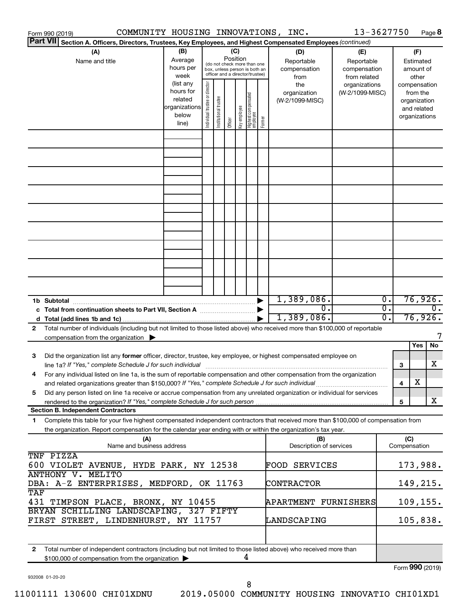|                                                                                                                                   | COMMUNITY HOUSING INNOVATIONS, INC.<br>Form 990 (2019)                                                                                                              |                        |                                |                                 |         |              |                                   |        |                                 | 13-3627750      |                  |     |                             | Page 8           |
|-----------------------------------------------------------------------------------------------------------------------------------|---------------------------------------------------------------------------------------------------------------------------------------------------------------------|------------------------|--------------------------------|---------------------------------|---------|--------------|-----------------------------------|--------|---------------------------------|-----------------|------------------|-----|-----------------------------|------------------|
| <b>Part VII</b>                                                                                                                   | Section A. Officers, Directors, Trustees, Key Employees, and Highest Compensated Employees (continued)                                                              |                        |                                |                                 |         |              |                                   |        |                                 |                 |                  |     |                             |                  |
|                                                                                                                                   | (A)                                                                                                                                                                 | (B)                    |                                |                                 | (C)     |              |                                   |        | (D)                             | (E)             |                  |     | (F)                         |                  |
|                                                                                                                                   | Name and title                                                                                                                                                      | Average                |                                | (do not check more than one     |         | Position     |                                   |        | Reportable                      | Reportable      |                  |     | Estimated                   |                  |
|                                                                                                                                   |                                                                                                                                                                     | hours per              |                                | box, unless person is both an   |         |              |                                   |        | compensation                    | compensation    |                  |     | amount of                   |                  |
|                                                                                                                                   |                                                                                                                                                                     | week                   |                                | officer and a director/trustee) |         |              |                                   |        | from                            | from related    |                  |     | other                       |                  |
|                                                                                                                                   |                                                                                                                                                                     | (list any<br>hours for |                                |                                 |         |              |                                   |        | the                             | organizations   |                  |     | compensation                |                  |
|                                                                                                                                   |                                                                                                                                                                     | related                |                                |                                 |         |              |                                   |        | organization<br>(W-2/1099-MISC) | (W-2/1099-MISC) |                  |     | from the                    |                  |
|                                                                                                                                   |                                                                                                                                                                     | organizations          |                                |                                 |         |              |                                   |        |                                 |                 |                  |     | organization<br>and related |                  |
|                                                                                                                                   |                                                                                                                                                                     | below                  |                                |                                 |         |              |                                   |        |                                 |                 |                  |     | organizations               |                  |
|                                                                                                                                   |                                                                                                                                                                     | line)                  | Individual trustee or director | Institutional trustee           | Officer | Key employee | Highest compensated<br>  employee | Former |                                 |                 |                  |     |                             |                  |
|                                                                                                                                   |                                                                                                                                                                     |                        |                                |                                 |         |              |                                   |        |                                 |                 |                  |     |                             |                  |
|                                                                                                                                   |                                                                                                                                                                     |                        |                                |                                 |         |              |                                   |        |                                 |                 |                  |     |                             |                  |
|                                                                                                                                   |                                                                                                                                                                     |                        |                                |                                 |         |              |                                   |        |                                 |                 |                  |     |                             |                  |
|                                                                                                                                   |                                                                                                                                                                     |                        |                                |                                 |         |              |                                   |        |                                 |                 |                  |     |                             |                  |
|                                                                                                                                   |                                                                                                                                                                     |                        |                                |                                 |         |              |                                   |        |                                 |                 |                  |     |                             |                  |
|                                                                                                                                   |                                                                                                                                                                     |                        |                                |                                 |         |              |                                   |        |                                 |                 |                  |     |                             |                  |
|                                                                                                                                   |                                                                                                                                                                     |                        |                                |                                 |         |              |                                   |        |                                 |                 |                  |     |                             |                  |
|                                                                                                                                   |                                                                                                                                                                     |                        |                                |                                 |         |              |                                   |        |                                 |                 |                  |     |                             |                  |
|                                                                                                                                   |                                                                                                                                                                     |                        |                                |                                 |         |              |                                   |        |                                 |                 |                  |     |                             |                  |
|                                                                                                                                   |                                                                                                                                                                     |                        |                                |                                 |         |              |                                   |        |                                 |                 |                  |     |                             |                  |
|                                                                                                                                   |                                                                                                                                                                     |                        |                                |                                 |         |              |                                   |        |                                 |                 |                  |     |                             |                  |
|                                                                                                                                   |                                                                                                                                                                     |                        |                                |                                 |         |              |                                   |        |                                 |                 |                  |     |                             |                  |
|                                                                                                                                   |                                                                                                                                                                     |                        |                                |                                 |         |              |                                   |        |                                 |                 |                  |     |                             |                  |
|                                                                                                                                   |                                                                                                                                                                     |                        |                                |                                 |         |              |                                   |        |                                 |                 |                  |     |                             |                  |
|                                                                                                                                   |                                                                                                                                                                     |                        |                                |                                 |         |              |                                   |        |                                 |                 |                  |     |                             |                  |
|                                                                                                                                   |                                                                                                                                                                     |                        |                                |                                 |         |              |                                   |        |                                 |                 |                  |     |                             |                  |
|                                                                                                                                   | 1,389,086.                                                                                                                                                          |                        |                                |                                 |         |              |                                   |        |                                 |                 | $\overline{0}$ . |     | 76,926.                     |                  |
|                                                                                                                                   |                                                                                                                                                                     |                        |                                |                                 |         |              |                                   |        | σ.                              |                 | $\overline{0}$ . |     |                             | $\overline{0}$ . |
|                                                                                                                                   |                                                                                                                                                                     |                        |                                |                                 |         |              |                                   |        | 1,389,086.                      |                 | О.               |     | 76,926.                     |                  |
| Total number of individuals (including but not limited to those listed above) who received more than \$100,000 of reportable<br>2 |                                                                                                                                                                     |                        |                                |                                 |         |              |                                   |        |                                 |                 |                  |     |                             |                  |
|                                                                                                                                   | compensation from the organization $\blacktriangleright$                                                                                                            |                        |                                |                                 |         |              |                                   |        |                                 |                 |                  |     |                             |                  |
|                                                                                                                                   |                                                                                                                                                                     |                        |                                |                                 |         |              |                                   |        |                                 |                 |                  |     | Yes                         | No               |
| 3                                                                                                                                 | Did the organization list any former officer, director, trustee, key employee, or highest compensated employee on                                                   |                        |                                |                                 |         |              |                                   |        |                                 |                 |                  |     |                             |                  |
|                                                                                                                                   | line 1a? If "Yes," complete Schedule J for such individual [11] manufacture manufacture in the set of the set o                                                     |                        |                                |                                 |         |              |                                   |        |                                 |                 |                  | 3   |                             | х                |
|                                                                                                                                   | For any individual listed on line 1a, is the sum of reportable compensation and other compensation from the organization                                            |                        |                                |                                 |         |              |                                   |        |                                 |                 |                  |     | х                           |                  |
|                                                                                                                                   | and related organizations greater than \$150,000? If "Yes," complete Schedule J for such individual                                                                 |                        |                                |                                 |         |              |                                   |        |                                 |                 |                  | 4   |                             |                  |
| 5                                                                                                                                 | Did any person listed on line 1a receive or accrue compensation from any unrelated organization or individual for services                                          |                        |                                |                                 |         |              |                                   |        |                                 |                 |                  | 5   |                             | X                |
|                                                                                                                                   | <b>Section B. Independent Contractors</b>                                                                                                                           |                        |                                |                                 |         |              |                                   |        |                                 |                 |                  |     |                             |                  |
| 1.                                                                                                                                | Complete this table for your five highest compensated independent contractors that received more than \$100,000 of compensation from                                |                        |                                |                                 |         |              |                                   |        |                                 |                 |                  |     |                             |                  |
|                                                                                                                                   | the organization. Report compensation for the calendar year ending with or within the organization's tax year.                                                      |                        |                                |                                 |         |              |                                   |        |                                 |                 |                  |     |                             |                  |
|                                                                                                                                   | (A)                                                                                                                                                                 |                        |                                |                                 |         |              |                                   |        | (B)                             |                 |                  | (C) |                             |                  |
|                                                                                                                                   | Name and business address                                                                                                                                           |                        |                                |                                 |         |              |                                   |        | Description of services         |                 |                  |     | Compensation                |                  |
|                                                                                                                                   | TNF PIZZA<br>600 VIOLET AVENUE, HYDE PARK, NY 12538                                                                                                                 |                        |                                |                                 |         |              |                                   |        | FOOD SERVICES                   |                 |                  |     | 173,988.                    |                  |
|                                                                                                                                   | <b>ANTHONY V. MELITO</b>                                                                                                                                            |                        |                                |                                 |         |              |                                   |        |                                 |                 |                  |     |                             |                  |
|                                                                                                                                   | DBA: A-Z ENTERPRISES, MEDFORD, OK 11763                                                                                                                             |                        |                                |                                 |         |              |                                   |        | CONTRACTOR                      |                 |                  |     | 149,215.                    |                  |
| TAF                                                                                                                               |                                                                                                                                                                     |                        |                                |                                 |         |              |                                   |        |                                 |                 |                  |     |                             |                  |
|                                                                                                                                   | 431 TIMPSON PLACE, BRONX, NY 10455                                                                                                                                  |                        |                                |                                 |         |              |                                   |        | <b>APARTMENT FURNISHERS</b>     |                 |                  |     | 109, 155.                   |                  |
|                                                                                                                                   | BRYAN SCHILLING LANDSCAPING, 327 FIFTY                                                                                                                              |                        |                                |                                 |         |              |                                   |        |                                 |                 |                  |     |                             |                  |
|                                                                                                                                   | FIRST STREET, LINDENHURST, NY 11757                                                                                                                                 |                        |                                |                                 |         |              |                                   |        | LANDSCAPING                     |                 |                  |     | 105,838.                    |                  |
|                                                                                                                                   |                                                                                                                                                                     |                        |                                |                                 |         |              |                                   |        |                                 |                 |                  |     |                             |                  |
|                                                                                                                                   |                                                                                                                                                                     |                        |                                |                                 |         |              |                                   |        |                                 |                 |                  |     |                             |                  |
| $\mathbf{2}$                                                                                                                      | Total number of independent contractors (including but not limited to those listed above) who received more than<br>\$100,000 of compensation from the organization |                        |                                |                                 |         | 4            |                                   |        |                                 |                 |                  |     |                             |                  |
|                                                                                                                                   |                                                                                                                                                                     |                        |                                |                                 |         |              |                                   |        |                                 |                 |                  |     | Form 990 (2019)             |                  |

932008 01-20-20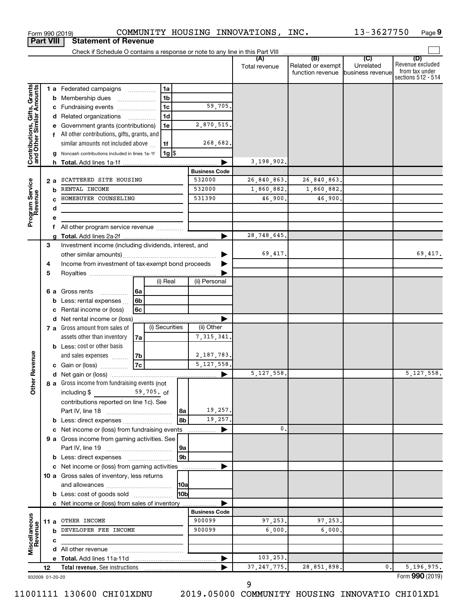|                                                           |                  |   | Form 990 (2019)                                                                                                                                                                                                                |                          |                |                |                      |             | COMMUNITY HOUSING INNOVATIONS, INC. |                                                        | 13-3627750 | Page 9                                                          |
|-----------------------------------------------------------|------------------|---|--------------------------------------------------------------------------------------------------------------------------------------------------------------------------------------------------------------------------------|--------------------------|----------------|----------------|----------------------|-------------|-------------------------------------|--------------------------------------------------------|------------|-----------------------------------------------------------------|
|                                                           | <b>Part VIII</b> |   | <b>Statement of Revenue</b>                                                                                                                                                                                                    |                          |                |                |                      |             |                                     |                                                        |            |                                                                 |
|                                                           |                  |   |                                                                                                                                                                                                                                |                          |                |                |                      |             |                                     |                                                        |            |                                                                 |
|                                                           |                  |   |                                                                                                                                                                                                                                |                          |                |                |                      |             | Total revenue                       | Related or exempt<br>function revenue business revenue | Unrelated  | (D)<br>Revenue excluded<br>from tax under<br>sections 512 - 514 |
|                                                           |                  |   | 1 a Federated campaigns                                                                                                                                                                                                        |                          | 1a             |                |                      |             |                                     |                                                        |            |                                                                 |
| Contributions, Gifts, Grants<br>and Other Similar Amounts |                  |   | <b>b</b> Membership dues                                                                                                                                                                                                       |                          | 1 <sub>b</sub> |                |                      |             |                                     |                                                        |            |                                                                 |
|                                                           |                  |   | Fundraising events                                                                                                                                                                                                             |                          | 1 <sub>c</sub> |                |                      | 59,705.     |                                     |                                                        |            |                                                                 |
|                                                           |                  |   | d Related organizations                                                                                                                                                                                                        | $\overline{\phantom{a}}$ | 1 <sub>d</sub> |                |                      |             |                                     |                                                        |            |                                                                 |
|                                                           |                  |   | Government grants (contributions)                                                                                                                                                                                              |                          | 1e             |                | 2,870,515.           |             |                                     |                                                        |            |                                                                 |
|                                                           |                  | f | All other contributions, gifts, grants, and                                                                                                                                                                                    |                          |                |                |                      |             |                                     |                                                        |            |                                                                 |
|                                                           |                  |   | similar amounts not included above                                                                                                                                                                                             |                          | 1f             |                |                      | 268,682.    |                                     |                                                        |            |                                                                 |
|                                                           |                  |   | Noncash contributions included in lines 1a-1f                                                                                                                                                                                  |                          | $1g$ \$        |                |                      |             |                                     |                                                        |            |                                                                 |
|                                                           |                  |   |                                                                                                                                                                                                                                |                          |                |                | 3,198,902.           |             |                                     |                                                        |            |                                                                 |
|                                                           |                  |   |                                                                                                                                                                                                                                |                          |                |                | <b>Business Code</b> |             |                                     |                                                        |            |                                                                 |
| Program Service<br>Revenue                                | 2 a              |   | SCATTERED SITE HOUSING                                                                                                                                                                                                         |                          |                |                | 532000               |             | 26,840,863.                         | 26,840,863.                                            |            |                                                                 |
|                                                           |                  | b | RENTAL INCOME                                                                                                                                                                                                                  |                          |                |                | 532000               |             | 1,860,882.                          | 1,860,882.                                             |            |                                                                 |
|                                                           |                  | c | HOMEBUYER COUNSELING                                                                                                                                                                                                           |                          |                |                | 531390               |             | 46,900.                             | 46,900.                                                |            |                                                                 |
|                                                           |                  | d |                                                                                                                                                                                                                                |                          |                |                |                      |             |                                     |                                                        |            |                                                                 |
|                                                           |                  | е |                                                                                                                                                                                                                                |                          |                |                |                      |             |                                     |                                                        |            |                                                                 |
|                                                           |                  | f |                                                                                                                                                                                                                                |                          |                |                | ►                    | 28,748,645. |                                     |                                                        |            |                                                                 |
|                                                           | 3                |   | Investment income (including dividends, interest, and                                                                                                                                                                          |                          |                |                |                      |             |                                     |                                                        |            |                                                                 |
|                                                           |                  |   |                                                                                                                                                                                                                                |                          |                |                |                      |             | 69,417.                             |                                                        |            | 69,417.                                                         |
|                                                           | 4                |   | Income from investment of tax-exempt bond proceeds                                                                                                                                                                             |                          |                |                |                      |             |                                     |                                                        |            |                                                                 |
|                                                           | 5                |   |                                                                                                                                                                                                                                |                          |                |                |                      |             |                                     |                                                        |            |                                                                 |
|                                                           |                  |   |                                                                                                                                                                                                                                |                          | (i) Real       |                | (ii) Personal        |             |                                     |                                                        |            |                                                                 |
|                                                           |                  |   | 6 a Gross rents                                                                                                                                                                                                                | l 6a                     |                |                |                      |             |                                     |                                                        |            |                                                                 |
|                                                           |                  | b | Less: rental expenses                                                                                                                                                                                                          | 6 <sub>b</sub>           |                |                |                      |             |                                     |                                                        |            |                                                                 |
|                                                           |                  | с | Rental income or (loss)                                                                                                                                                                                                        | 6c                       |                |                |                      |             |                                     |                                                        |            |                                                                 |
|                                                           |                  |   | d Net rental income or (loss)                                                                                                                                                                                                  |                          |                |                | .                    |             |                                     |                                                        |            |                                                                 |
|                                                           |                  |   | 7 a Gross amount from sales of                                                                                                                                                                                                 |                          | (i) Securities |                | (ii) Other           |             |                                     |                                                        |            |                                                                 |
|                                                           |                  |   | assets other than inventory                                                                                                                                                                                                    | 7a                       |                |                | 7, 315, 341.         |             |                                     |                                                        |            |                                                                 |
|                                                           |                  |   | <b>b</b> Less: cost or other basis                                                                                                                                                                                             |                          |                |                |                      |             |                                     |                                                        |            |                                                                 |
| evenue                                                    |                  |   | and sales expenses                                                                                                                                                                                                             | 7b                       |                |                | 2,187,783.           |             |                                     |                                                        |            |                                                                 |
|                                                           |                  |   | c Gain or (loss)                                                                                                                                                                                                               | <b>7c</b>                |                |                | 5, 127, 558.         |             |                                     |                                                        |            |                                                                 |
| Œ                                                         |                  |   |                                                                                                                                                                                                                                |                          |                |                |                      |             | 5,127,558.                          |                                                        |            | 5,127,558.                                                      |
| Other                                                     |                  |   | 8 a Gross income from fundraising events (not                                                                                                                                                                                  |                          |                |                |                      |             |                                     |                                                        |            |                                                                 |
|                                                           |                  |   | 59,705. of<br>including $$$<br>contributions reported on line 1c). See                                                                                                                                                         |                          |                |                |                      |             |                                     |                                                        |            |                                                                 |
|                                                           |                  |   |                                                                                                                                                                                                                                |                          |                | l 8a           |                      | 19,257.     |                                     |                                                        |            |                                                                 |
|                                                           |                  |   |                                                                                                                                                                                                                                |                          |                | 8b             |                      | 19,257.     |                                     |                                                        |            |                                                                 |
|                                                           |                  |   | Net income or (loss) from fundraising events                                                                                                                                                                                   |                          |                |                |                      |             | 0.                                  |                                                        |            |                                                                 |
|                                                           |                  |   | 9 a Gross income from gaming activities. See                                                                                                                                                                                   |                          |                |                |                      |             |                                     |                                                        |            |                                                                 |
|                                                           |                  |   |                                                                                                                                                                                                                                |                          |                | 9a             |                      |             |                                     |                                                        |            |                                                                 |
|                                                           |                  |   |                                                                                                                                                                                                                                |                          |                | 9 <sub>b</sub> |                      |             |                                     |                                                        |            |                                                                 |
|                                                           |                  |   | c Net income or (loss) from gaming activities                                                                                                                                                                                  |                          |                |                |                      |             |                                     |                                                        |            |                                                                 |
|                                                           |                  |   | 10 a Gross sales of inventory, less returns                                                                                                                                                                                    |                          |                |                |                      |             |                                     |                                                        |            |                                                                 |
|                                                           |                  |   |                                                                                                                                                                                                                                |                          |                | 10a            |                      |             |                                     |                                                        |            |                                                                 |
|                                                           |                  |   | <b>b</b> Less: cost of goods sold                                                                                                                                                                                              |                          |                | 10bl           |                      |             |                                     |                                                        |            |                                                                 |
|                                                           |                  |   | c Net income or (loss) from sales of inventory                                                                                                                                                                                 |                          |                |                |                      |             |                                     |                                                        |            |                                                                 |
|                                                           |                  |   |                                                                                                                                                                                                                                |                          |                |                | <b>Business Code</b> |             |                                     |                                                        |            |                                                                 |
| Miscellaneous<br>Revenue                                  |                  |   | 11 a OTHER INCOME                                                                                                                                                                                                              |                          |                |                | 900099               |             | 97,253.                             | 97,253.                                                |            |                                                                 |
|                                                           |                  |   | <b>b</b> DEVELOPER FEE INCOME                                                                                                                                                                                                  |                          |                |                | 900099               |             | 6,000,                              | 6,000.                                                 |            |                                                                 |
|                                                           |                  | c |                                                                                                                                                                                                                                |                          |                |                |                      |             |                                     |                                                        |            |                                                                 |
|                                                           |                  |   |                                                                                                                                                                                                                                |                          |                |                |                      |             | 103,253.                            |                                                        |            |                                                                 |
|                                                           | 12               |   | Total revenue. See instructions [101] [101] Total revenue See instructions [101] [101] Total Press, Total Press, Total Press, Total Press, Total Press, Total Press, Total Press, Total Press, Total Press, Total Press, Total |                          |                |                |                      |             | 37, 247, 775.                       | 28,851,898.                                            | 0.         | 5,196,975.                                                      |
|                                                           |                  |   |                                                                                                                                                                                                                                |                          |                |                |                      |             |                                     |                                                        |            |                                                                 |

932009 01-20-20

11001111 130600 CHI01XDNU 2019.05000 COMMUNITY HOUSING INNOVATIO CHI01XD1

Form (2019) **990**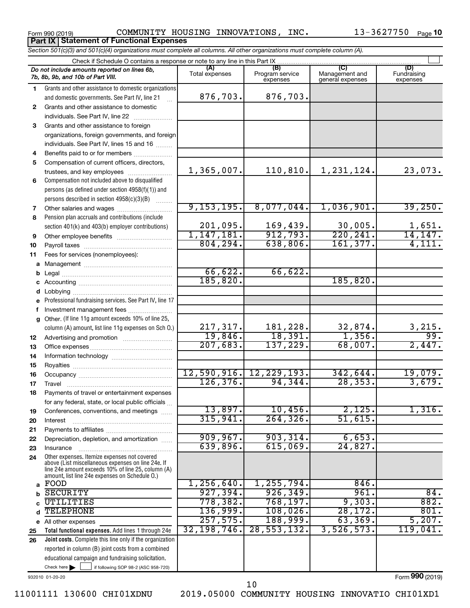**Part IX Statement of Functional Expenses**

Form 990 (2019)  $\sim$  COMMUNITY HOUSING INNOVATIONS, INC.  $\sim$  13-3627750  $_{\rm Page}$ 

|              | Section 501(c)(3) and 501(c)(4) organizations must complete all columns. All other organizations must complete column (A).                                                                                 |                       |                                    |                                           |                                |  |  |  |  |  |  |  |  |
|--------------|------------------------------------------------------------------------------------------------------------------------------------------------------------------------------------------------------------|-----------------------|------------------------------------|-------------------------------------------|--------------------------------|--|--|--|--|--|--|--|--|
|              | Check if Schedule O contains a response or note to any line in this Part IX                                                                                                                                |                       |                                    |                                           |                                |  |  |  |  |  |  |  |  |
|              | Do not include amounts reported on lines 6b,<br>7b, 8b, 9b, and 10b of Part VIII.                                                                                                                          | (A)<br>Total expenses | (B)<br>Program service<br>expenses | (C)<br>Management and<br>general expenses | (D)<br>Fundraising<br>expenses |  |  |  |  |  |  |  |  |
| 1.           | Grants and other assistance to domestic organizations                                                                                                                                                      |                       |                                    |                                           |                                |  |  |  |  |  |  |  |  |
|              | and domestic governments. See Part IV, line 21                                                                                                                                                             | 876,703.              | 876,703.                           |                                           |                                |  |  |  |  |  |  |  |  |
| $\mathbf{2}$ | Grants and other assistance to domestic                                                                                                                                                                    |                       |                                    |                                           |                                |  |  |  |  |  |  |  |  |
|              | individuals. See Part IV, line 22                                                                                                                                                                          |                       |                                    |                                           |                                |  |  |  |  |  |  |  |  |
| 3            | Grants and other assistance to foreign                                                                                                                                                                     |                       |                                    |                                           |                                |  |  |  |  |  |  |  |  |
|              | organizations, foreign governments, and foreign                                                                                                                                                            |                       |                                    |                                           |                                |  |  |  |  |  |  |  |  |
|              | individuals. See Part IV, lines 15 and 16                                                                                                                                                                  |                       |                                    |                                           |                                |  |  |  |  |  |  |  |  |
| 4            | Benefits paid to or for members                                                                                                                                                                            |                       |                                    |                                           |                                |  |  |  |  |  |  |  |  |
| 5            | Compensation of current officers, directors,                                                                                                                                                               |                       |                                    |                                           |                                |  |  |  |  |  |  |  |  |
|              | trustees, and key employees                                                                                                                                                                                | 1,365,007.            | 110, 810.                          | 1,231,124.                                | 23,073.                        |  |  |  |  |  |  |  |  |
| 6            | Compensation not included above to disqualified                                                                                                                                                            |                       |                                    |                                           |                                |  |  |  |  |  |  |  |  |
|              | persons (as defined under section 4958(f)(1)) and                                                                                                                                                          |                       |                                    |                                           |                                |  |  |  |  |  |  |  |  |
|              | persons described in section 4958(c)(3)(B)                                                                                                                                                                 | 9, 153, 195.          | 8,077,044.                         | 1,036,901.                                | 39,250.                        |  |  |  |  |  |  |  |  |
| 7<br>8       | Pension plan accruals and contributions (include                                                                                                                                                           |                       |                                    |                                           |                                |  |  |  |  |  |  |  |  |
|              | section 401(k) and 403(b) employer contributions)                                                                                                                                                          | 201,095.              | 169,439.                           | 30,005.                                   |                                |  |  |  |  |  |  |  |  |
| 9            |                                                                                                                                                                                                            | 1,147,181.            | 912,793.                           | 220, 241.                                 | $\frac{1,651}{14,147}$         |  |  |  |  |  |  |  |  |
| 10           |                                                                                                                                                                                                            | 804, 294.             | 638,806.                           | 161, 377.                                 | 4,111.                         |  |  |  |  |  |  |  |  |
| 11           | Fees for services (nonemployees):                                                                                                                                                                          |                       |                                    |                                           |                                |  |  |  |  |  |  |  |  |
| а            |                                                                                                                                                                                                            |                       |                                    |                                           |                                |  |  |  |  |  |  |  |  |
|              |                                                                                                                                                                                                            | 66,622.               | 66,622.                            |                                           |                                |  |  |  |  |  |  |  |  |
|              |                                                                                                                                                                                                            | 185, 820.             |                                    | 185,820.                                  |                                |  |  |  |  |  |  |  |  |
|              | Lobbying                                                                                                                                                                                                   |                       |                                    |                                           |                                |  |  |  |  |  |  |  |  |
|              | Professional fundraising services. See Part IV, line 17                                                                                                                                                    |                       |                                    |                                           |                                |  |  |  |  |  |  |  |  |
|              | Investment management fees                                                                                                                                                                                 |                       |                                    |                                           |                                |  |  |  |  |  |  |  |  |
| g            | Other. (If line 11g amount exceeds 10% of line 25,                                                                                                                                                         |                       |                                    |                                           |                                |  |  |  |  |  |  |  |  |
|              | column (A) amount, list line 11g expenses on Sch O.)                                                                                                                                                       | 217, 317.             | 181,228.                           | $\frac{32,874.}{1,356.}$                  | $\frac{3,215}{99}$ .           |  |  |  |  |  |  |  |  |
| 12           |                                                                                                                                                                                                            | 19,846.               | 18,391.                            |                                           |                                |  |  |  |  |  |  |  |  |
| 13           |                                                                                                                                                                                                            | 207,683.              | 137,229.                           | 68,007.                                   | 2,447.                         |  |  |  |  |  |  |  |  |
| 14           |                                                                                                                                                                                                            |                       |                                    |                                           |                                |  |  |  |  |  |  |  |  |
| 15           |                                                                                                                                                                                                            |                       |                                    |                                           |                                |  |  |  |  |  |  |  |  |
| 16           |                                                                                                                                                                                                            |                       | 12,590,916. 12,229,193.<br>94,344. | 342,644.<br>28, 353.                      | 19,079.                        |  |  |  |  |  |  |  |  |
| 17           |                                                                                                                                                                                                            | 126, 376.             |                                    |                                           | 3,679.                         |  |  |  |  |  |  |  |  |
| 18           | Payments of travel or entertainment expenses                                                                                                                                                               |                       |                                    |                                           |                                |  |  |  |  |  |  |  |  |
|              | for any federal, state, or local public officials<br>Conferences, conventions, and meetings                                                                                                                | 13,897.               | 10,456.                            | 2,125.                                    | 1,316.                         |  |  |  |  |  |  |  |  |
| 19<br>20     | Interest                                                                                                                                                                                                   | 315,941.              | 264, 326.                          | 51,615                                    |                                |  |  |  |  |  |  |  |  |
| 21           |                                                                                                                                                                                                            |                       |                                    |                                           |                                |  |  |  |  |  |  |  |  |
| 22           | Depreciation, depletion, and amortization                                                                                                                                                                  | 909, 967.             | 903, 314.                          | 6,653.                                    |                                |  |  |  |  |  |  |  |  |
| 23           | Insurance                                                                                                                                                                                                  | 639,896.              | 615,069.                           | 24,827.                                   |                                |  |  |  |  |  |  |  |  |
| 24           | Other expenses. Itemize expenses not covered<br>above (List miscellaneous expenses on line 24e. If<br>line 24e amount exceeds 10% of line 25, column (A)<br>amount, list line 24e expenses on Schedule O.) |                       |                                    |                                           |                                |  |  |  |  |  |  |  |  |
| a            | FOOD                                                                                                                                                                                                       | 1,256,640.            | 1, 255, 794.                       | 846.                                      |                                |  |  |  |  |  |  |  |  |
|              | <b>SECURITY</b>                                                                                                                                                                                            | 927,394.              | 926, 349.                          | 961.                                      | $\overline{84}$ .              |  |  |  |  |  |  |  |  |
|              | UTILITIES                                                                                                                                                                                                  | 778,382.              | 768, 197.                          | 9,303.                                    | 882.                           |  |  |  |  |  |  |  |  |
|              | <b>TELEPHONE</b>                                                                                                                                                                                           | 136,999.              | 108,026.                           | 28, 172.                                  | 801.                           |  |  |  |  |  |  |  |  |
|              | e All other expenses                                                                                                                                                                                       | 257,575.              | 188,999.                           | 63, 369.                                  | 5,207.                         |  |  |  |  |  |  |  |  |
| 25           | Total functional expenses. Add lines 1 through 24e                                                                                                                                                         | 32,198,746.           | 28, 553, 132.                      | 3,526,573.                                | 119,041.                       |  |  |  |  |  |  |  |  |
| 26           | Joint costs. Complete this line only if the organization                                                                                                                                                   |                       |                                    |                                           |                                |  |  |  |  |  |  |  |  |
|              | reported in column (B) joint costs from a combined                                                                                                                                                         |                       |                                    |                                           |                                |  |  |  |  |  |  |  |  |
|              | educational campaign and fundraising solicitation.                                                                                                                                                         |                       |                                    |                                           |                                |  |  |  |  |  |  |  |  |

932010 01-20-20

Check here

Form (2019) **990**

Check here  $\begin{array}{c} \begin{array}{|c} \hline \end{array} \end{array}$  if following SOP 98-2 (ASC 958-720)

11001111 130600 CHI01XDNU 2019.05000 COMMUNITY HOUSING INNOVATIO CHI01XD1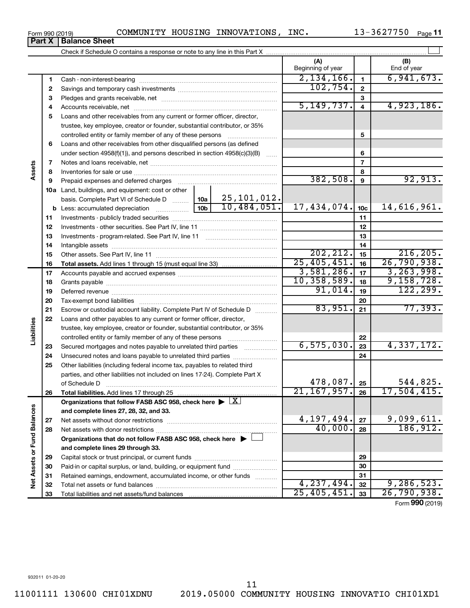Form 990 (2019) COMMUNITY HOUSING INNOVATIONS, INC.  $13-3627750$  Page

13-3627750 Page 11

|                             |          |                                                                                                                                                                                                                               |                 |               | (A)<br>Beginning of year   |                          | (B)<br>End of year |
|-----------------------------|----------|-------------------------------------------------------------------------------------------------------------------------------------------------------------------------------------------------------------------------------|-----------------|---------------|----------------------------|--------------------------|--------------------|
|                             | 1        |                                                                                                                                                                                                                               |                 |               | 2,134,166.                 | $\mathbf{1}$             | 6,941,673.         |
|                             | 2        |                                                                                                                                                                                                                               |                 |               | 102, 754.                  | $\mathbf{2}$             |                    |
|                             | З        |                                                                                                                                                                                                                               |                 |               |                            | 3                        |                    |
|                             | 4        |                                                                                                                                                                                                                               |                 |               | 5, 149, 737.               | $\overline{4}$           | 4,923,186.         |
|                             | 5        | Loans and other receivables from any current or former officer, director,                                                                                                                                                     |                 |               |                            |                          |                    |
|                             |          | trustee, key employee, creator or founder, substantial contributor, or 35%                                                                                                                                                    |                 |               |                            |                          |                    |
|                             |          | controlled entity or family member of any of these persons                                                                                                                                                                    |                 |               |                            | 5                        |                    |
|                             | 6        | Loans and other receivables from other disqualified persons (as defined                                                                                                                                                       |                 |               |                            |                          |                    |
|                             |          | under section 4958(f)(1)), and persons described in section 4958(c)(3)(B)                                                                                                                                                     |                 |               |                            | 6                        |                    |
|                             | 7        |                                                                                                                                                                                                                               |                 |               |                            | $\overline{\phantom{a}}$ |                    |
| Assets                      | 8        |                                                                                                                                                                                                                               |                 |               |                            | 8                        |                    |
|                             | 9        | Prepaid expenses and deferred charges [11] [11] Prepaid expenses and deferred charges [11] [11] Martin Marian Marian Marian Marian Marian Marian Marian Marian Marian Marian Marian Marian Marian Marian Marian Marian Marian |                 |               | 382,508.                   | $\boldsymbol{9}$         | 92,913.            |
|                             |          | 10a Land, buildings, and equipment: cost or other                                                                                                                                                                             |                 |               |                            |                          |                    |
|                             |          | basis. Complete Part VI of Schedule D                                                                                                                                                                                         | 10a             | 25, 101, 012. |                            |                          |                    |
|                             |          | <b>b</b> Less: accumulated depreciation <i>mimimimini</i> ng                                                                                                                                                                  | 10 <sub>b</sub> | 10,484,051.   | 17,434,074.                | 10 <sub>c</sub>          | 14,616,961.        |
|                             | 11       |                                                                                                                                                                                                                               |                 |               | 11                         |                          |                    |
|                             | 12       |                                                                                                                                                                                                                               |                 | 12            |                            |                          |                    |
|                             | 13       |                                                                                                                                                                                                                               |                 | 13            |                            |                          |                    |
|                             | 14       |                                                                                                                                                                                                                               |                 | 14            |                            |                          |                    |
|                             | 15       |                                                                                                                                                                                                                               |                 |               | 202, 212.                  | 15                       | 216, 205.          |
|                             | 16       |                                                                                                                                                                                                                               |                 |               | 25,405,451.                | 16                       | 26, 790, 938.      |
|                             | 17       |                                                                                                                                                                                                                               |                 |               | 3,581,286.                 | 17                       | 3, 263, 998.       |
|                             | 18       |                                                                                                                                                                                                                               | 10, 358, 589.   | 18            | 9,158,728.<br>122, 299.    |                          |                    |
|                             | 19       |                                                                                                                                                                                                                               | 91,014.         | 19            |                            |                          |                    |
|                             | 20       |                                                                                                                                                                                                                               |                 |               | 83,951.                    | 20                       | 77,393.            |
|                             | 21       | Escrow or custodial account liability. Complete Part IV of Schedule D                                                                                                                                                         |                 |               |                            | 21                       |                    |
| Liabilities                 | 22       | Loans and other payables to any current or former officer, director,                                                                                                                                                          |                 |               |                            |                          |                    |
|                             |          | trustee, key employee, creator or founder, substantial contributor, or 35%                                                                                                                                                    |                 |               |                            |                          |                    |
|                             |          |                                                                                                                                                                                                                               |                 |               | 6, 575, 030.               | 22<br>23                 | 4,337,172.         |
|                             | 23       | Secured mortgages and notes payable to unrelated third parties <i>mummum</i>                                                                                                                                                  |                 |               |                            | 24                       |                    |
|                             | 24<br>25 | Other liabilities (including federal income tax, payables to related third                                                                                                                                                    |                 |               |                            |                          |                    |
|                             |          | parties, and other liabilities not included on lines 17-24). Complete Part X                                                                                                                                                  |                 |               |                            |                          |                    |
|                             |          | of Schedule D                                                                                                                                                                                                                 |                 |               | 478,087.                   | 25                       | 544,825.           |
|                             | 26       | Total liabilities. Add lines 17 through 25                                                                                                                                                                                    |                 |               | $\overline{21, 167, 957.}$ | 26                       | 17,504,415.        |
|                             |          | Organizations that follow FASB ASC 958, check here $\blacktriangleright \lfloor \underline{X} \rfloor$                                                                                                                        |                 |               |                            |                          |                    |
|                             |          | and complete lines 27, 28, 32, and 33.                                                                                                                                                                                        |                 |               |                            |                          |                    |
|                             | 27       |                                                                                                                                                                                                                               |                 |               | 4,197,494.                 | 27                       | 9,099,611.         |
|                             | 28       |                                                                                                                                                                                                                               |                 |               | 40,000.                    | 28                       | 186, 912.          |
|                             |          | Organizations that do not follow FASB ASC 958, check here $\blacktriangleright$                                                                                                                                               |                 |               |                            |                          |                    |
|                             |          | and complete lines 29 through 33.                                                                                                                                                                                             |                 |               |                            |                          |                    |
|                             | 29       |                                                                                                                                                                                                                               |                 |               |                            | 29                       |                    |
|                             | 30       | Paid-in or capital surplus, or land, building, or equipment fund                                                                                                                                                              |                 |               |                            | 30                       |                    |
|                             | 31       | Retained earnings, endowment, accumulated income, or other funds                                                                                                                                                              |                 |               |                            | 31                       |                    |
| Net Assets or Fund Balances | 32       |                                                                                                                                                                                                                               |                 |               | 4,237,494.                 | 32                       | 9, 286, 523.       |
|                             | 33       |                                                                                                                                                                                                                               |                 |               | 25,405,451.                | 33                       | 26,790,938.        |
|                             |          |                                                                                                                                                                                                                               |                 |               |                            |                          |                    |

Form (2019) **990**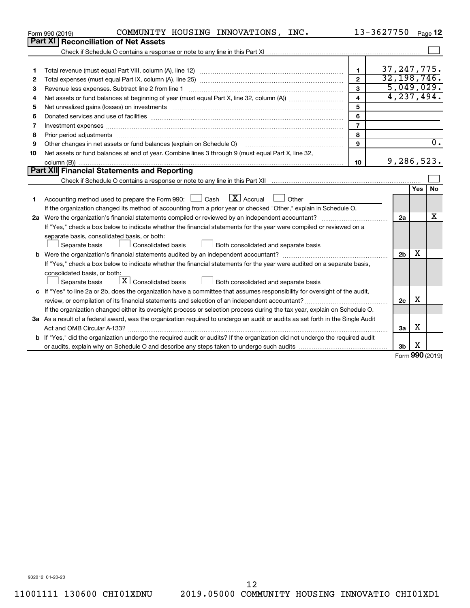|    | COMMUNITY HOUSING INNOVATIONS, INC.<br>Form 990 (2019)                                                                                                                                                                         |                         | 13-3627750     |                 | Page 12          |  |  |  |  |
|----|--------------------------------------------------------------------------------------------------------------------------------------------------------------------------------------------------------------------------------|-------------------------|----------------|-----------------|------------------|--|--|--|--|
|    | Part XI<br><b>Reconciliation of Net Assets</b>                                                                                                                                                                                 |                         |                |                 |                  |  |  |  |  |
|    |                                                                                                                                                                                                                                |                         |                |                 |                  |  |  |  |  |
|    |                                                                                                                                                                                                                                |                         |                |                 |                  |  |  |  |  |
| 1  |                                                                                                                                                                                                                                | 1                       | 37, 247, 775.  |                 |                  |  |  |  |  |
| 2  |                                                                                                                                                                                                                                | $\mathbf{2}$            | 32, 198, 746.  |                 |                  |  |  |  |  |
| З  | Revenue less expenses. Subtract line 2 from line 1                                                                                                                                                                             | 3                       | 5,049,029.     |                 |                  |  |  |  |  |
| 4  |                                                                                                                                                                                                                                | $\overline{\mathbf{4}}$ | 4, 237, 494.   |                 |                  |  |  |  |  |
| 5  | 5                                                                                                                                                                                                                              |                         |                |                 |                  |  |  |  |  |
| 6  |                                                                                                                                                                                                                                | 6                       |                |                 |                  |  |  |  |  |
| 7  |                                                                                                                                                                                                                                | $\overline{7}$          |                |                 |                  |  |  |  |  |
| 8  | Prior period adjustments material contents and content and content and content and content and content and content and content and content and content and content and content and content and content and content and content | 8                       |                |                 |                  |  |  |  |  |
| 9  | Other changes in net assets or fund balances (explain on Schedule O)                                                                                                                                                           | 9                       |                |                 | $\overline{0}$ . |  |  |  |  |
| 10 | Net assets or fund balances at end of year. Combine lines 3 through 9 (must equal Part X, line 32,                                                                                                                             |                         |                |                 |                  |  |  |  |  |
|    |                                                                                                                                                                                                                                | 10                      | 9,286,523.     |                 |                  |  |  |  |  |
|    | <b>Part XII Financial Statements and Reporting</b>                                                                                                                                                                             |                         |                |                 |                  |  |  |  |  |
|    |                                                                                                                                                                                                                                |                         |                |                 |                  |  |  |  |  |
|    |                                                                                                                                                                                                                                |                         |                | <b>Yes</b>      | <b>No</b>        |  |  |  |  |
| 1  | $\mathbf{X}$ Accrual<br>Accounting method used to prepare the Form 990: [130] Cash<br>Other                                                                                                                                    |                         |                |                 |                  |  |  |  |  |
|    | If the organization changed its method of accounting from a prior year or checked "Other," explain in Schedule O.                                                                                                              |                         |                |                 |                  |  |  |  |  |
|    |                                                                                                                                                                                                                                |                         |                |                 |                  |  |  |  |  |
|    | If "Yes," check a box below to indicate whether the financial statements for the year were compiled or reviewed on a                                                                                                           |                         |                |                 |                  |  |  |  |  |
|    | separate basis, consolidated basis, or both:                                                                                                                                                                                   |                         |                |                 |                  |  |  |  |  |
|    | Separate basis<br>Consolidated basis<br>Both consolidated and separate basis                                                                                                                                                   |                         |                |                 |                  |  |  |  |  |
|    |                                                                                                                                                                                                                                |                         | 2 <sub>b</sub> | х               |                  |  |  |  |  |
|    | If "Yes," check a box below to indicate whether the financial statements for the year were audited on a separate basis,                                                                                                        |                         |                |                 |                  |  |  |  |  |
|    | consolidated basis, or both:                                                                                                                                                                                                   |                         |                |                 |                  |  |  |  |  |
|    | $\boxed{\textbf{X}}$ Consolidated basis<br>Both consolidated and separate basis<br>Separate basis                                                                                                                              |                         |                |                 |                  |  |  |  |  |
|    | c If "Yes" to line 2a or 2b, does the organization have a committee that assumes responsibility for oversight of the audit,                                                                                                    |                         |                |                 |                  |  |  |  |  |
|    |                                                                                                                                                                                                                                |                         | 2c             | х               |                  |  |  |  |  |
|    | If the organization changed either its oversight process or selection process during the tax year, explain on Schedule O.                                                                                                      |                         |                |                 |                  |  |  |  |  |
|    | 3a As a result of a federal award, was the organization required to undergo an audit or audits as set forth in the Single Audit                                                                                                |                         |                |                 |                  |  |  |  |  |
|    |                                                                                                                                                                                                                                |                         | 3a             | х               |                  |  |  |  |  |
|    | <b>b</b> If "Yes," did the organization undergo the required audit or audits? If the organization did not undergo the required audit                                                                                           |                         |                |                 |                  |  |  |  |  |
|    |                                                                                                                                                                                                                                |                         | 3b             | X               |                  |  |  |  |  |
|    |                                                                                                                                                                                                                                |                         |                | $000 \text{ m}$ |                  |  |  |  |  |

Form (2019) **990**

932012 01-20-20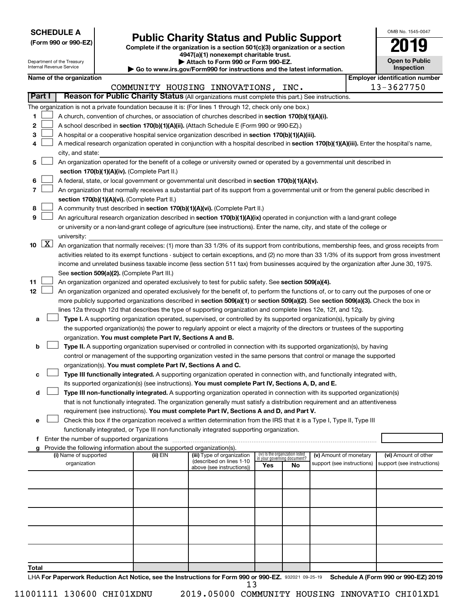| <b>SCHEDULE A</b> |  |
|-------------------|--|
|-------------------|--|

| (Form 990 or 990-EZ) |  |  |  |  |  |  |
|----------------------|--|--|--|--|--|--|
|----------------------|--|--|--|--|--|--|

## Form 990 or 990-EZ) **Public Charity Status and Public Support**<br>
Complete if the organization is a section 501(c)(3) organization or a section<br> **2019**

**4947(a)(1) nonexempt charitable trust.**

| OMB No 1545-0047                    |
|-------------------------------------|
| 019                                 |
| <b>Open to Public</b><br>Inspection |

 $\Box$ 

|       |                     | Department of the Treasury<br>Internal Revenue Service                                                                             |  |                                                                        | Attach to Form 990 or Form 990-EZ.<br>Go to www.irs.gov/Form990 for instructions and the latest information.                                                                                                                                                                           |     |                                                                |                            |  | <b>Open to Public</b><br>Inspection   |  |
|-------|---------------------|------------------------------------------------------------------------------------------------------------------------------------|--|------------------------------------------------------------------------|----------------------------------------------------------------------------------------------------------------------------------------------------------------------------------------------------------------------------------------------------------------------------------------|-----|----------------------------------------------------------------|----------------------------|--|---------------------------------------|--|
|       |                     | Name of the organization                                                                                                           |  |                                                                        |                                                                                                                                                                                                                                                                                        |     |                                                                |                            |  | <b>Employer identification number</b> |  |
|       |                     |                                                                                                                                    |  |                                                                        | COMMUNITY HOUSING INNOVATIONS, INC.                                                                                                                                                                                                                                                    |     |                                                                |                            |  | 13-3627750                            |  |
|       | Part I              |                                                                                                                                    |  |                                                                        | Reason for Public Charity Status (All organizations must complete this part.) See instructions.                                                                                                                                                                                        |     |                                                                |                            |  |                                       |  |
|       |                     |                                                                                                                                    |  |                                                                        | The organization is not a private foundation because it is: (For lines 1 through 12, check only one box.)                                                                                                                                                                              |     |                                                                |                            |  |                                       |  |
| 1     |                     |                                                                                                                                    |  |                                                                        | A church, convention of churches, or association of churches described in section 170(b)(1)(A)(i).                                                                                                                                                                                     |     |                                                                |                            |  |                                       |  |
| 2     |                     |                                                                                                                                    |  |                                                                        | A school described in section 170(b)(1)(A)(ii). (Attach Schedule E (Form 990 or 990-EZ).)                                                                                                                                                                                              |     |                                                                |                            |  |                                       |  |
| 3     |                     |                                                                                                                                    |  |                                                                        | A hospital or a cooperative hospital service organization described in section 170(b)(1)(A)(iii).                                                                                                                                                                                      |     |                                                                |                            |  |                                       |  |
| 4     |                     |                                                                                                                                    |  |                                                                        | A medical research organization operated in conjunction with a hospital described in section 170(b)(1)(A)(iii). Enter the hospital's name,                                                                                                                                             |     |                                                                |                            |  |                                       |  |
|       |                     | city, and state:                                                                                                                   |  |                                                                        |                                                                                                                                                                                                                                                                                        |     |                                                                |                            |  |                                       |  |
| 5     |                     |                                                                                                                                    |  |                                                                        | An organization operated for the benefit of a college or university owned or operated by a governmental unit described in                                                                                                                                                              |     |                                                                |                            |  |                                       |  |
|       |                     |                                                                                                                                    |  | section 170(b)(1)(A)(iv). (Complete Part II.)                          |                                                                                                                                                                                                                                                                                        |     |                                                                |                            |  |                                       |  |
| 6     |                     | A federal, state, or local government or governmental unit described in section 170(b)(1)(A)(v).                                   |  |                                                                        |                                                                                                                                                                                                                                                                                        |     |                                                                |                            |  |                                       |  |
| 7     |                     |                                                                                                                                    |  |                                                                        | An organization that normally receives a substantial part of its support from a governmental unit or from the general public described in                                                                                                                                              |     |                                                                |                            |  |                                       |  |
|       |                     |                                                                                                                                    |  | section 170(b)(1)(A)(vi). (Complete Part II.)                          |                                                                                                                                                                                                                                                                                        |     |                                                                |                            |  |                                       |  |
| 8     |                     |                                                                                                                                    |  |                                                                        | A community trust described in section 170(b)(1)(A)(vi). (Complete Part II.)                                                                                                                                                                                                           |     |                                                                |                            |  |                                       |  |
| 9     |                     |                                                                                                                                    |  |                                                                        | An agricultural research organization described in section 170(b)(1)(A)(ix) operated in conjunction with a land-grant college                                                                                                                                                          |     |                                                                |                            |  |                                       |  |
|       |                     |                                                                                                                                    |  |                                                                        | or university or a non-land-grant college of agriculture (see instructions). Enter the name, city, and state of the college or                                                                                                                                                         |     |                                                                |                            |  |                                       |  |
|       | $\lfloor x \rfloor$ | university:                                                                                                                        |  |                                                                        |                                                                                                                                                                                                                                                                                        |     |                                                                |                            |  |                                       |  |
| 10    |                     |                                                                                                                                    |  |                                                                        | An organization that normally receives: (1) more than 33 1/3% of its support from contributions, membership fees, and gross receipts from                                                                                                                                              |     |                                                                |                            |  |                                       |  |
|       |                     |                                                                                                                                    |  |                                                                        | activities related to its exempt functions - subject to certain exceptions, and (2) no more than 33 1/3% of its support from gross investment<br>income and unrelated business taxable income (less section 511 tax) from businesses acquired by the organization after June 30, 1975. |     |                                                                |                            |  |                                       |  |
|       |                     |                                                                                                                                    |  | See section 509(a)(2). (Complete Part III.)                            |                                                                                                                                                                                                                                                                                        |     |                                                                |                            |  |                                       |  |
| 11    |                     |                                                                                                                                    |  |                                                                        | An organization organized and operated exclusively to test for public safety. See section 509(a)(4).                                                                                                                                                                                   |     |                                                                |                            |  |                                       |  |
| 12    |                     |                                                                                                                                    |  |                                                                        | An organization organized and operated exclusively for the benefit of, to perform the functions of, or to carry out the purposes of one or                                                                                                                                             |     |                                                                |                            |  |                                       |  |
|       |                     | more publicly supported organizations described in section 509(a)(1) or section 509(a)(2). See section 509(a)(3). Check the box in |  |                                                                        |                                                                                                                                                                                                                                                                                        |     |                                                                |                            |  |                                       |  |
|       |                     | lines 12a through 12d that describes the type of supporting organization and complete lines 12e, 12f, and 12g.                     |  |                                                                        |                                                                                                                                                                                                                                                                                        |     |                                                                |                            |  |                                       |  |
| а     |                     |                                                                                                                                    |  |                                                                        | Type I. A supporting organization operated, supervised, or controlled by its supported organization(s), typically by giving                                                                                                                                                            |     |                                                                |                            |  |                                       |  |
|       |                     |                                                                                                                                    |  |                                                                        | the supported organization(s) the power to regularly appoint or elect a majority of the directors or trustees of the supporting                                                                                                                                                        |     |                                                                |                            |  |                                       |  |
|       |                     |                                                                                                                                    |  | organization. You must complete Part IV, Sections A and B.             |                                                                                                                                                                                                                                                                                        |     |                                                                |                            |  |                                       |  |
| b     |                     |                                                                                                                                    |  |                                                                        | Type II. A supporting organization supervised or controlled in connection with its supported organization(s), by having                                                                                                                                                                |     |                                                                |                            |  |                                       |  |
|       |                     |                                                                                                                                    |  |                                                                        | control or management of the supporting organization vested in the same persons that control or manage the supported                                                                                                                                                                   |     |                                                                |                            |  |                                       |  |
|       |                     |                                                                                                                                    |  | organization(s). You must complete Part IV, Sections A and C.          |                                                                                                                                                                                                                                                                                        |     |                                                                |                            |  |                                       |  |
| c     |                     |                                                                                                                                    |  |                                                                        | Type III functionally integrated. A supporting organization operated in connection with, and functionally integrated with,                                                                                                                                                             |     |                                                                |                            |  |                                       |  |
|       |                     |                                                                                                                                    |  |                                                                        | its supported organization(s) (see instructions). You must complete Part IV, Sections A, D, and E.                                                                                                                                                                                     |     |                                                                |                            |  |                                       |  |
| d     |                     |                                                                                                                                    |  |                                                                        | Type III non-functionally integrated. A supporting organization operated in connection with its supported organization(s)                                                                                                                                                              |     |                                                                |                            |  |                                       |  |
|       |                     |                                                                                                                                    |  |                                                                        | that is not functionally integrated. The organization generally must satisfy a distribution requirement and an attentiveness                                                                                                                                                           |     |                                                                |                            |  |                                       |  |
| e     |                     |                                                                                                                                    |  |                                                                        | requirement (see instructions). You must complete Part IV, Sections A and D, and Part V.<br>Check this box if the organization received a written determination from the IRS that it is a Type I, Type II, Type III                                                                    |     |                                                                |                            |  |                                       |  |
|       |                     |                                                                                                                                    |  |                                                                        | functionally integrated, or Type III non-functionally integrated supporting organization.                                                                                                                                                                                              |     |                                                                |                            |  |                                       |  |
|       |                     |                                                                                                                                    |  |                                                                        |                                                                                                                                                                                                                                                                                        |     |                                                                |                            |  |                                       |  |
|       |                     |                                                                                                                                    |  | Provide the following information about the supported organization(s). |                                                                                                                                                                                                                                                                                        |     |                                                                |                            |  |                                       |  |
|       |                     | (i) Name of supported                                                                                                              |  | (ii) EIN                                                               | (iii) Type of organization                                                                                                                                                                                                                                                             |     | (iv) Is the organization listed<br>in your governing document? | (v) Amount of monetary     |  | (vi) Amount of other                  |  |
|       |                     | organization                                                                                                                       |  |                                                                        | (described on lines 1-10)<br>above (see instructions))                                                                                                                                                                                                                                 | Yes | No                                                             | support (see instructions) |  | support (see instructions)            |  |
|       |                     |                                                                                                                                    |  |                                                                        |                                                                                                                                                                                                                                                                                        |     |                                                                |                            |  |                                       |  |
|       |                     |                                                                                                                                    |  |                                                                        |                                                                                                                                                                                                                                                                                        |     |                                                                |                            |  |                                       |  |
|       |                     |                                                                                                                                    |  |                                                                        |                                                                                                                                                                                                                                                                                        |     |                                                                |                            |  |                                       |  |
|       |                     |                                                                                                                                    |  |                                                                        |                                                                                                                                                                                                                                                                                        |     |                                                                |                            |  |                                       |  |
|       |                     |                                                                                                                                    |  |                                                                        |                                                                                                                                                                                                                                                                                        |     |                                                                |                            |  |                                       |  |
|       |                     |                                                                                                                                    |  |                                                                        |                                                                                                                                                                                                                                                                                        |     |                                                                |                            |  |                                       |  |
|       |                     |                                                                                                                                    |  |                                                                        |                                                                                                                                                                                                                                                                                        |     |                                                                |                            |  |                                       |  |
|       |                     |                                                                                                                                    |  |                                                                        |                                                                                                                                                                                                                                                                                        |     |                                                                |                            |  |                                       |  |
|       |                     |                                                                                                                                    |  |                                                                        |                                                                                                                                                                                                                                                                                        |     |                                                                |                            |  |                                       |  |
| Total |                     |                                                                                                                                    |  |                                                                        |                                                                                                                                                                                                                                                                                        |     |                                                                |                            |  |                                       |  |
|       |                     |                                                                                                                                    |  |                                                                        |                                                                                                                                                                                                                                                                                        |     |                                                                |                            |  |                                       |  |

LHA For Paperwork Reduction Act Notice, see the Instructions for Form 990 or 990-EZ. 932021 09-25-19 Schedule A (Form 990 or 990-EZ) 2019 13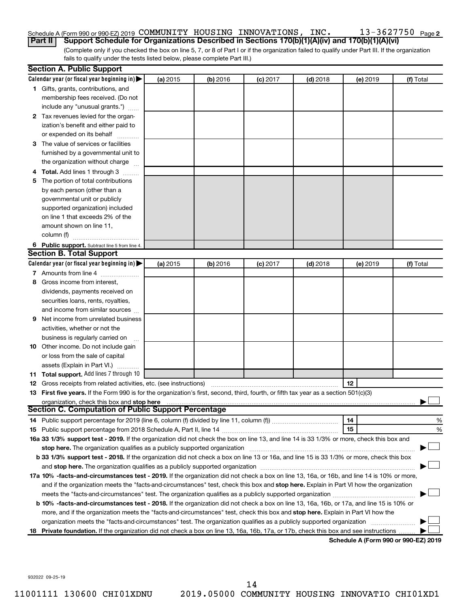#### 13-3627750 Page 2 Schedule A (Form 990 or 990-EZ) 2019 Page COMMUNITY HOUSING INNOVATIONS, INC. 13-3627750 **Part II Support Schedule for Organizations Described in Sections 170(b)(1)(A)(iv) and 170(b)(1)(A)(vi)**

(Complete only if you checked the box on line 5, 7, or 8 of Part I or if the organization failed to qualify under Part III. If the organization fails to qualify under the tests listed below, please complete Part III.)

|   | <b>Section A. Public Support</b>                                                                                                               |          |          |            |            |          |           |
|---|------------------------------------------------------------------------------------------------------------------------------------------------|----------|----------|------------|------------|----------|-----------|
|   | Calendar year (or fiscal year beginning in) $\blacktriangleright$                                                                              | (a) 2015 | (b) 2016 | $(c)$ 2017 | $(d)$ 2018 | (e) 2019 | (f) Total |
|   | 1 Gifts, grants, contributions, and                                                                                                            |          |          |            |            |          |           |
|   | membership fees received. (Do not                                                                                                              |          |          |            |            |          |           |
|   | include any "unusual grants.")                                                                                                                 |          |          |            |            |          |           |
|   | 2 Tax revenues levied for the organ-                                                                                                           |          |          |            |            |          |           |
|   | ization's benefit and either paid to                                                                                                           |          |          |            |            |          |           |
|   | or expended on its behalf                                                                                                                      |          |          |            |            |          |           |
|   | 3 The value of services or facilities                                                                                                          |          |          |            |            |          |           |
|   | furnished by a governmental unit to                                                                                                            |          |          |            |            |          |           |
|   | the organization without charge                                                                                                                |          |          |            |            |          |           |
|   | 4 Total. Add lines 1 through 3                                                                                                                 |          |          |            |            |          |           |
|   | 5 The portion of total contributions                                                                                                           |          |          |            |            |          |           |
|   | by each person (other than a                                                                                                                   |          |          |            |            |          |           |
|   | governmental unit or publicly                                                                                                                  |          |          |            |            |          |           |
|   | supported organization) included                                                                                                               |          |          |            |            |          |           |
|   | on line 1 that exceeds 2% of the                                                                                                               |          |          |            |            |          |           |
|   | amount shown on line 11,                                                                                                                       |          |          |            |            |          |           |
|   | column (f)                                                                                                                                     |          |          |            |            |          |           |
|   | 6 Public support. Subtract line 5 from line 4.                                                                                                 |          |          |            |            |          |           |
|   | <b>Section B. Total Support</b>                                                                                                                |          |          |            |            |          |           |
|   | Calendar year (or fiscal year beginning in) $\blacktriangleright$                                                                              | (a) 2015 | (b) 2016 | $(c)$ 2017 | $(d)$ 2018 | (e) 2019 | (f) Total |
|   | 7 Amounts from line 4                                                                                                                          |          |          |            |            |          |           |
| 8 | Gross income from interest,                                                                                                                    |          |          |            |            |          |           |
|   | dividends, payments received on                                                                                                                |          |          |            |            |          |           |
|   | securities loans, rents, royalties,                                                                                                            |          |          |            |            |          |           |
|   | and income from similar sources                                                                                                                |          |          |            |            |          |           |
|   | <b>9</b> Net income from unrelated business                                                                                                    |          |          |            |            |          |           |
|   | activities, whether or not the                                                                                                                 |          |          |            |            |          |           |
|   | business is regularly carried on                                                                                                               |          |          |            |            |          |           |
|   | 10 Other income. Do not include gain                                                                                                           |          |          |            |            |          |           |
|   | or loss from the sale of capital                                                                                                               |          |          |            |            |          |           |
|   | assets (Explain in Part VI.)                                                                                                                   |          |          |            |            |          |           |
|   | 11 Total support. Add lines 7 through 10                                                                                                       |          |          |            |            |          |           |
|   | <b>12</b> Gross receipts from related activities, etc. (see instructions)                                                                      |          |          |            |            | 12       |           |
|   | 13 First five years. If the Form 990 is for the organization's first, second, third, fourth, or fifth tax year as a section 501(c)(3)          |          |          |            |            |          |           |
|   | organization, check this box and stop here                                                                                                     |          |          |            |            |          |           |
|   | <b>Section C. Computation of Public Support Percentage</b>                                                                                     |          |          |            |            |          |           |
|   |                                                                                                                                                |          |          |            |            | 14       | %         |
|   |                                                                                                                                                |          |          |            |            | 15       | %         |
|   | 16a 33 1/3% support test - 2019. If the organization did not check the box on line 13, and line 14 is 33 1/3% or more, check this box and      |          |          |            |            |          |           |
|   | stop here. The organization qualifies as a publicly supported organization                                                                     |          |          |            |            |          |           |
|   | b 33 1/3% support test - 2018. If the organization did not check a box on line 13 or 16a, and line 15 is 33 1/3% or more, check this box       |          |          |            |            |          |           |
|   |                                                                                                                                                |          |          |            |            |          |           |
|   | 17a 10% -facts-and-circumstances test - 2019. If the organization did not check a box on line 13, 16a, or 16b, and line 14 is 10% or more,     |          |          |            |            |          |           |
|   | and if the organization meets the "facts-and-circumstances" test, check this box and stop here. Explain in Part VI how the organization        |          |          |            |            |          |           |
|   |                                                                                                                                                |          |          |            |            |          |           |
|   | <b>b 10%</b> -facts-and-circumstances test - 2018. If the organization did not check a box on line 13, 16a, 16b, or 17a, and line 15 is 10% or |          |          |            |            |          |           |
|   | more, and if the organization meets the "facts-and-circumstances" test, check this box and stop here. Explain in Part VI how the               |          |          |            |            |          |           |
|   | organization meets the "facts-and-circumstances" test. The organization qualifies as a publicly supported organization                         |          |          |            |            |          |           |
|   | 18 Private foundation. If the organization did not check a box on line 13, 16a, 16b, 17a, or 17b, check this box and see instructions.         |          |          |            |            |          |           |
|   |                                                                                                                                                |          |          |            |            |          |           |

**Schedule A (Form 990 or 990-EZ) 2019**

932022 09-25-19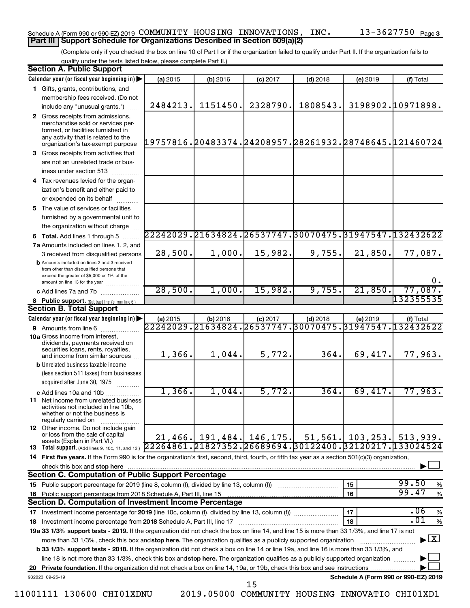## Schedule A (Form 990 or 990-EZ) 2019 Page COMMUNITY HOUSING INNOVATIONS, INC. 13-3627750 **Part III Support Schedule for Organizations Described in Section 509(a)(2)**

(Complete only if you checked the box on line 10 of Part I or if the organization failed to qualify under Part II. If the organization fails to qualify under the tests listed below, please complete Part II.)

| <b>Section A. Public Support</b>                                                                                                                                                         |                    |            |                                 |            |           |                                                        |
|------------------------------------------------------------------------------------------------------------------------------------------------------------------------------------------|--------------------|------------|---------------------------------|------------|-----------|--------------------------------------------------------|
| Calendar year (or fiscal year beginning in)                                                                                                                                              | (a) 2015           | (b) 2016   | $(c)$ 2017                      | $(d)$ 2018 | (e) 2019  | (f) Total                                              |
| 1 Gifts, grants, contributions, and                                                                                                                                                      |                    |            |                                 |            |           |                                                        |
| membership fees received. (Do not                                                                                                                                                        |                    |            |                                 |            |           |                                                        |
| include any "unusual grants.")                                                                                                                                                           | 2484213.           | 1151450.   | 2328790.                        | 1808543.   |           | 3198902.10971898.                                      |
| 2 Gross receipts from admissions,<br>merchandise sold or services per-<br>formed, or facilities furnished in<br>any activity that is related to the<br>organization's tax-exempt purpose |                    |            |                                 |            |           | 19757816.20483374.24208957.28261932.28748645.121460724 |
| 3 Gross receipts from activities that                                                                                                                                                    |                    |            |                                 |            |           |                                                        |
| are not an unrelated trade or bus-                                                                                                                                                       |                    |            |                                 |            |           |                                                        |
| iness under section 513                                                                                                                                                                  |                    |            |                                 |            |           |                                                        |
| 4 Tax revenues levied for the organ-                                                                                                                                                     |                    |            |                                 |            |           |                                                        |
| ization's benefit and either paid to                                                                                                                                                     |                    |            |                                 |            |           |                                                        |
| or expended on its behalf                                                                                                                                                                |                    |            |                                 |            |           |                                                        |
| 5 The value of services or facilities                                                                                                                                                    |                    |            |                                 |            |           |                                                        |
| furnished by a governmental unit to                                                                                                                                                      |                    |            |                                 |            |           |                                                        |
| the organization without charge                                                                                                                                                          |                    |            |                                 |            |           |                                                        |
| <b>6 Total.</b> Add lines 1 through 5                                                                                                                                                    |                    |            |                                 |            |           | 22242029.21634824.26537747.30070475.31947547.132432622 |
| 7a Amounts included on lines 1, 2, and                                                                                                                                                   |                    |            |                                 |            |           |                                                        |
| 3 received from disqualified persons                                                                                                                                                     | 28,500.            | 1,000.     | 15,982.                         | 9,755.     | 21,850.   | 77,087.                                                |
| <b>b</b> Amounts included on lines 2 and 3 received<br>from other than disqualified persons that<br>exceed the greater of \$5,000 or 1% of the                                           |                    |            |                                 |            |           |                                                        |
| amount on line 13 for the year                                                                                                                                                           | 28,500.            | 1,000.     | 15,982.                         | 9,755.     | 21,850.   | 0.<br>77,087.                                          |
| c Add lines 7a and 7b                                                                                                                                                                    |                    |            |                                 |            |           | 132355535                                              |
| 8 Public support. (Subtract line 7c from line 6.)<br><b>Section B. Total Support</b>                                                                                                     |                    |            |                                 |            |           |                                                        |
| Calendar year (or fiscal year beginning in)                                                                                                                                              | (a) 2015           | $(b)$ 2016 | (c) 2017                        | $(d)$ 2018 | (e) 2019  | (f) Total                                              |
| 9 Amounts from line 6                                                                                                                                                                    | 22242029.21634824. |            | $\overline{26537747.30070475.}$ |            |           | 31947547.132432622                                     |
| <b>10a</b> Gross income from interest,<br>dividends, payments received on<br>securities loans, rents, royalties,<br>and income from similar sources                                      | 1,366.             | $1,044$ .  | 5,772.                          | 364.       | 69,417.   | 77,963.                                                |
| <b>b</b> Unrelated business taxable income                                                                                                                                               |                    |            |                                 |            |           |                                                        |
| (less section 511 taxes) from businesses<br>acquired after June 30, 1975                                                                                                                 |                    |            |                                 |            |           |                                                        |
| c Add lines 10a and 10b                                                                                                                                                                  | 1,366.             | $1,044$ .  | 5,772.                          | 364.       | 69,417.   | 77,963.                                                |
| <b>11</b> Net income from unrelated business<br>activities not included in line 10b,<br>whether or not the business is<br>regularly carried on                                           |                    |            |                                 |            |           |                                                        |
| <b>12</b> Other income. Do not include gain<br>or loss from the sale of capital<br>assets (Explain in Part VI.)                                                                          |                    |            | $21,466$ , 191,484, 146,175.    | 51, 561.   | 103, 253. | 513,939.                                               |
| 13 Total support. (Add lines 9, 10c, 11, and 12.) 22264861. 21827352. 26689694. 30122400. 32120217. 133024524                                                                            |                    |            |                                 |            |           |                                                        |
| 14 First five years. If the Form 990 is for the organization's first, second, third, fourth, or fifth tax year as a section 501(c)(3) organization,                                      |                    |            |                                 |            |           |                                                        |
| check this box and stop here                                                                                                                                                             |                    |            |                                 |            |           |                                                        |
| <b>Section C. Computation of Public Support Percentage</b>                                                                                                                               |                    |            |                                 |            |           |                                                        |
|                                                                                                                                                                                          |                    |            |                                 |            | 15        | 99.50<br>%                                             |
| 16 Public support percentage from 2018 Schedule A, Part III, line 15                                                                                                                     |                    |            |                                 |            | 16        | 99.47<br>$\%$                                          |
| Section D. Computation of Investment Income Percentage                                                                                                                                   |                    |            |                                 |            |           |                                                        |
|                                                                                                                                                                                          |                    |            |                                 |            | 17        | .06<br>$\%$                                            |
| 18 Investment income percentage from 2018 Schedule A, Part III, line 17                                                                                                                  |                    |            |                                 |            | 18        | $\overline{.01}$<br>%                                  |
| 19a 33 1/3% support tests - 2019. If the organization did not check the box on line 14, and line 15 is more than 33 1/3%, and line 17 is not                                             |                    |            |                                 |            |           |                                                        |
| more than 33 1/3%, check this box and stop here. The organization qualifies as a publicly supported organization                                                                         |                    |            |                                 |            |           | $\blacktriangleright$ $\boxed{\text{X}}$               |
| <b>b 33 1/3% support tests - 2018.</b> If the organization did not check a box on line 14 or line 19a, and line 16 is more than 33 1/3%, and                                             |                    |            |                                 |            |           |                                                        |
| line 18 is not more than 33 1/3%, check this box and stop here. The organization qualifies as a publicly supported organization                                                          |                    |            |                                 |            |           |                                                        |
|                                                                                                                                                                                          |                    |            |                                 |            |           |                                                        |
| 932023 09-25-19                                                                                                                                                                          |                    |            |                                 |            |           | Schedule A (Form 990 or 990-EZ) 2019                   |
|                                                                                                                                                                                          |                    |            | 15                              |            |           |                                                        |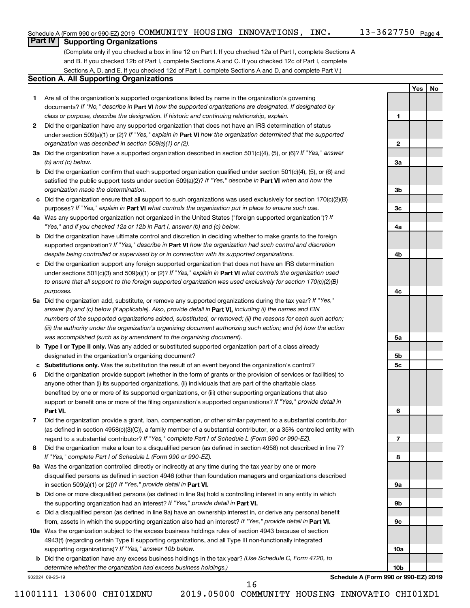**1**

**2**

**3a**

**3b**

**3c**

**4a**

**4b**

**4c**

**5a**

**5b 5c**

**6**

**7**

**8**

**9a**

**9b**

**9c**

**10a**

**10b**

**Yes No**

## **Part IV Supporting Organizations**

(Complete only if you checked a box in line 12 on Part I. If you checked 12a of Part I, complete Sections A and B. If you checked 12b of Part I, complete Sections A and C. If you checked 12c of Part I, complete Sections A, D, and E. If you checked 12d of Part I, complete Sections A and D, and complete Part V.)

## **Section A. All Supporting Organizations**

- **1** Are all of the organization's supported organizations listed by name in the organization's governing documents? If "No," describe in Part VI how the supported organizations are designated. If designated by *class or purpose, describe the designation. If historic and continuing relationship, explain.*
- **2** Did the organization have any supported organization that does not have an IRS determination of status under section 509(a)(1) or (2)? If "Yes," explain in Part **VI** how the organization determined that the supported *organization was described in section 509(a)(1) or (2).*
- **3a** Did the organization have a supported organization described in section 501(c)(4), (5), or (6)? If "Yes," answer *(b) and (c) below.*
- **b** Did the organization confirm that each supported organization qualified under section 501(c)(4), (5), or (6) and satisfied the public support tests under section 509(a)(2)? If "Yes," describe in Part VI when and how the *organization made the determination.*
- **c** Did the organization ensure that all support to such organizations was used exclusively for section 170(c)(2)(B) purposes? If "Yes," explain in Part VI what controls the organization put in place to ensure such use.
- **4 a** *If* Was any supported organization not organized in the United States ("foreign supported organization")? *"Yes," and if you checked 12a or 12b in Part I, answer (b) and (c) below.*
- **b** Did the organization have ultimate control and discretion in deciding whether to make grants to the foreign supported organization? If "Yes," describe in Part VI how the organization had such control and discretion *despite being controlled or supervised by or in connection with its supported organizations.*
- **c** Did the organization support any foreign supported organization that does not have an IRS determination under sections 501(c)(3) and 509(a)(1) or (2)? If "Yes," explain in Part VI what controls the organization used *to ensure that all support to the foreign supported organization was used exclusively for section 170(c)(2)(B) purposes.*
- **5a** Did the organization add, substitute, or remove any supported organizations during the tax year? If "Yes," answer (b) and (c) below (if applicable). Also, provide detail in **Part VI,** including (i) the names and EIN *numbers of the supported organizations added, substituted, or removed; (ii) the reasons for each such action; (iii) the authority under the organization's organizing document authorizing such action; and (iv) how the action was accomplished (such as by amendment to the organizing document).*
- **b** Type I or Type II only. Was any added or substituted supported organization part of a class already designated in the organization's organizing document?
- **c Substitutions only.**  Was the substitution the result of an event beyond the organization's control?
- **6** Did the organization provide support (whether in the form of grants or the provision of services or facilities) to **Part VI.** support or benefit one or more of the filing organization's supported organizations? If "Yes," provide detail in anyone other than (i) its supported organizations, (ii) individuals that are part of the charitable class benefited by one or more of its supported organizations, or (iii) other supporting organizations that also
- **7** Did the organization provide a grant, loan, compensation, or other similar payment to a substantial contributor regard to a substantial contributor? If "Yes," complete Part I of Schedule L (Form 990 or 990-EZ). (as defined in section 4958(c)(3)(C)), a family member of a substantial contributor, or a 35% controlled entity with
- **8** Did the organization make a loan to a disqualified person (as defined in section 4958) not described in line 7? *If "Yes," complete Part I of Schedule L (Form 990 or 990-EZ).*
- **9 a** Was the organization controlled directly or indirectly at any time during the tax year by one or more in section 509(a)(1) or (2))? If "Yes," provide detail in **Part VI.** disqualified persons as defined in section 4946 (other than foundation managers and organizations described
- **b** Did one or more disqualified persons (as defined in line 9a) hold a controlling interest in any entity in which the supporting organization had an interest? If "Yes," provide detail in Part VI.
- **c** Did a disqualified person (as defined in line 9a) have an ownership interest in, or derive any personal benefit from, assets in which the supporting organization also had an interest? If "Yes," provide detail in Part VI.
- **10 a** Was the organization subject to the excess business holdings rules of section 4943 because of section supporting organizations)? If "Yes," answer 10b below. 4943(f) (regarding certain Type II supporting organizations, and all Type III non-functionally integrated
	- **b** Did the organization have any excess business holdings in the tax year? (Use Schedule C, Form 4720, to *determine whether the organization had excess business holdings.)*

932024 09-25-19

**Schedule A (Form 990 or 990-EZ) 2019**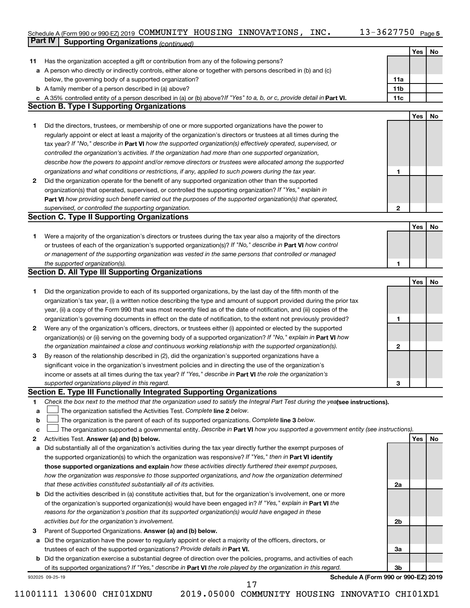#### Schedule A (Form 990 or 990-EZ) 2019 COMMUNITY HOUSING INNOVATIONS, INC.  $13-362/750$  Page COMMUNITY HOUSING INNOVATIONS, INC. 13-3627750

13-3627750 Page 5

|    | Part IV<br><b>Supporting Organizations (continued)</b>                                                                                                    |                 |            |    |
|----|-----------------------------------------------------------------------------------------------------------------------------------------------------------|-----------------|------------|----|
|    |                                                                                                                                                           |                 | Yes        | No |
| 11 | Has the organization accepted a gift or contribution from any of the following persons?                                                                   |                 |            |    |
|    | a A person who directly or indirectly controls, either alone or together with persons described in (b) and (c)                                            |                 |            |    |
|    | below, the governing body of a supported organization?                                                                                                    | 11a             |            |    |
|    | <b>b</b> A family member of a person described in (a) above?                                                                                              | 11 <sub>b</sub> |            |    |
|    | c A 35% controlled entity of a person described in (a) or (b) above? If "Yes" to a, b, or c, provide detail in Part VI.                                   | 11c             |            |    |
|    | <b>Section B. Type I Supporting Organizations</b>                                                                                                         |                 |            |    |
|    |                                                                                                                                                           |                 | <b>Yes</b> | No |
|    |                                                                                                                                                           |                 |            |    |
| 1  | Did the directors, trustees, or membership of one or more supported organizations have the power to                                                       |                 |            |    |
|    | regularly appoint or elect at least a majority of the organization's directors or trustees at all times during the                                        |                 |            |    |
|    | tax year? If "No," describe in Part VI how the supported organization(s) effectively operated, supervised, or                                             |                 |            |    |
|    | controlled the organization's activities. If the organization had more than one supported organization,                                                   |                 |            |    |
|    | describe how the powers to appoint and/or remove directors or trustees were allocated among the supported                                                 |                 |            |    |
|    | organizations and what conditions or restrictions, if any, applied to such powers during the tax year.                                                    | 1               |            |    |
| 2  | Did the organization operate for the benefit of any supported organization other than the supported                                                       |                 |            |    |
|    | organization(s) that operated, supervised, or controlled the supporting organization? If "Yes," explain in                                                |                 |            |    |
|    | Part VI how providing such benefit carried out the purposes of the supported organization(s) that operated,                                               |                 |            |    |
|    | supervised, or controlled the supporting organization.                                                                                                    | $\mathbf{2}$    |            |    |
|    | <b>Section C. Type II Supporting Organizations</b>                                                                                                        |                 |            |    |
|    |                                                                                                                                                           |                 | Yes        | No |
| 1  | Were a majority of the organization's directors or trustees during the tax year also a majority of the directors                                          |                 |            |    |
|    | or trustees of each of the organization's supported organization(s)? If "No," describe in Part VI how control                                             |                 |            |    |
|    | or management of the supporting organization was vested in the same persons that controlled or managed                                                    |                 |            |    |
|    | the supported organization(s).                                                                                                                            | 1               |            |    |
|    | <b>Section D. All Type III Supporting Organizations</b>                                                                                                   |                 |            |    |
|    |                                                                                                                                                           |                 | Yes        | No |
| 1  | Did the organization provide to each of its supported organizations, by the last day of the fifth month of the                                            |                 |            |    |
|    | organization's tax year, (i) a written notice describing the type and amount of support provided during the prior tax                                     |                 |            |    |
|    | year, (ii) a copy of the Form 990 that was most recently filed as of the date of notification, and (iii) copies of the                                    |                 |            |    |
|    |                                                                                                                                                           | 1               |            |    |
|    | organization's governing documents in effect on the date of notification, to the extent not previously provided?                                          |                 |            |    |
| 2  | Were any of the organization's officers, directors, or trustees either (i) appointed or elected by the supported                                          |                 |            |    |
|    | organization(s) or (ii) serving on the governing body of a supported organization? If "No," explain in Part VI how                                        |                 |            |    |
|    | the organization maintained a close and continuous working relationship with the supported organization(s).                                               | $\mathbf{2}$    |            |    |
| 3  | By reason of the relationship described in (2), did the organization's supported organizations have a                                                     |                 |            |    |
|    | significant voice in the organization's investment policies and in directing the use of the organization's                                                |                 |            |    |
|    | income or assets at all times during the tax year? If "Yes," describe in Part VI the role the organization's                                              |                 |            |    |
|    | supported organizations played in this regard.                                                                                                            | 3               |            |    |
|    | Section E. Type III Functionally Integrated Supporting Organizations                                                                                      |                 |            |    |
| 1  | Check the box next to the method that the organization used to satisfy the Integral Part Test during the yealsee instructions).                           |                 |            |    |
| a  | The organization satisfied the Activities Test. Complete line 2 below.                                                                                    |                 |            |    |
| b  | The organization is the parent of each of its supported organizations. Complete line 3 below.                                                             |                 |            |    |
| c  | The organization supported a governmental entity. Describe in Part VI how you supported a government entity (see instructions).                           |                 |            |    |
| 2  | Activities Test. Answer (a) and (b) below.                                                                                                                |                 | Yes        | No |
| а  | Did substantially all of the organization's activities during the tax year directly further the exempt purposes of                                        |                 |            |    |
|    | the supported organization(s) to which the organization was responsive? If "Yes," then in Part VI identify                                                |                 |            |    |
|    | those supported organizations and explain how these activities directly furthered their exempt purposes,                                                  |                 |            |    |
|    | how the organization was responsive to those supported organizations, and how the organization determined                                                 |                 |            |    |
|    | that these activities constituted substantially all of its activities.                                                                                    | 2a              |            |    |
|    | <b>b</b> Did the activities described in (a) constitute activities that, but for the organization's involvement, one or more                              |                 |            |    |
|    | of the organization's supported organization(s) would have been engaged in? If "Yes," explain in Part VI the                                              |                 |            |    |
|    | reasons for the organization's position that its supported organization(s) would have engaged in these                                                    |                 |            |    |
|    | activities but for the organization's involvement.                                                                                                        | 2b              |            |    |
| з  | Parent of Supported Organizations. Answer (a) and (b) below.                                                                                              |                 |            |    |
| а  | Did the organization have the power to regularly appoint or elect a majority of the officers, directors, or                                               |                 |            |    |
|    | trustees of each of the supported organizations? Provide details in Part VI.                                                                              | За              |            |    |
|    |                                                                                                                                                           |                 |            |    |
|    | <b>b</b> Did the organization exercise a substantial degree of direction over the policies, programs, and activities of each                              | Зb              |            |    |
|    | of its supported organizations? If "Yes," describe in Part VI the role played by the organization in this regard.<br>Schedule A (Form 990 or 990-EZ) 2019 |                 |            |    |
|    | 932025 09-25-19<br>17                                                                                                                                     |                 |            |    |
|    |                                                                                                                                                           |                 |            |    |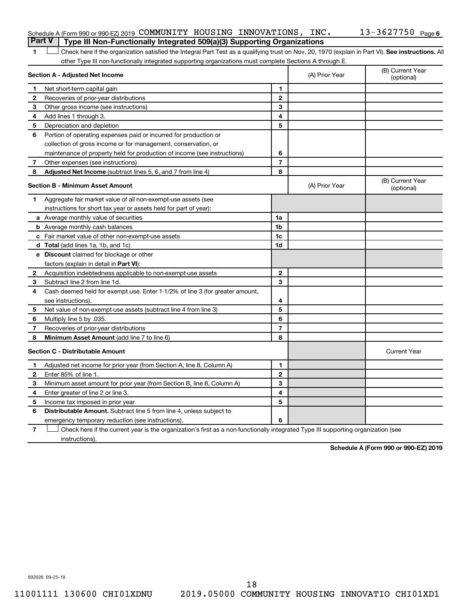| Schedule A (Form 990 or 990-EZ) 2019 COMMUNITY HOUSING INNOVATIONS, INC.<br><b>Part V</b> Type III Non-Functionally Integrated 509(a)(3) Supporting Organizations |  |  | $13 - 3627750$ Page 6 |  |
|-------------------------------------------------------------------------------------------------------------------------------------------------------------------|--|--|-----------------------|--|
|                                                                                                                                                                   |  |  |                       |  |

1 **Letter See instructions.** All Check here if the organization satisfied the Integral Part Test as a qualifying trust on Nov. 20, 1970 (explain in Part VI). See instructions. All other Type III non-functionally integrated supporting organizations must complete Sections A through E.

|              | Section A - Adjusted Net Income                                                                                                   |                          | (A) Prior Year | (B) Current Year<br>(optional) |
|--------------|-----------------------------------------------------------------------------------------------------------------------------------|--------------------------|----------------|--------------------------------|
| 1            | Net short-term capital gain                                                                                                       | 1                        |                |                                |
| 2            | Recoveries of prior-year distributions                                                                                            | $\mathbf{2}$             |                |                                |
| 3            | Other gross income (see instructions)                                                                                             | 3                        |                |                                |
| 4            | Add lines 1 through 3.                                                                                                            | 4                        |                |                                |
| 5            | Depreciation and depletion                                                                                                        | 5                        |                |                                |
| 6            | Portion of operating expenses paid or incurred for production or                                                                  |                          |                |                                |
|              | collection of gross income or for management, conservation, or                                                                    |                          |                |                                |
|              | maintenance of property held for production of income (see instructions)                                                          | 6                        |                |                                |
| 7            | Other expenses (see instructions)                                                                                                 | $\overline{\phantom{a}}$ |                |                                |
| 8            | Adjusted Net Income (subtract lines 5, 6, and 7 from line 4)                                                                      | 8                        |                |                                |
|              | <b>Section B - Minimum Asset Amount</b>                                                                                           |                          | (A) Prior Year | (B) Current Year<br>(optional) |
| 1.           | Aggregate fair market value of all non-exempt-use assets (see                                                                     |                          |                |                                |
|              | instructions for short tax year or assets held for part of year):                                                                 |                          |                |                                |
|              | <b>a</b> Average monthly value of securities                                                                                      | 1a                       |                |                                |
|              | <b>b</b> Average monthly cash balances                                                                                            | 1 <sub>b</sub>           |                |                                |
|              | c Fair market value of other non-exempt-use assets                                                                                | 1c                       |                |                                |
|              | d Total (add lines 1a, 1b, and 1c)                                                                                                | 1d                       |                |                                |
|              | e Discount claimed for blockage or other                                                                                          |                          |                |                                |
|              | factors (explain in detail in <b>Part VI</b> ):                                                                                   |                          |                |                                |
| 2            | Acquisition indebtedness applicable to non-exempt-use assets                                                                      | $\mathbf{2}$             |                |                                |
| 3            | Subtract line 2 from line 1d.                                                                                                     | 3                        |                |                                |
| 4            | Cash deemed held for exempt use. Enter 1-1/2% of line 3 (for greater amount,                                                      |                          |                |                                |
|              | see instructions).                                                                                                                | 4                        |                |                                |
| 5            | Net value of non-exempt-use assets (subtract line 4 from line 3)                                                                  | 5                        |                |                                |
| 6            | Multiply line 5 by .035.                                                                                                          | 6                        |                |                                |
| 7            | Recoveries of prior-year distributions                                                                                            | 7                        |                |                                |
| 8            | Minimum Asset Amount (add line 7 to line 6)                                                                                       | 8                        |                |                                |
|              | <b>Section C - Distributable Amount</b>                                                                                           |                          |                | <b>Current Year</b>            |
| 1.           | Adjusted net income for prior year (from Section A, line 8, Column A)                                                             | $\mathbf{1}$             |                |                                |
| $\mathbf{2}$ | Enter 85% of line 1.                                                                                                              | $\mathbf{2}$             |                |                                |
| 3            | Minimum asset amount for prior year (from Section B, line 8, Column A)                                                            | 3                        |                |                                |
| 4            | Enter greater of line 2 or line 3.                                                                                                | 4                        |                |                                |
| 5            | Income tax imposed in prior year                                                                                                  | 5                        |                |                                |
| 6            | <b>Distributable Amount.</b> Subtract line 5 from line 4, unless subject to                                                       |                          |                |                                |
|              | emergency temporary reduction (see instructions).                                                                                 | 6                        |                |                                |
| 7            | Check here if the current year is the organization's first as a non-functionally integrated Type III supporting organization (see |                          |                |                                |

instructions).

**Schedule A (Form 990 or 990-EZ) 2019**

932026 09-25-19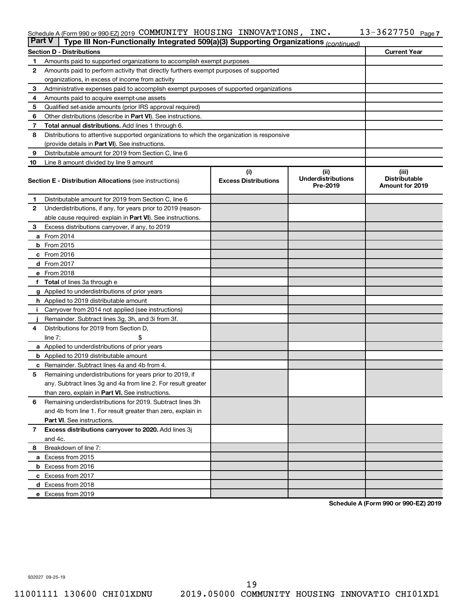#### Schedule A (Form 990 or 990-EZ) 2019 COMMUNITY HOUSING INNOVATIONS, INC.  $13-362/750$  Page COMMUNITY HOUSING INNOVATIONS, INC. 13-3627750

| <b>Part V</b>  | Type III Non-Functionally Integrated 509(a)(3) Supporting Organizations (continued)        |                             |                                       |                                                |
|----------------|--------------------------------------------------------------------------------------------|-----------------------------|---------------------------------------|------------------------------------------------|
|                | <b>Section D - Distributions</b>                                                           |                             |                                       | <b>Current Year</b>                            |
| 1              | Amounts paid to supported organizations to accomplish exempt purposes                      |                             |                                       |                                                |
| $\mathbf{2}$   | Amounts paid to perform activity that directly furthers exempt purposes of supported       |                             |                                       |                                                |
|                | organizations, in excess of income from activity                                           |                             |                                       |                                                |
| 3              | Administrative expenses paid to accomplish exempt purposes of supported organizations      |                             |                                       |                                                |
| 4              | Amounts paid to acquire exempt-use assets                                                  |                             |                                       |                                                |
| 5              | Qualified set-aside amounts (prior IRS approval required)                                  |                             |                                       |                                                |
| 6              | Other distributions (describe in <b>Part VI</b> ). See instructions.                       |                             |                                       |                                                |
| 7              | Total annual distributions. Add lines 1 through 6.                                         |                             |                                       |                                                |
| 8              | Distributions to attentive supported organizations to which the organization is responsive |                             |                                       |                                                |
|                | (provide details in Part VI). See instructions.                                            |                             |                                       |                                                |
| 9              | Distributable amount for 2019 from Section C, line 6                                       |                             |                                       |                                                |
| 10             | Line 8 amount divided by line 9 amount                                                     |                             |                                       |                                                |
|                |                                                                                            | (i)                         | (ii)                                  | (iii)                                          |
|                | <b>Section E - Distribution Allocations (see instructions)</b>                             | <b>Excess Distributions</b> | <b>Underdistributions</b><br>Pre-2019 | <b>Distributable</b><br><b>Amount for 2019</b> |
| 1              | Distributable amount for 2019 from Section C, line 6                                       |                             |                                       |                                                |
| $\mathbf{2}$   | Underdistributions, if any, for years prior to 2019 (reason-                               |                             |                                       |                                                |
|                | able cause required-explain in Part VI). See instructions.                                 |                             |                                       |                                                |
| 3              | Excess distributions carryover, if any, to 2019                                            |                             |                                       |                                                |
|                | <b>a</b> From 2014                                                                         |                             |                                       |                                                |
|                | $b$ From 2015                                                                              |                             |                                       |                                                |
|                | c From 2016                                                                                |                             |                                       |                                                |
|                | d From 2017                                                                                |                             |                                       |                                                |
|                | e From 2018                                                                                |                             |                                       |                                                |
|                | f Total of lines 3a through e                                                              |                             |                                       |                                                |
|                | <b>g</b> Applied to underdistributions of prior years                                      |                             |                                       |                                                |
|                | h Applied to 2019 distributable amount                                                     |                             |                                       |                                                |
| Ť.             | Carryover from 2014 not applied (see instructions)                                         |                             |                                       |                                                |
|                | Remainder. Subtract lines 3g, 3h, and 3i from 3f.                                          |                             |                                       |                                                |
| 4              | Distributions for 2019 from Section D,                                                     |                             |                                       |                                                |
|                | line $7:$                                                                                  |                             |                                       |                                                |
|                | a Applied to underdistributions of prior years                                             |                             |                                       |                                                |
|                | <b>b</b> Applied to 2019 distributable amount                                              |                             |                                       |                                                |
| c              | Remainder. Subtract lines 4a and 4b from 4.                                                |                             |                                       |                                                |
| 5              | Remaining underdistributions for years prior to 2019, if                                   |                             |                                       |                                                |
|                | any. Subtract lines 3g and 4a from line 2. For result greater                              |                             |                                       |                                                |
|                | than zero, explain in Part VI. See instructions.                                           |                             |                                       |                                                |
| 6              | Remaining underdistributions for 2019. Subtract lines 3h                                   |                             |                                       |                                                |
|                | and 4b from line 1. For result greater than zero, explain in                               |                             |                                       |                                                |
|                | <b>Part VI.</b> See instructions.                                                          |                             |                                       |                                                |
| $\overline{7}$ | Excess distributions carryover to 2020. Add lines 3j                                       |                             |                                       |                                                |
|                | and 4c.                                                                                    |                             |                                       |                                                |
| 8              | Breakdown of line 7:                                                                       |                             |                                       |                                                |
|                | a Excess from 2015                                                                         |                             |                                       |                                                |
|                | <b>b</b> Excess from 2016                                                                  |                             |                                       |                                                |
|                | c Excess from 2017                                                                         |                             |                                       |                                                |
|                | d Excess from 2018                                                                         |                             |                                       |                                                |
|                | e Excess from 2019                                                                         |                             |                                       |                                                |

**Schedule A (Form 990 or 990-EZ) 2019**

932027 09-25-19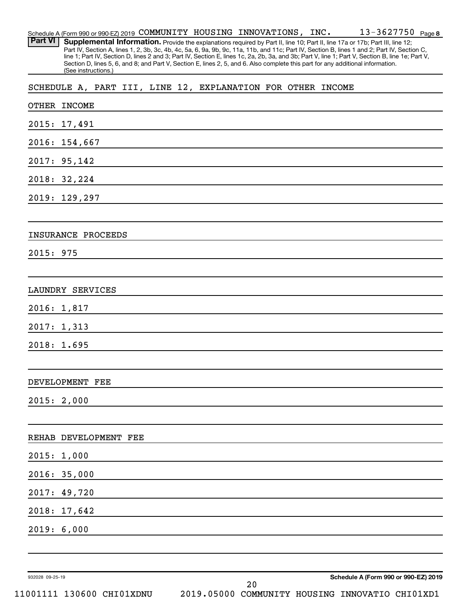| Schedule A (Form 990 or 990-EZ) 2019 COMMUNITY HOUSING INNOVATIONS, INC. |  |                                           | $13 - 3627750$ Page 8 |  |
|--------------------------------------------------------------------------|--|-------------------------------------------|-----------------------|--|
| $\Box$                                                                   |  | $\sim$ $\sim$ $\sim$ $\sim$ $\sim$ $\sim$ |                       |  |

Part VI | Supplemental Information. Provide the explanations required by Part II, line 10; Part II, line 17a or 17b; Part III, line 12; Part IV, Section A, lines 1, 2, 3b, 3c, 4b, 4c, 5a, 6, 9a, 9b, 9c, 11a, 11b, and 11c; Part IV, Section B, lines 1 and 2; Part IV, Section C, line 1; Part IV, Section D, lines 2 and 3; Part IV, Section E, lines 1c, 2a, 2b, 3a, and 3b; Part V, line 1; Part V, Section B, line 1e; Part V, Section D, lines 5, 6, and 8; and Part V, Section E, lines 2, 5, and 6. Also complete this part for any additional information. (See instructions.)

SCHEDULE A, PART III, LINE 12, EXPLANATION FOR OTHER INCOME

| OTHER INCOME              |                                                 |
|---------------------------|-------------------------------------------------|
| 2015: 17,491              |                                                 |
| 2016: 154,667             |                                                 |
| 2017: 95,142              |                                                 |
| 2018: 32, 224             |                                                 |
| 2019: 129,297             |                                                 |
|                           |                                                 |
| INSURANCE PROCEEDS        |                                                 |
| 2015: 975                 |                                                 |
|                           |                                                 |
| LAUNDRY SERVICES          |                                                 |
| 2016: 1,817               |                                                 |
| 2017: 1,313               |                                                 |
| 2018: 1.695               |                                                 |
|                           |                                                 |
| DEVELOPMENT FEE           |                                                 |
| 2015: 2,000               |                                                 |
|                           |                                                 |
| REHAB DEVELOPMENT FEE     |                                                 |
| 2015: 1,000               |                                                 |
| 2016: 35,000              |                                                 |
| 2017: 49,720              |                                                 |
| 2018: 17,642              |                                                 |
| 2019: 6,000               |                                                 |
|                           |                                                 |
|                           |                                                 |
| 932028 09-25-19           | Schedule A (Form 990 or 990-EZ) 2019<br>20      |
| 11001111 130600 CHI01XDNU | 2019.05000 COMMUNITY HOUSING INNOVATIO CHI01XD1 |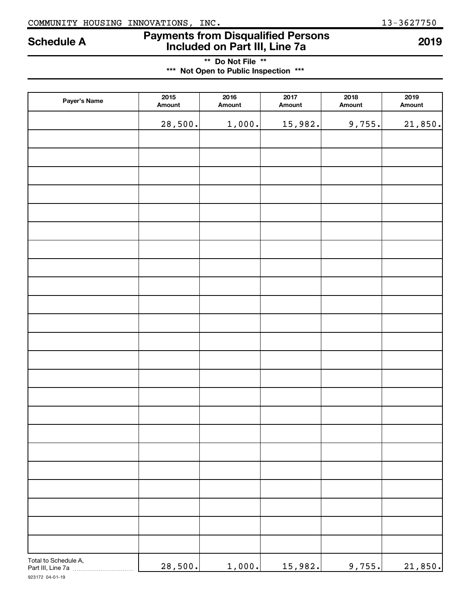## COMMUNITY HOUSING INNOVATIONS, INC. 13-3627750

# **Payments from Disqualified Persons Included on Part III, Line 7a Schedule A <sup>2019</sup>**

**\*\* Do Not File \*\* \*\*\* Not Open to Public Inspection \*\*\***

| Payer's Name                              | 2015<br>Amount | 2016<br>Amount | 2017<br>Amount | 2018<br>Amount | 2019<br>Amount |
|-------------------------------------------|----------------|----------------|----------------|----------------|----------------|
|                                           | 28,500.        | 1,000.         | 15,982.        | 9,755.         | 21,850.        |
|                                           |                |                |                |                |                |
|                                           |                |                |                |                |                |
|                                           |                |                |                |                |                |
|                                           |                |                |                |                |                |
|                                           |                |                |                |                |                |
|                                           |                |                |                |                |                |
|                                           |                |                |                |                |                |
|                                           |                |                |                |                |                |
|                                           |                |                |                |                |                |
|                                           |                |                |                |                |                |
|                                           |                |                |                |                |                |
|                                           |                |                |                |                |                |
|                                           |                |                |                |                |                |
|                                           |                |                |                |                |                |
|                                           |                |                |                |                |                |
|                                           |                |                |                |                |                |
|                                           |                |                |                |                |                |
|                                           |                |                |                |                |                |
|                                           |                |                |                |                |                |
|                                           |                |                |                |                |                |
|                                           |                |                |                |                |                |
|                                           |                |                |                |                |                |
|                                           |                |                |                |                |                |
|                                           |                |                |                |                |                |
|                                           |                |                |                |                |                |
| Total to Schedule A,<br>Part III, Line 7a | 28,500.        | 1,000.         | 15,982.        | 9,755.         | 21,850.        |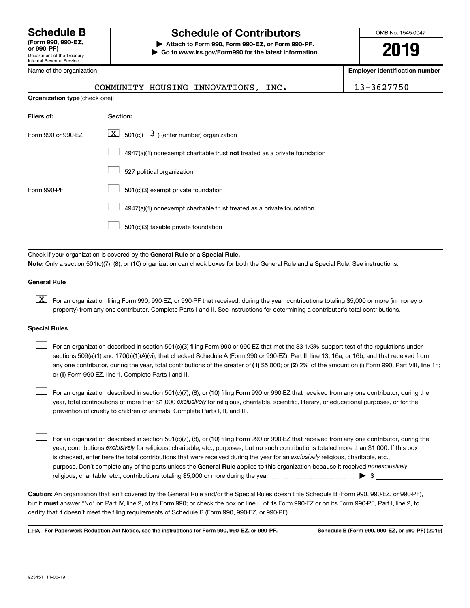## **Schedule B Schedule of Contributors**

**or 990-PF) | Attach to Form 990, Form 990-EZ, or Form 990-PF. | Go to www.irs.gov/Form990 for the latest information.** OMB No. 1545-0047

**2019**

**Employer identification number**

13-3627750

| Name of the organization              |          |                                                             |  |
|---------------------------------------|----------|-------------------------------------------------------------|--|
|                                       |          | COMMUNITY HOUSING INNOVATIONS, INC.                         |  |
| <b>Organization type (check one):</b> |          |                                                             |  |
| Filers of:                            | Section: |                                                             |  |
| Form 990 or 990-EZ                    |          | $\boxed{\textbf{X}}$ 501(c)( 3) (enter number) organization |  |

|             | 4947(a)(1) nonexempt charitable trust not treated as a private foundation |
|-------------|---------------------------------------------------------------------------|
|             | 527 political organization                                                |
| Form 990-PF | 501(c)(3) exempt private foundation                                       |
|             | 4947(a)(1) nonexempt charitable trust treated as a private foundation     |
|             | 501(c)(3) taxable private foundation                                      |

Check if your organization is covered by the General Rule or a Special Rule. **Note:**  Only a section 501(c)(7), (8), or (10) organization can check boxes for both the General Rule and a Special Rule. See instructions.

## **General Rule**

**K** For an organization filing Form 990, 990-EZ, or 990-PF that received, during the year, contributions totaling \$5,000 or more (in money or property) from any one contributor. Complete Parts I and II. See instructions for determining a contributor's total contributions.

## **Special Rules**

 $\Box$ 

any one contributor, during the year, total contributions of the greater of (1) \$5,000; or (2) 2% of the amount on (i) Form 990, Part VIII, line 1h; For an organization described in section 501(c)(3) filing Form 990 or 990-EZ that met the 33 1/3% support test of the regulations under sections 509(a)(1) and 170(b)(1)(A)(vi), that checked Schedule A (Form 990 or 990-EZ), Part II, line 13, 16a, or 16b, and that received from or (ii) Form 990-EZ, line 1. Complete Parts I and II.  $\Box$ 

year, total contributions of more than \$1,000 *exclusively* for religious, charitable, scientific, literary, or educational purposes, or for the For an organization described in section 501(c)(7), (8), or (10) filing Form 990 or 990-EZ that received from any one contributor, during the prevention of cruelty to children or animals. Complete Parts I, II, and III.

purpose. Don't complete any of the parts unless the General Rule applies to this organization because it received nonexclusively year, contributions exclusively for religious, charitable, etc., purposes, but no such contributions totaled more than \$1,000. If this box is checked, enter here the total contributions that were received during the year for an exclusively religious, charitable, etc., For an organization described in section 501(c)(7), (8), or (10) filing Form 990 or 990-EZ that received from any one contributor, during the religious, charitable, etc., contributions totaling \$5,000 or more during the year  $~\ldots\ldots\ldots\ldots\ldots\ldots\ldots\ldots\blacktriangleright~$ \$  $\Box$ 

**Caution:**  An organization that isn't covered by the General Rule and/or the Special Rules doesn't file Schedule B (Form 990, 990-EZ, or 990-PF),  **must** but it answer "No" on Part IV, line 2, of its Form 990; or check the box on line H of its Form 990-EZ or on its Form 990-PF, Part I, line 2, to certify that it doesn't meet the filing requirements of Schedule B (Form 990, 990-EZ, or 990-PF).

**For Paperwork Reduction Act Notice, see the instructions for Form 990, 990-EZ, or 990-PF. Schedule B (Form 990, 990-EZ, or 990-PF) (2019)** LHA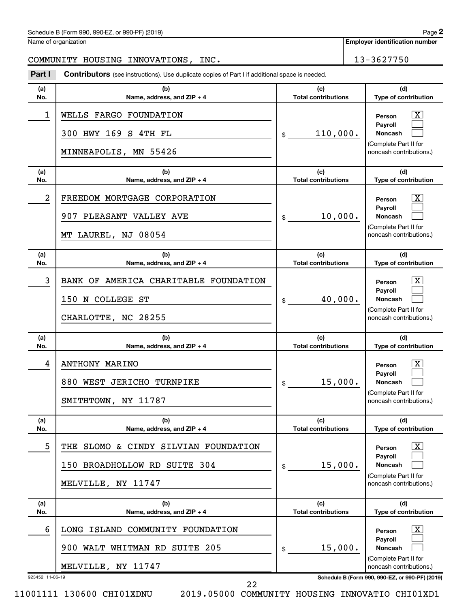## Schedule B (Form 990, 990-EZ, or 990-PF) (2019)

Name of organization

## COMMUNITY HOUSING INNOVATIONS, INC. 13-3627750

**Part I** Contributors (see instructions). Use duplicate copies of Part I if additional space is needed.

| (b)<br>Name, address, and $ZIP + 4$                                                              | (c)<br><b>Total contributions</b> | (d)<br>Type of contribution                                                                                    |
|--------------------------------------------------------------------------------------------------|-----------------------------------|----------------------------------------------------------------------------------------------------------------|
| WELLS FARGO FOUNDATION<br>300 HWY 169 S 4TH FL<br>MINNEAPOLIS, MN 55426                          | 110,000.<br>\$                    | $\lfloor x \rfloor$<br>Person<br>Payroll<br><b>Noncash</b><br>(Complete Part II for<br>noncash contributions.) |
| (b)<br>Name, address, and ZIP + 4                                                                | (c)<br><b>Total contributions</b> | (d)<br>Type of contribution                                                                                    |
| FREEDOM MORTGAGE CORPORATION<br>907 PLEASANT VALLEY AVE<br>MT LAUREL, NJ 08054                   | 10,000.<br>\$                     | $\lfloor x \rfloor$<br>Person<br>Payroll<br><b>Noncash</b><br>(Complete Part II for<br>noncash contributions.) |
| (b)<br>Name, address, and $ZIP + 4$                                                              | (c)<br><b>Total contributions</b> | (d)<br>Type of contribution                                                                                    |
| BANK OF AMERICA CHARITABLE FOUNDATION<br>150 N COLLEGE ST<br>CHARLOTTE, NC 28255                 | 40,000.<br>\$                     | $\lfloor x \rfloor$<br>Person<br>Pavroll<br><b>Noncash</b><br>(Complete Part II for<br>noncash contributions.) |
| (b)<br>Name, address, and ZIP + 4                                                                | (c)<br><b>Total contributions</b> | (d)<br>Type of contribution                                                                                    |
| <b>ANTHONY MARINO</b><br>880 WEST JERICHO TURNPIKE<br>SMITHTOWN, NY 11787                        | 15,000.<br>\$                     | $\lfloor x \rfloor$<br>Person<br>Payroll<br><b>Noncash</b><br>(Complete Part II for<br>noncash contributions.) |
| (b)<br>Name, address, and ZIP + 4                                                                | (c)<br><b>Total contributions</b> | (d)<br>Type of contribution                                                                                    |
| THE SLOMO & CINDY SILVIAN FOUNDATION<br>150 BROADHOLLOW RD SUITE 304<br>MELVILLE, NY 11747       | 15,000.<br>\$                     | $\lfloor x \rfloor$<br>Person<br>Payroll<br><b>Noncash</b><br>(Complete Part II for<br>noncash contributions.) |
| (b)<br>Name, address, and ZIP + 4                                                                | (c)<br><b>Total contributions</b> | (d)<br>Type of contribution                                                                                    |
| ISLAND COMMUNITY FOUNDATION<br>LONG<br>205<br>900 WALT WHITMAN RD<br>SUITE<br>MELVILLE, NY 11747 | 15,000.<br>\$                     | $\lfloor x \rfloor$<br>Person<br>Payroll<br><b>Noncash</b><br>(Complete Part II for<br>noncash contributions.) |
|                                                                                                  | 923452 11-06-19                   | Schedule B (Form 990, 990-EZ, or 990-PF) (2019)                                                                |

22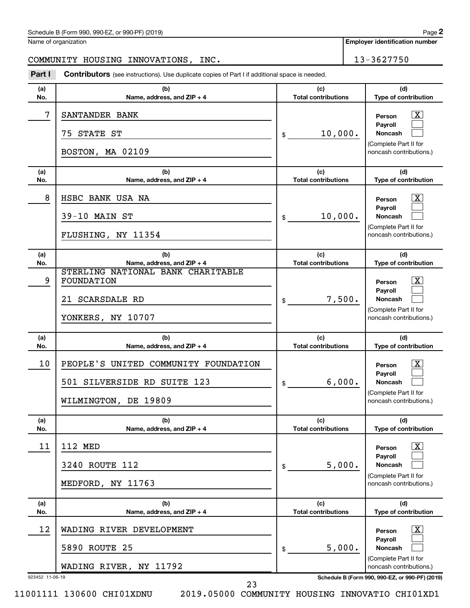## Schedule B (Form 990, 990-EZ, or 990-PF) (2019)

Name of organization

## COMMUNITY HOUSING INNOVATIONS, INC. 13-3627750

**Part I** Contributors (see instructions). Use duplicate copies of Part I if additional space is needed.

| (a)<br>No. | (b)<br>Name, address, and ZIP + 4                                                                 | (c)<br><b>Total contributions</b>          | (d)<br>Type of contribution                                                                                                       |
|------------|---------------------------------------------------------------------------------------------------|--------------------------------------------|-----------------------------------------------------------------------------------------------------------------------------------|
| 7          | SANTANDER BANK<br>75 STATE ST<br>BOSTON, MA 02109                                                 | 10,000.<br>\$                              | $\mathbf{X}$<br>Person<br>Payroll<br>Noncash<br>(Complete Part II for<br>noncash contributions.)                                  |
| (a)<br>No. | (b)<br>Name, address, and ZIP + 4                                                                 | (c)<br><b>Total contributions</b>          | (d)<br>Type of contribution                                                                                                       |
| 8          | HSBC BANK USA NA<br>$39-10$ MAIN ST<br>FLUSHING, NY 11354                                         | 10,000.<br>\$                              | $\mathbf{X}$<br>Person<br>Payroll<br>Noncash<br>(Complete Part II for<br>noncash contributions.)                                  |
| (a)<br>No. | (b)<br>Name, address, and ZIP + 4                                                                 | (c)<br><b>Total contributions</b>          | (d)<br>Type of contribution                                                                                                       |
| 9          | STERLING NATIONAL BANK CHARITABLE<br>FOUNDATION<br>21 SCARSDALE RD<br>YONKERS, NY 10707           | 7,500.<br>\$                               | х<br>Person<br>Payroll<br>Noncash<br>(Complete Part II for<br>noncash contributions.)                                             |
|            |                                                                                                   |                                            |                                                                                                                                   |
| (a)<br>No. | (b)<br>Name, address, and ZIP + 4                                                                 | (c)<br><b>Total contributions</b>          | (d)<br>Type of contribution                                                                                                       |
| 10         | PEOPLE'S UNITED COMMUNITY FOUNDATION<br>501 SILVERSIDE RD SUITE 123<br>WILMINGTON, DE 19809       | 6,000.<br>\$                               | $\mathbf{X}$<br>Person<br>Payroll<br>Noncash<br>(Complete Part II for<br>noncash contributions.)                                  |
| (a)<br>No. | (b)<br>Name, address, and ZIP + 4                                                                 | (c)<br><b>Total contributions</b>          | (d)<br>Type of contribution                                                                                                       |
| 11         | <b>112 MED</b><br>3240 ROUTE 112<br>MEDFORD, NY 11763                                             | 5,000.<br>\$                               | $\overline{\text{X}}$<br>Person<br>Payroll<br>Noncash<br>(Complete Part II for<br>noncash contributions.)                         |
| (a)<br>No. | (b)                                                                                               | (c)                                        | (d)                                                                                                                               |
| 12         | Name, address, and ZIP + 4<br>WADING RIVER DEVELOPMENT<br>5890 ROUTE 25<br>WADING RIVER, NY 11792 | <b>Total contributions</b><br>5,000.<br>\$ | Type of contribution<br>$\overline{\text{X}}$<br>Person<br>Payroll<br>Noncash<br>(Complete Part II for<br>noncash contributions.) |

11001111 130600 CHI01XDNU 2019.05000 COMMUNITY HOUSING INNOVATIO CHI01XD1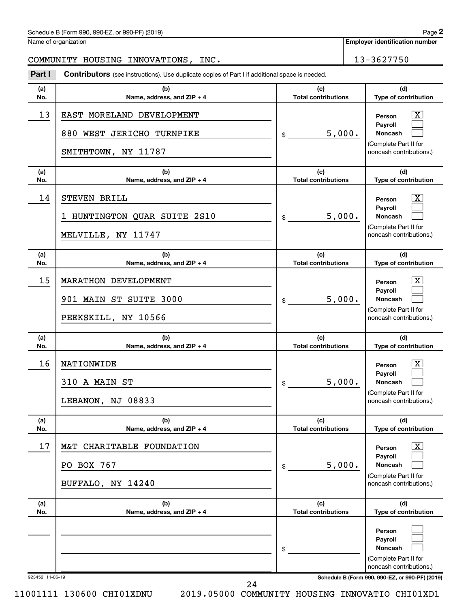## Schedule B (Form 990, 990-EZ, or 990-PF) (2019)

Name of organization

## COMMUNITY HOUSING INNOVATIONS, INC. 13-3627750

**Part I** Contributors (see instructions). Use duplicate copies of Part I if additional space is needed.

| (a)<br>No.      | (b)<br>Name, address, and ZIP + 4                                             | (c)<br><b>Total contributions</b> | (d)<br>Type of contribution                                                                                     |
|-----------------|-------------------------------------------------------------------------------|-----------------------------------|-----------------------------------------------------------------------------------------------------------------|
| 13              | EAST MORELAND DEVELOPMENT<br>880 WEST JERICHO TURNPIKE<br>SMITHTOWN, NY 11787 | 5,000.<br>\$                      | $\boxed{\textbf{X}}$<br>Person<br>Payroll<br><b>Noncash</b><br>(Complete Part II for<br>noncash contributions.) |
| (a)<br>No.      | (b)<br>Name, address, and ZIP + 4                                             | (c)<br><b>Total contributions</b> | (d)<br>Type of contribution                                                                                     |
| 14              | STEVEN BRILL<br>HUNTINGTON QUAR SUITE 2S10<br>I.<br>MELVILLE, NY 11747        | 5,000.<br>\$                      | $\boxed{\textbf{X}}$<br>Person<br>Payroll<br>Noncash<br>(Complete Part II for<br>noncash contributions.)        |
| (a)<br>No.      | (b)<br>Name, address, and ZIP + 4                                             | (c)<br><b>Total contributions</b> | (d)<br>Type of contribution                                                                                     |
| 15              | MARATHON DEVELOPMENT<br>901 MAIN ST SUITE 3000<br>PEEKSKILL, NY 10566         | 5,000.<br>\$                      | $\lfloor x \rfloor$<br>Person<br>Payroll<br><b>Noncash</b><br>(Complete Part II for<br>noncash contributions.)  |
| (a)<br>No.      | (b)<br>Name, address, and ZIP + 4                                             | (c)<br><b>Total contributions</b> | (d)<br>Type of contribution                                                                                     |
| 16              | NATIONWIDE<br>310 A MAIN ST<br>LEBANON, NJ 08833                              | 5,000.<br>\$                      | $\boxed{\textbf{X}}$<br>Person<br>Payroll<br><b>Noncash</b><br>(Complete Part II for<br>noncash contributions.) |
| (a)<br>No.      | (b)<br>Name, address, and ZIP + 4                                             | (c)<br><b>Total contributions</b> | (d)<br>Type of contribution                                                                                     |
| 17              | M&T CHARITABLE FOUNDATION<br>PO BOX 767<br>BUFFALO, NY 14240                  | 5,000.<br>\$                      | $\boxed{\textbf{X}}$<br>Person<br>Payroll<br><b>Noncash</b><br>(Complete Part II for<br>noncash contributions.) |
| (a)<br>No.      | (b)<br>Name, address, and ZIP + 4                                             | (c)<br><b>Total contributions</b> | (d)<br>Type of contribution                                                                                     |
|                 |                                                                               | \$                                | Person<br>Payroll<br>Noncash<br>(Complete Part II for<br>noncash contributions.)                                |
| 923452 11-06-19 |                                                                               |                                   | Schedule B (Form 990, 990-EZ, or 990-PF) (2019)                                                                 |

11001111 130600 CHI01XDNU 2019.05000 COMMUNITY HOUSING INNOVATIO CHI01XD1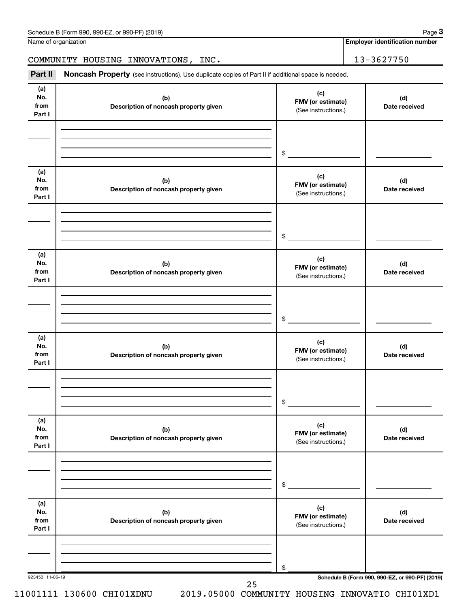Name of organization

**Employer identification number**

COMMUNITY HOUSING INNOVATIONS, INC. 13-3627750

Part II Noncash Property (see instructions). Use duplicate copies of Part II if additional space is needed.

| (a)<br>No.<br>from<br>Part I | (b)<br>Description of noncash property given | (c)<br>FMV (or estimate)<br>(See instructions.) | (d)<br>Date received                            |
|------------------------------|----------------------------------------------|-------------------------------------------------|-------------------------------------------------|
|                              |                                              | \$                                              |                                                 |
| (a)<br>No.<br>from<br>Part I | (b)<br>Description of noncash property given | (c)<br>FMV (or estimate)<br>(See instructions.) | (d)<br>Date received                            |
|                              |                                              | \$                                              |                                                 |
| (a)<br>No.<br>from<br>Part I | (b)<br>Description of noncash property given | (c)<br>FMV (or estimate)<br>(See instructions.) | (d)<br>Date received                            |
|                              |                                              | \$                                              |                                                 |
| (a)<br>No.<br>from<br>Part I | (b)<br>Description of noncash property given | (c)<br>FMV (or estimate)<br>(See instructions.) | (d)<br>Date received                            |
|                              |                                              | \$                                              |                                                 |
| (a)<br>No.<br>from<br>Part I | (b)<br>Description of noncash property given | (c)<br>FMV (or estimate)<br>(See instructions.) | (d)<br>Date received                            |
|                              |                                              | \$                                              |                                                 |
| (a)<br>No.<br>from<br>Part I | (b)<br>Description of noncash property given | (c)<br>FMV (or estimate)<br>(See instructions.) | (d)<br>Date received                            |
|                              |                                              | \$                                              |                                                 |
| 923453 11-06-19              | 25                                           |                                                 | Schedule B (Form 990, 990-EZ, or 990-PF) (2019) |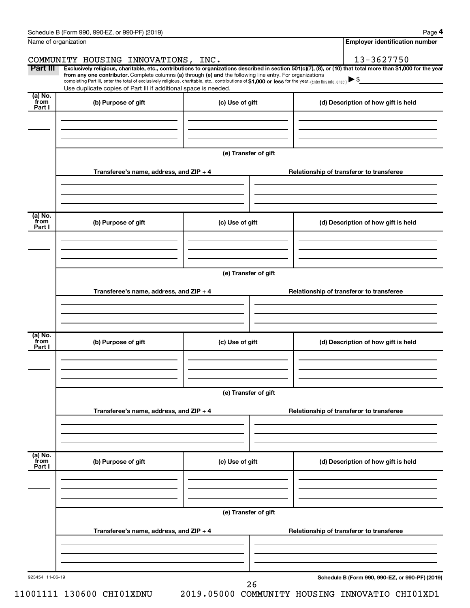|                      | Schedule B (Form 990, 990-EZ, or 990-PF) (2019)                                                                                                                                                                                                                              |                      | Page 4                                          |
|----------------------|------------------------------------------------------------------------------------------------------------------------------------------------------------------------------------------------------------------------------------------------------------------------------|----------------------|-------------------------------------------------|
| Name of organization |                                                                                                                                                                                                                                                                              |                      | <b>Employer identification number</b>           |
|                      | COMMUNITY HOUSING INNOVATIONS, INC.                                                                                                                                                                                                                                          |                      | 13-3627750                                      |
| Part III             | Exclusively religious, charitable, etc., contributions to organizations described in section 501(c)(7), (8), or (10) that total more than \$1,000 for the year<br>from any one contributor. Complete columns (a) through (e) and the following line entry. For organizations |                      |                                                 |
|                      | completing Part III, enter the total of exclusively religious, charitable, etc., contributions of \$1,000 or less for the year. (Enter this info. once.)<br>Use duplicate copies of Part III if additional space is needed.                                                  |                      |                                                 |
| (a) No.              |                                                                                                                                                                                                                                                                              |                      |                                                 |
| from<br>Part I       | (b) Purpose of gift                                                                                                                                                                                                                                                          | (c) Use of gift      | (d) Description of how gift is held             |
|                      |                                                                                                                                                                                                                                                                              |                      |                                                 |
|                      |                                                                                                                                                                                                                                                                              |                      |                                                 |
|                      |                                                                                                                                                                                                                                                                              |                      |                                                 |
|                      |                                                                                                                                                                                                                                                                              | (e) Transfer of gift |                                                 |
|                      | Transferee's name, address, and ZIP + 4                                                                                                                                                                                                                                      |                      | Relationship of transferor to transferee        |
|                      |                                                                                                                                                                                                                                                                              |                      |                                                 |
|                      |                                                                                                                                                                                                                                                                              |                      |                                                 |
|                      |                                                                                                                                                                                                                                                                              |                      |                                                 |
| (a) No.<br>from      | (b) Purpose of gift                                                                                                                                                                                                                                                          | (c) Use of gift      | (d) Description of how gift is held             |
| Part I               |                                                                                                                                                                                                                                                                              |                      |                                                 |
|                      |                                                                                                                                                                                                                                                                              |                      |                                                 |
|                      |                                                                                                                                                                                                                                                                              |                      |                                                 |
|                      |                                                                                                                                                                                                                                                                              | (e) Transfer of gift |                                                 |
|                      |                                                                                                                                                                                                                                                                              |                      |                                                 |
|                      | Transferee's name, address, and ZIP + 4                                                                                                                                                                                                                                      |                      | Relationship of transferor to transferee        |
|                      |                                                                                                                                                                                                                                                                              |                      |                                                 |
|                      |                                                                                                                                                                                                                                                                              |                      |                                                 |
| (a) No.              |                                                                                                                                                                                                                                                                              |                      |                                                 |
| from<br>Part I       | (b) Purpose of gift                                                                                                                                                                                                                                                          | (c) Use of gift      | (d) Description of how gift is held             |
|                      |                                                                                                                                                                                                                                                                              |                      |                                                 |
|                      |                                                                                                                                                                                                                                                                              |                      |                                                 |
|                      |                                                                                                                                                                                                                                                                              |                      |                                                 |
|                      |                                                                                                                                                                                                                                                                              | (e) Transfer of gift |                                                 |
|                      | Transferee's name, address, and ZIP + 4                                                                                                                                                                                                                                      |                      | Relationship of transferor to transferee        |
|                      |                                                                                                                                                                                                                                                                              |                      |                                                 |
|                      |                                                                                                                                                                                                                                                                              |                      |                                                 |
|                      |                                                                                                                                                                                                                                                                              |                      |                                                 |
| (a) No.<br>from      | (b) Purpose of gift                                                                                                                                                                                                                                                          | (c) Use of gift      | (d) Description of how gift is held             |
| Part I               |                                                                                                                                                                                                                                                                              |                      |                                                 |
|                      |                                                                                                                                                                                                                                                                              |                      |                                                 |
|                      |                                                                                                                                                                                                                                                                              |                      |                                                 |
|                      |                                                                                                                                                                                                                                                                              |                      |                                                 |
|                      |                                                                                                                                                                                                                                                                              | (e) Transfer of gift |                                                 |
|                      | Transferee's name, address, and ZIP + 4                                                                                                                                                                                                                                      |                      | Relationship of transferor to transferee        |
|                      |                                                                                                                                                                                                                                                                              |                      |                                                 |
|                      |                                                                                                                                                                                                                                                                              |                      |                                                 |
|                      |                                                                                                                                                                                                                                                                              |                      |                                                 |
| 923454 11-06-19      |                                                                                                                                                                                                                                                                              | 26                   | Schedule B (Form 990, 990-EZ, or 990-PF) (2019) |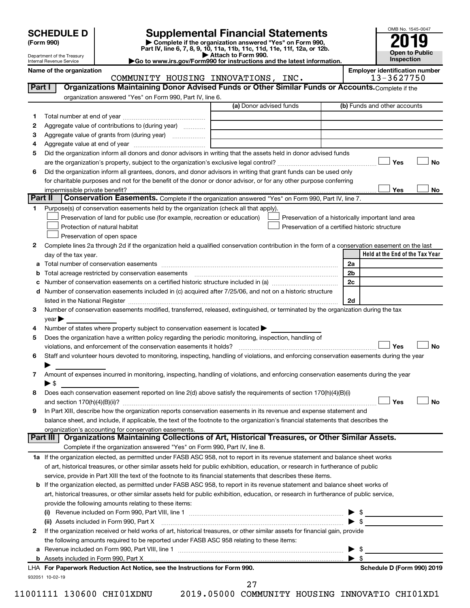| <b>SCHEDULE D</b> |  |
|-------------------|--|
|-------------------|--|

| (Form 990) |
|------------|
|            |

# **SCHEDULE D Supplemental Financial Statements**<br> **Form 990 2019**<br> **Part IV** line 6.7.8.9.10, 11a, 11b, 11d, 11d, 11d, 11d, 11d, 12a, 0r, 12b

**(Form 990) | Complete if the organization answered "Yes" on Form 990, Part IV, line 6, 7, 8, 9, 10, 11a, 11b, 11c, 11d, 11e, 11f, 12a, or 12b.**

**| Attach to Form 990. |Go to www.irs.gov/Form990 for instructions and the latest information.**



Department of the Treasury Internal Revenue Service

Name of the organization<br> **COMMUNITY HOUSING INNOVATIONS, INC.** Employer identification number<br>
13-3627750 COMMUNITY HOUSING INNOVATIONS, INC.

|    |                                                                                                                                                                                                                                | (a) Donor advised funds | (b) Funds and other accounts                       |
|----|--------------------------------------------------------------------------------------------------------------------------------------------------------------------------------------------------------------------------------|-------------------------|----------------------------------------------------|
| 1  |                                                                                                                                                                                                                                |                         |                                                    |
| 2  | Aggregate value of contributions to (during year)                                                                                                                                                                              |                         |                                                    |
| З  |                                                                                                                                                                                                                                |                         |                                                    |
| 4  |                                                                                                                                                                                                                                |                         |                                                    |
| 5  | Did the organization inform all donors and donor advisors in writing that the assets held in donor advised funds                                                                                                               |                         |                                                    |
|    |                                                                                                                                                                                                                                |                         | Yes                                                |
| 6  | Did the organization inform all grantees, donors, and donor advisors in writing that grant funds can be used only                                                                                                              |                         |                                                    |
|    | for charitable purposes and not for the benefit of the donor or donor advisor, or for any other purpose conferring                                                                                                             |                         |                                                    |
|    |                                                                                                                                                                                                                                |                         | Yes                                                |
|    | Part II<br>Conservation Easements. Complete if the organization answered "Yes" on Form 990, Part IV, line 7.                                                                                                                   |                         |                                                    |
| 1. | Purpose(s) of conservation easements held by the organization (check all that apply).                                                                                                                                          |                         |                                                    |
|    | Preservation of land for public use (for example, recreation or education)                                                                                                                                                     |                         | Preservation of a historically important land area |
|    | Protection of natural habitat                                                                                                                                                                                                  |                         | Preservation of a certified historic structure     |
|    | Preservation of open space                                                                                                                                                                                                     |                         |                                                    |
| 2  | Complete lines 2a through 2d if the organization held a qualified conservation contribution in the form of a conservation easement on the last                                                                                 |                         |                                                    |
|    | day of the tax year.                                                                                                                                                                                                           |                         | Held at the End of the Tax Year                    |
| а  |                                                                                                                                                                                                                                |                         | 2a                                                 |
|    | Total acreage restricted by conservation easements [11] matter continuum matter of the stricted by conservation easements [11] matter continuum matter of the stricted by conservation easements [11] matter continuum matter  |                         | 2 <sub>b</sub>                                     |
|    | Number of conservation easements on a certified historic structure included in (a) manufacture included in (a)                                                                                                                 |                         | 2 <sub>c</sub>                                     |
| d  | Number of conservation easements included in (c) acquired after 7/25/06, and not on a historic structure                                                                                                                       |                         |                                                    |
|    | listed in the National Register [111] [12] The National Register [11] Manuscritt, Manuscritt, Manuscritt, Manuscritt, Manuscritt, Manuscritt, Manuscritt, Manuscritt, Manuscritt, Manuscritt, Manuscritt, Manuscritt, Manuscri |                         | 2d                                                 |
| 3  | Number of conservation easements modified, transferred, released, extinguished, or terminated by the organization during the tax                                                                                               |                         |                                                    |
|    | year                                                                                                                                                                                                                           |                         |                                                    |
| 4  | Number of states where property subject to conservation easement is located >                                                                                                                                                  |                         |                                                    |
| 5  | Does the organization have a written policy regarding the periodic monitoring, inspection, handling of                                                                                                                         |                         |                                                    |
|    | violations, and enforcement of the conservation easements it holds?                                                                                                                                                            |                         | Yes                                                |
| 6  | Staff and volunteer hours devoted to monitoring, inspecting, handling of violations, and enforcing conservation easements during the year                                                                                      |                         |                                                    |
| 7  | Amount of expenses incurred in monitoring, inspecting, handling of violations, and enforcing conservation easements during the year<br>$\blacktriangleright$ \$                                                                |                         |                                                    |
| 8  | Does each conservation easement reported on line 2(d) above satisfy the requirements of section 170(h)(4)(B)(i)                                                                                                                |                         |                                                    |
|    |                                                                                                                                                                                                                                |                         | Yes                                                |
| 9  | In Part XIII, describe how the organization reports conservation easements in its revenue and expense statement and                                                                                                            |                         |                                                    |
|    | balance sheet, and include, if applicable, the text of the footnote to the organization's financial statements that describes the                                                                                              |                         |                                                    |
|    | organization's accounting for conservation easements.                                                                                                                                                                          |                         |                                                    |
|    | Organizations Maintaining Collections of Art, Historical Treasures, or Other Similar Assets.<br>Part III                                                                                                                       |                         |                                                    |
|    | Complete if the organization answered "Yes" on Form 990, Part IV, line 8.                                                                                                                                                      |                         |                                                    |
|    | 1a If the organization elected, as permitted under FASB ASC 958, not to report in its revenue statement and balance sheet works                                                                                                |                         |                                                    |
|    | of art, historical treasures, or other similar assets held for public exhibition, education, or research in furtherance of public                                                                                              |                         |                                                    |
|    |                                                                                                                                                                                                                                |                         |                                                    |
|    |                                                                                                                                                                                                                                |                         |                                                    |
|    | service, provide in Part XIII the text of the footnote to its financial statements that describes these items.                                                                                                                 |                         |                                                    |
|    | <b>b</b> If the organization elected, as permitted under FASB ASC 958, to report in its revenue statement and balance sheet works of                                                                                           |                         |                                                    |
|    | art, historical treasures, or other similar assets held for public exhibition, education, or research in furtherance of public service,                                                                                        |                         |                                                    |
|    | provide the following amounts relating to these items:                                                                                                                                                                         |                         |                                                    |
|    |                                                                                                                                                                                                                                |                         |                                                    |
|    | (ii) Assets included in Form 990, Part X                                                                                                                                                                                       |                         | $\blacktriangleright$ \$                           |
| 2  | If the organization received or held works of art, historical treasures, or other similar assets for financial gain, provide                                                                                                   |                         |                                                    |
|    | the following amounts required to be reported under FASB ASC 958 relating to these items:                                                                                                                                      |                         |                                                    |
| а  |                                                                                                                                                                                                                                |                         | - \$<br>$\blacktriangleright$ s                    |
|    | b Assets included in Form 990, Part X [111] [2010] [2010] [2010] [2010] [2010] [2010] [2010] [2010] [2010] [20<br>LHA For Paperwork Reduction Act Notice, see the Instructions for Form 990.                                   |                         | Schedule D (Form 990) 2019                         |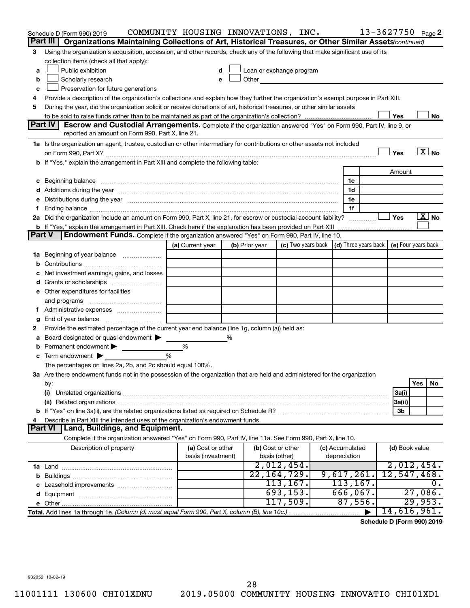|                                                                                                                                                                                                                                                                       | Schedule D (Form 990) 2019                                                                                                                                                                                                     | COMMUNITY HOUSING INNOVATIONS, INC. |   |                                                                                                                                                                                                                               |                             |  |                                                                             | 13-3627750 Page 2 |                           |         |                          |
|-----------------------------------------------------------------------------------------------------------------------------------------------------------------------------------------------------------------------------------------------------------------------|--------------------------------------------------------------------------------------------------------------------------------------------------------------------------------------------------------------------------------|-------------------------------------|---|-------------------------------------------------------------------------------------------------------------------------------------------------------------------------------------------------------------------------------|-----------------------------|--|-----------------------------------------------------------------------------|-------------------|---------------------------|---------|--------------------------|
|                                                                                                                                                                                                                                                                       | Organizations Maintaining Collections of Art, Historical Treasures, or Other Similar Assets (continued)<br>Part III                                                                                                            |                                     |   |                                                                                                                                                                                                                               |                             |  |                                                                             |                   |                           |         |                          |
| 3                                                                                                                                                                                                                                                                     | Using the organization's acquisition, accession, and other records, check any of the following that make significant use of its                                                                                                |                                     |   |                                                                                                                                                                                                                               |                             |  |                                                                             |                   |                           |         |                          |
|                                                                                                                                                                                                                                                                       | collection items (check all that apply):                                                                                                                                                                                       |                                     |   |                                                                                                                                                                                                                               |                             |  |                                                                             |                   |                           |         |                          |
| a                                                                                                                                                                                                                                                                     | Public exhibition                                                                                                                                                                                                              |                                     |   | Loan or exchange program                                                                                                                                                                                                      |                             |  |                                                                             |                   |                           |         |                          |
| b                                                                                                                                                                                                                                                                     | Scholarly research                                                                                                                                                                                                             |                                     |   | Other and the contract of the contract of the contract of the contract of the contract of the contract of the contract of the contract of the contract of the contract of the contract of the contract of the contract of the |                             |  |                                                                             |                   |                           |         |                          |
| c                                                                                                                                                                                                                                                                     | Preservation for future generations                                                                                                                                                                                            |                                     |   |                                                                                                                                                                                                                               |                             |  |                                                                             |                   |                           |         |                          |
| Provide a description of the organization's collections and explain how they further the organization's exempt purpose in Part XIII.<br>4<br>During the year, did the organization solicit or receive donations of art, historical treasures, or other similar assets |                                                                                                                                                                                                                                |                                     |   |                                                                                                                                                                                                                               |                             |  |                                                                             |                   |                           |         |                          |
| 5                                                                                                                                                                                                                                                                     |                                                                                                                                                                                                                                |                                     |   |                                                                                                                                                                                                                               |                             |  |                                                                             |                   |                           |         |                          |
|                                                                                                                                                                                                                                                                       | Part IV<br><b>Escrow and Custodial Arrangements.</b> Complete if the organization answered "Yes" on Form 990, Part IV, line 9, or                                                                                              |                                     |   |                                                                                                                                                                                                                               |                             |  |                                                                             |                   | Yes                       |         | No                       |
|                                                                                                                                                                                                                                                                       | reported an amount on Form 990, Part X, line 21.                                                                                                                                                                               |                                     |   |                                                                                                                                                                                                                               |                             |  |                                                                             |                   |                           |         |                          |
|                                                                                                                                                                                                                                                                       |                                                                                                                                                                                                                                |                                     |   |                                                                                                                                                                                                                               |                             |  |                                                                             |                   |                           |         |                          |
|                                                                                                                                                                                                                                                                       | 1a Is the organization an agent, trustee, custodian or other intermediary for contributions or other assets not included                                                                                                       |                                     |   |                                                                                                                                                                                                                               |                             |  |                                                                             |                   | Yes                       |         | $\overline{\text{X}}$ No |
|                                                                                                                                                                                                                                                                       | b If "Yes," explain the arrangement in Part XIII and complete the following table:                                                                                                                                             |                                     |   |                                                                                                                                                                                                                               |                             |  |                                                                             |                   |                           |         |                          |
|                                                                                                                                                                                                                                                                       |                                                                                                                                                                                                                                |                                     |   |                                                                                                                                                                                                                               |                             |  |                                                                             |                   | Amount                    |         |                          |
|                                                                                                                                                                                                                                                                       |                                                                                                                                                                                                                                |                                     |   |                                                                                                                                                                                                                               |                             |  | 1c                                                                          |                   |                           |         |                          |
|                                                                                                                                                                                                                                                                       | c Beginning balance measurements and the contract of the contract of the contract of the contract of the contract of the contract of the contract of the contract of the contract of the contract of the contract of the contr |                                     |   |                                                                                                                                                                                                                               |                             |  | 1d                                                                          |                   |                           |         |                          |
| е                                                                                                                                                                                                                                                                     | Distributions during the year manufactured and an account of the year manufactured and the year manufactured and the year manufactured and the year manufactured and the year manufactured and the year manufactured and the y |                                     |   |                                                                                                                                                                                                                               |                             |  | 1e                                                                          |                   |                           |         |                          |
| f.                                                                                                                                                                                                                                                                    |                                                                                                                                                                                                                                |                                     |   |                                                                                                                                                                                                                               |                             |  | 1f                                                                          |                   |                           |         |                          |
|                                                                                                                                                                                                                                                                       | 2a Did the organization include an amount on Form 990, Part X, line 21, for escrow or custodial account liability?                                                                                                             |                                     |   |                                                                                                                                                                                                                               |                             |  |                                                                             |                   | Yes                       |         | $\mathbf{X}$ No          |
|                                                                                                                                                                                                                                                                       | b If "Yes," explain the arrangement in Part XIII. Check here if the explanation has been provided on Part XIII                                                                                                                 |                                     |   |                                                                                                                                                                                                                               |                             |  |                                                                             |                   |                           |         |                          |
| <b>Part V</b>                                                                                                                                                                                                                                                         | Endowment Funds. Complete if the organization answered "Yes" on Form 990, Part IV, line 10.                                                                                                                                    |                                     |   |                                                                                                                                                                                                                               |                             |  |                                                                             |                   |                           |         |                          |
|                                                                                                                                                                                                                                                                       |                                                                                                                                                                                                                                | (a) Current year                    |   | (b) Prior year                                                                                                                                                                                                                |                             |  | (c) Two years back $\vert$ (d) Three years back $\vert$ (e) Four years back |                   |                           |         |                          |
|                                                                                                                                                                                                                                                                       | <b>1a</b> Beginning of year balance                                                                                                                                                                                            |                                     |   |                                                                                                                                                                                                                               |                             |  |                                                                             |                   |                           |         |                          |
| b                                                                                                                                                                                                                                                                     |                                                                                                                                                                                                                                |                                     |   |                                                                                                                                                                                                                               |                             |  |                                                                             |                   |                           |         |                          |
| с                                                                                                                                                                                                                                                                     | Net investment earnings, gains, and losses                                                                                                                                                                                     |                                     |   |                                                                                                                                                                                                                               |                             |  |                                                                             |                   |                           |         |                          |
| d                                                                                                                                                                                                                                                                     | Grants or scholarships                                                                                                                                                                                                         |                                     |   |                                                                                                                                                                                                                               |                             |  |                                                                             |                   |                           |         |                          |
|                                                                                                                                                                                                                                                                       | e Other expenditures for facilities                                                                                                                                                                                            |                                     |   |                                                                                                                                                                                                                               |                             |  |                                                                             |                   |                           |         |                          |
|                                                                                                                                                                                                                                                                       | and programs                                                                                                                                                                                                                   |                                     |   |                                                                                                                                                                                                                               |                             |  |                                                                             |                   |                           |         |                          |
| t.                                                                                                                                                                                                                                                                    | Administrative expenses                                                                                                                                                                                                        |                                     |   |                                                                                                                                                                                                                               |                             |  |                                                                             |                   |                           |         |                          |
| g                                                                                                                                                                                                                                                                     |                                                                                                                                                                                                                                |                                     |   |                                                                                                                                                                                                                               |                             |  |                                                                             |                   |                           |         |                          |
| 2                                                                                                                                                                                                                                                                     | Provide the estimated percentage of the current year end balance (line 1g, column (a)) held as:                                                                                                                                |                                     |   |                                                                                                                                                                                                                               |                             |  |                                                                             |                   |                           |         |                          |
| а                                                                                                                                                                                                                                                                     | Board designated or quasi-endowment                                                                                                                                                                                            |                                     | % |                                                                                                                                                                                                                               |                             |  |                                                                             |                   |                           |         |                          |
| b                                                                                                                                                                                                                                                                     | Permanent endowment                                                                                                                                                                                                            | %                                   |   |                                                                                                                                                                                                                               |                             |  |                                                                             |                   |                           |         |                          |
| c                                                                                                                                                                                                                                                                     | Term endowment $\blacktriangleright$                                                                                                                                                                                           | %                                   |   |                                                                                                                                                                                                                               |                             |  |                                                                             |                   |                           |         |                          |
|                                                                                                                                                                                                                                                                       | The percentages on lines 2a, 2b, and 2c should equal 100%.                                                                                                                                                                     |                                     |   |                                                                                                                                                                                                                               |                             |  |                                                                             |                   |                           |         |                          |
|                                                                                                                                                                                                                                                                       | 3a Are there endowment funds not in the possession of the organization that are held and administered for the organization                                                                                                     |                                     |   |                                                                                                                                                                                                                               |                             |  |                                                                             |                   |                           |         |                          |
|                                                                                                                                                                                                                                                                       | by:                                                                                                                                                                                                                            |                                     |   |                                                                                                                                                                                                                               |                             |  |                                                                             |                   |                           | Yes     | No                       |
|                                                                                                                                                                                                                                                                       | (i)                                                                                                                                                                                                                            |                                     |   |                                                                                                                                                                                                                               |                             |  |                                                                             |                   | 3a(i)                     |         |                          |
|                                                                                                                                                                                                                                                                       | (ii) Related organizations [11] Related organizations [11] Maximum material contract to the contract of the contract of the contract of the contract of the contract of the contract of the contract of the contract of the co |                                     |   |                                                                                                                                                                                                                               |                             |  |                                                                             |                   | 3a(ii)                    |         |                          |
|                                                                                                                                                                                                                                                                       |                                                                                                                                                                                                                                |                                     |   |                                                                                                                                                                                                                               |                             |  |                                                                             |                   | 3b                        |         |                          |
| 4                                                                                                                                                                                                                                                                     | Describe in Part XIII the intended uses of the organization's endowment funds.                                                                                                                                                 |                                     |   |                                                                                                                                                                                                                               |                             |  |                                                                             |                   |                           |         |                          |
|                                                                                                                                                                                                                                                                       | Part VI<br>  Land, Buildings, and Equipment.                                                                                                                                                                                   |                                     |   |                                                                                                                                                                                                                               |                             |  |                                                                             |                   |                           |         |                          |
|                                                                                                                                                                                                                                                                       | Complete if the organization answered "Yes" on Form 990, Part IV, line 11a. See Form 990, Part X, line 10.                                                                                                                     |                                     |   |                                                                                                                                                                                                                               |                             |  |                                                                             |                   |                           |         |                          |
|                                                                                                                                                                                                                                                                       | Description of property                                                                                                                                                                                                        | (a) Cost or other                   |   |                                                                                                                                                                                                                               | (b) Cost or other           |  | (c) Accumulated                                                             |                   | (d) Book value            |         |                          |
|                                                                                                                                                                                                                                                                       |                                                                                                                                                                                                                                | basis (investment)                  |   |                                                                                                                                                                                                                               | basis (other)               |  | depreciation                                                                |                   |                           |         |                          |
|                                                                                                                                                                                                                                                                       |                                                                                                                                                                                                                                |                                     |   |                                                                                                                                                                                                                               | 2,012,454.<br>22, 164, 729. |  |                                                                             |                   | 2,012,454.<br>12,547,468. |         |                          |
|                                                                                                                                                                                                                                                                       |                                                                                                                                                                                                                                |                                     |   |                                                                                                                                                                                                                               | 113,167.                    |  | 9,617,261.<br>113, 167.                                                     |                   |                           |         | О.                       |
|                                                                                                                                                                                                                                                                       |                                                                                                                                                                                                                                |                                     |   |                                                                                                                                                                                                                               | 693, 153.                   |  | 666,067.                                                                    |                   |                           | 27,086. |                          |
| d                                                                                                                                                                                                                                                                     |                                                                                                                                                                                                                                |                                     |   |                                                                                                                                                                                                                               | 117,509.                    |  | 87,556.                                                                     |                   |                           | 29,953. |                          |
|                                                                                                                                                                                                                                                                       |                                                                                                                                                                                                                                |                                     |   |                                                                                                                                                                                                                               |                             |  |                                                                             |                   | 14,616,961.               |         |                          |
|                                                                                                                                                                                                                                                                       | Total. Add lines 1a through 1e. (Column (d) must equal Form 990, Part X, column (B), line 10c.)                                                                                                                                |                                     |   |                                                                                                                                                                                                                               |                             |  |                                                                             |                   |                           |         |                          |

**Schedule D (Form 990) 2019**

932052 10-02-19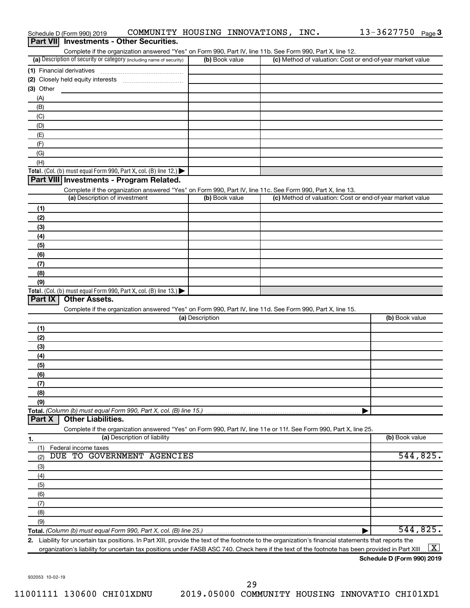|                                 |                                                                                        |                 | Complete if the organization answered "Yes" on Form 990, Part IV, line 11b. See Form 990, Part X, line 12.        |                      |
|---------------------------------|----------------------------------------------------------------------------------------|-----------------|-------------------------------------------------------------------------------------------------------------------|----------------------|
|                                 | (a) Description of security or category (including name of security)                   | (b) Book value  | (c) Method of valuation: Cost or end-of-year market value                                                         |                      |
| (1) Financial derivatives       |                                                                                        |                 |                                                                                                                   |                      |
|                                 |                                                                                        |                 |                                                                                                                   |                      |
| $(3)$ Other                     |                                                                                        |                 |                                                                                                                   |                      |
| (A)                             |                                                                                        |                 |                                                                                                                   |                      |
| (B)                             |                                                                                        |                 |                                                                                                                   |                      |
| (C)                             |                                                                                        |                 |                                                                                                                   |                      |
| (D)                             |                                                                                        |                 |                                                                                                                   |                      |
| (E)                             |                                                                                        |                 |                                                                                                                   |                      |
| (F)                             |                                                                                        |                 |                                                                                                                   |                      |
| (G)                             |                                                                                        |                 |                                                                                                                   |                      |
| (H)                             |                                                                                        |                 |                                                                                                                   |                      |
|                                 | Total. (Col. (b) must equal Form 990, Part X, col. (B) line 12.) $\blacktriangleright$ |                 |                                                                                                                   |                      |
|                                 | Part VIII Investments - Program Related.                                               |                 |                                                                                                                   |                      |
|                                 |                                                                                        |                 | Complete if the organization answered "Yes" on Form 990, Part IV, line 11c. See Form 990, Part X, line 13.        |                      |
|                                 | (a) Description of investment                                                          | (b) Book value  | (c) Method of valuation: Cost or end-of-year market value                                                         |                      |
| (1)                             |                                                                                        |                 |                                                                                                                   |                      |
| (2)                             |                                                                                        |                 |                                                                                                                   |                      |
| (3)                             |                                                                                        |                 |                                                                                                                   |                      |
| (4)                             |                                                                                        |                 |                                                                                                                   |                      |
| (5)                             |                                                                                        |                 |                                                                                                                   |                      |
| (6)                             |                                                                                        |                 |                                                                                                                   |                      |
| (7)                             |                                                                                        |                 |                                                                                                                   |                      |
| (8)                             |                                                                                        |                 |                                                                                                                   |                      |
| (9)                             |                                                                                        |                 |                                                                                                                   |                      |
|                                 | Total. (Col. (b) must equal Form 990, Part X, col. (B) line 13.) $\blacktriangleright$ |                 |                                                                                                                   |                      |
| Part IX<br><b>Other Assets.</b> |                                                                                        |                 |                                                                                                                   |                      |
|                                 |                                                                                        |                 | Complete if the organization answered "Yes" on Form 990, Part IV, line 11d. See Form 990, Part X, line 15.        |                      |
|                                 |                                                                                        | (a) Description |                                                                                                                   | (b) Book value       |
| (1)                             |                                                                                        |                 |                                                                                                                   |                      |
| (2)                             |                                                                                        |                 |                                                                                                                   |                      |
|                                 |                                                                                        |                 |                                                                                                                   |                      |
|                                 |                                                                                        |                 |                                                                                                                   |                      |
| (3)                             |                                                                                        |                 |                                                                                                                   |                      |
| (4)                             |                                                                                        |                 |                                                                                                                   |                      |
| (5)                             |                                                                                        |                 |                                                                                                                   |                      |
| (6)                             |                                                                                        |                 |                                                                                                                   |                      |
| (7)                             |                                                                                        |                 |                                                                                                                   |                      |
| (8)                             |                                                                                        |                 |                                                                                                                   |                      |
| (9)                             |                                                                                        |                 |                                                                                                                   |                      |
|                                 | Total. (Column (b) must equal Form 990, Part X, col. (B) line 15.)                     |                 |                                                                                                                   |                      |
| Part X                          | <b>Other Liabilities.</b>                                                              |                 |                                                                                                                   |                      |
|                                 |                                                                                        |                 | Complete if the organization answered "Yes" on Form 990, Part IV, line 11e or 11f. See Form 990, Part X, line 25. |                      |
| 1.                              | (a) Description of liability                                                           |                 |                                                                                                                   | (b) Book value       |
| Federal income taxes<br>(1)     |                                                                                        |                 |                                                                                                                   |                      |
| (2)                             | DUE TO GOVERNMENT AGENCIES                                                             |                 |                                                                                                                   |                      |
| (3)                             |                                                                                        |                 |                                                                                                                   |                      |
| (4)                             |                                                                                        |                 |                                                                                                                   |                      |
| (5)                             |                                                                                        |                 |                                                                                                                   |                      |
| (6)                             |                                                                                        |                 |                                                                                                                   |                      |
| (7)                             |                                                                                        |                 |                                                                                                                   |                      |
| (8)                             |                                                                                        |                 |                                                                                                                   |                      |
| (9)                             |                                                                                        |                 |                                                                                                                   | 544,825.<br>544,825. |

Schedule D (Form 990) 2019 COMMUNITY HOUSING INNOVATIONS , INC .  $13-3627750$   $_{\rm Page}$ 

**Schedule D (Form 990) 2019**

13-3627750 Page 3

932053 10-02-19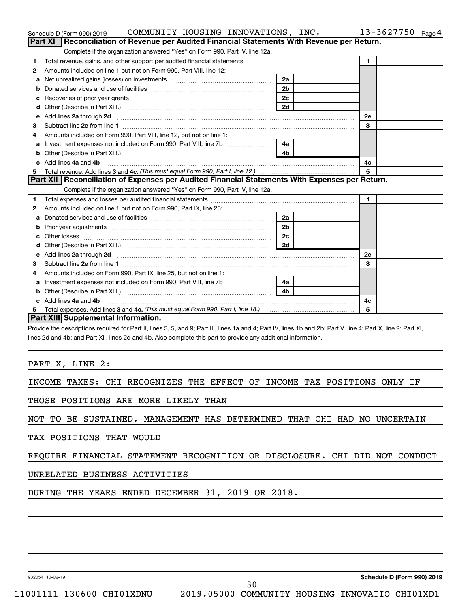|    | COMMUNITY HOUSING INNOVATIONS, INC.<br>Schedule D (Form 990) 2019                                                                                            |                |              | 13-3627750 | Page 4 |
|----|--------------------------------------------------------------------------------------------------------------------------------------------------------------|----------------|--------------|------------|--------|
|    | Reconciliation of Revenue per Audited Financial Statements With Revenue per Return.<br><b>Part XI</b>                                                        |                |              |            |        |
|    | Complete if the organization answered "Yes" on Form 990, Part IV, line 12a.                                                                                  |                |              |            |        |
| 1  | Total revenue, gains, and other support per audited financial statements [111] [11] Total revenue, gains, and other support per audited financial statements |                | $\mathbf{1}$ |            |        |
| 2  | Amounts included on line 1 but not on Form 990, Part VIII, line 12:                                                                                          |                |              |            |        |
| a  |                                                                                                                                                              | 2a             |              |            |        |
|    |                                                                                                                                                              | 2 <sub>b</sub> |              |            |        |
|    |                                                                                                                                                              | 2c             |              |            |        |
| d  |                                                                                                                                                              | 2d             |              |            |        |
| е  | Add lines 2a through 2d                                                                                                                                      |                | 2е           |            |        |
| з  |                                                                                                                                                              |                | 3            |            |        |
| 4  | Amounts included on Form 990, Part VIII, line 12, but not on line 1:                                                                                         |                |              |            |        |
|    | Investment expenses not included on Form 990, Part VIII, line 7b [11, 111, 120]                                                                              | 4a             |              |            |        |
| b  | Other (Describe in Part XIII.) (2000) (2000) (2000) (2010) (2010) (2010) (2010) (2010) (2010) (2010) (2010) (20                                              | 4 <sub>b</sub> |              |            |        |
| c. | Add lines 4a and 4b                                                                                                                                          |                | 4c           |            |        |
|    |                                                                                                                                                              |                | 5            |            |        |
|    | Part XII   Reconciliation of Expenses per Audited Financial Statements With Expenses per Return.                                                             |                |              |            |        |
|    | Complete if the organization answered "Yes" on Form 990, Part IV, line 12a.                                                                                  |                |              |            |        |
| 1  |                                                                                                                                                              |                | $\mathbf{1}$ |            |        |
| 2  | Amounts included on line 1 but not on Form 990, Part IX, line 25:                                                                                            |                |              |            |        |
| a  |                                                                                                                                                              | 2a             |              |            |        |
| b  |                                                                                                                                                              | 2 <sub>b</sub> |              |            |        |
|    |                                                                                                                                                              | 2 <sub>c</sub> |              |            |        |
| d  |                                                                                                                                                              | 2d             |              |            |        |
| е  | Add lines 2a through 2d <b>contained a contained a contained a contained a</b> contained a contained a contact the set                                       |                | <b>2e</b>    |            |        |
| З  |                                                                                                                                                              |                | 3            |            |        |
| 4  | Amounts included on Form 990, Part IX, line 25, but not on line 1:                                                                                           |                |              |            |        |
| a  | Investment expenses not included on Form 990, Part VIII, line 7b [11, 111, 120]                                                                              | 4a l           |              |            |        |
| b  |                                                                                                                                                              | 4 <sub>b</sub> |              |            |        |
|    | c Add lines 4a and 4b                                                                                                                                        |                | 4с           |            |        |
| 5  |                                                                                                                                                              |                | 5            |            |        |
|    | Part XIII Supplemental Information.                                                                                                                          |                |              |            |        |

Provide the descriptions required for Part II, lines 3, 5, and 9; Part III, lines 1a and 4; Part IV, lines 1b and 2b; Part V, line 4; Part X, line 2; Part XI, lines 2d and 4b; and Part XII, lines 2d and 4b. Also complete this part to provide any additional information.

PART X, LINE 2:

INCOME TAXES: CHI RECOGNIZES THE EFFECT OF INCOME TAX POSITIONS ONLY IF

THOSE POSITIONS ARE MORE LIKELY THAN

NOT TO BE SUSTAINED. MANAGEMENT HAS DETERMINED THAT CHI HAD NO UNCERTAIN

TAX POSITIONS THAT WOULD

## REQUIRE FINANCIAL STATEMENT RECOGNITION OR DISCLOSURE. CHI DID NOT CONDUCT

UNRELATED BUSINESS ACTIVITIES

DURING THE YEARS ENDED DECEMBER 31, 2019 OR 2018.

932054 10-02-19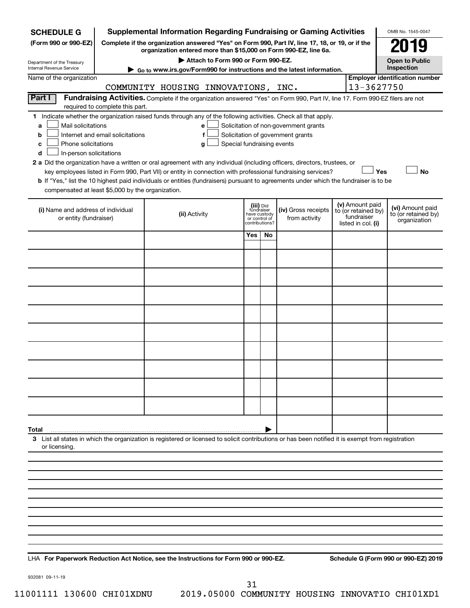| <b>SCHEDULE G</b>                                                                        |                                                                                                                                                                     | <b>Supplemental Information Regarding Fundraising or Gaming Activities</b>                                                                                                                                                                                                                 |                                            |                              |                                                                            |  |                                                                            | OMB No. 1545-0047                                       |
|------------------------------------------------------------------------------------------|---------------------------------------------------------------------------------------------------------------------------------------------------------------------|--------------------------------------------------------------------------------------------------------------------------------------------------------------------------------------------------------------------------------------------------------------------------------------------|--------------------------------------------|------------------------------|----------------------------------------------------------------------------|--|----------------------------------------------------------------------------|---------------------------------------------------------|
| (Form 990 or 990-EZ)                                                                     | Complete if the organization answered "Yes" on Form 990, Part IV, line 17, 18, or 19, or if the<br>organization entered more than \$15,000 on Form 990-EZ, line 6a. |                                                                                                                                                                                                                                                                                            |                                            |                              |                                                                            |  |                                                                            |                                                         |
| Department of the Treasury                                                               |                                                                                                                                                                     | Attach to Form 990 or Form 990-EZ.                                                                                                                                                                                                                                                         |                                            |                              |                                                                            |  |                                                                            | <b>Open to Public</b>                                   |
| Internal Revenue Service<br>Name of the organization                                     |                                                                                                                                                                     | ► Go to www.irs.gov/Form990 for instructions and the latest information.                                                                                                                                                                                                                   |                                            |                              |                                                                            |  |                                                                            | Inspection<br><b>Employer identification number</b>     |
|                                                                                          |                                                                                                                                                                     | COMMUNITY HOUSING INNOVATIONS, INC.                                                                                                                                                                                                                                                        |                                            |                              |                                                                            |  | 13-3627750                                                                 |                                                         |
| Part I                                                                                   | required to complete this part.                                                                                                                                     | Fundraising Activities. Complete if the organization answered "Yes" on Form 990, Part IV, line 17. Form 990-EZ filers are not                                                                                                                                                              |                                            |                              |                                                                            |  |                                                                            |                                                         |
| Mail solicitations<br>a<br>b<br>Phone solicitations<br>с<br>In-person solicitations<br>d | Internet and email solicitations                                                                                                                                    | 1 Indicate whether the organization raised funds through any of the following activities. Check all that apply.<br>е<br>f<br>Special fundraising events<br>g<br>2 a Did the organization have a written or oral agreement with any individual (including officers, directors, trustees, or |                                            |                              | Solicitation of non-government grants<br>Solicitation of government grants |  |                                                                            |                                                         |
| compensated at least \$5,000 by the organization.                                        |                                                                                                                                                                     | key employees listed in Form 990, Part VII) or entity in connection with professional fundraising services?<br>b If "Yes," list the 10 highest paid individuals or entities (fundraisers) pursuant to agreements under which the fundraiser is to be                                       |                                            |                              |                                                                            |  | Yes                                                                        | <b>No</b>                                               |
| (i) Name and address of individual<br>or entity (fundraiser)                             |                                                                                                                                                                     | (ii) Activity                                                                                                                                                                                                                                                                              | (iii) Did<br>have custody<br>or control of | fundraiser<br>contributions? | (iv) Gross receipts<br>from activity                                       |  | (v) Amount paid<br>to (or retained by)<br>fundraiser<br>listed in col. (i) | (vi) Amount paid<br>to (or retained by)<br>organization |
|                                                                                          |                                                                                                                                                                     |                                                                                                                                                                                                                                                                                            | Yes                                        | No                           |                                                                            |  |                                                                            |                                                         |
|                                                                                          |                                                                                                                                                                     |                                                                                                                                                                                                                                                                                            |                                            |                              |                                                                            |  |                                                                            |                                                         |
|                                                                                          |                                                                                                                                                                     |                                                                                                                                                                                                                                                                                            |                                            |                              |                                                                            |  |                                                                            |                                                         |
|                                                                                          |                                                                                                                                                                     |                                                                                                                                                                                                                                                                                            |                                            |                              |                                                                            |  |                                                                            |                                                         |
|                                                                                          |                                                                                                                                                                     |                                                                                                                                                                                                                                                                                            |                                            |                              |                                                                            |  |                                                                            |                                                         |
|                                                                                          |                                                                                                                                                                     |                                                                                                                                                                                                                                                                                            |                                            |                              |                                                                            |  |                                                                            |                                                         |
|                                                                                          |                                                                                                                                                                     |                                                                                                                                                                                                                                                                                            |                                            |                              |                                                                            |  |                                                                            |                                                         |
|                                                                                          |                                                                                                                                                                     |                                                                                                                                                                                                                                                                                            |                                            |                              |                                                                            |  |                                                                            |                                                         |
|                                                                                          |                                                                                                                                                                     |                                                                                                                                                                                                                                                                                            |                                            |                              |                                                                            |  |                                                                            |                                                         |
|                                                                                          |                                                                                                                                                                     |                                                                                                                                                                                                                                                                                            |                                            |                              |                                                                            |  |                                                                            |                                                         |
| Total                                                                                    |                                                                                                                                                                     |                                                                                                                                                                                                                                                                                            |                                            |                              |                                                                            |  |                                                                            |                                                         |
| or licensing.                                                                            |                                                                                                                                                                     | 3 List all states in which the organization is registered or licensed to solicit contributions or has been notified it is exempt from registration                                                                                                                                         |                                            |                              |                                                                            |  |                                                                            |                                                         |
|                                                                                          |                                                                                                                                                                     |                                                                                                                                                                                                                                                                                            |                                            |                              |                                                                            |  |                                                                            |                                                         |
|                                                                                          |                                                                                                                                                                     |                                                                                                                                                                                                                                                                                            |                                            |                              |                                                                            |  |                                                                            |                                                         |
|                                                                                          |                                                                                                                                                                     |                                                                                                                                                                                                                                                                                            |                                            |                              |                                                                            |  |                                                                            |                                                         |
|                                                                                          |                                                                                                                                                                     |                                                                                                                                                                                                                                                                                            |                                            |                              |                                                                            |  |                                                                            |                                                         |
|                                                                                          |                                                                                                                                                                     |                                                                                                                                                                                                                                                                                            |                                            |                              |                                                                            |  |                                                                            |                                                         |
|                                                                                          |                                                                                                                                                                     |                                                                                                                                                                                                                                                                                            |                                            |                              |                                                                            |  |                                                                            |                                                         |
|                                                                                          |                                                                                                                                                                     |                                                                                                                                                                                                                                                                                            |                                            |                              |                                                                            |  |                                                                            |                                                         |

**For Paperwork Reduction Act Notice, see the Instructions for Form 990 or 990-EZ. Schedule G (Form 990 or 990-EZ) 2019** LHA

932081 09-11-19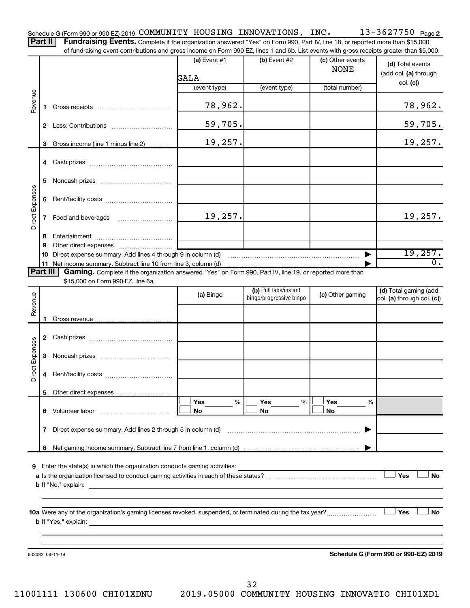13-3627750 Page 2 Schedule G (Form 990 or 990-EZ) 2019 Page COMMUNITY HOUSING INNOVATIONS, INC. 13-3627750 Part II | Fundraising Events. Complete if the organization answered "Yes" on Form 990, Part IV, line 18, or reported more than \$15,000

of fundraising event contributions and gross income on Form 990-EZ, lines 1 and 6b. List events with gross receipts greater than \$5,000.

|                 |    |                                                                                                                                                     | (a) Event $#1$<br>GALA | $(b)$ Event #2          | (c) Other events<br><b>NONE</b> | (d) Total events<br>(add col. (a) through |
|-----------------|----|-----------------------------------------------------------------------------------------------------------------------------------------------------|------------------------|-------------------------|---------------------------------|-------------------------------------------|
|                 |    |                                                                                                                                                     | (event type)           | (event type)            | (total number)                  | col. (c)                                  |
| Revenue         |    |                                                                                                                                                     | 78,962.                |                         |                                 | 78,962.                                   |
|                 |    |                                                                                                                                                     | 59,705.                |                         |                                 | 59,705.                                   |
|                 |    | 3 Gross income (line 1 minus line 2)                                                                                                                | 19,257.                |                         |                                 | 19,257.                                   |
|                 |    |                                                                                                                                                     |                        |                         |                                 |                                           |
|                 | 5  |                                                                                                                                                     |                        |                         |                                 |                                           |
| Direct Expenses | 6  |                                                                                                                                                     |                        |                         |                                 |                                           |
|                 | 7  | Food and beverages                                                                                                                                  | 19,257.                |                         |                                 | 19,257.                                   |
|                 | 8  |                                                                                                                                                     |                        |                         |                                 |                                           |
|                 | 9  |                                                                                                                                                     |                        |                         |                                 |                                           |
|                 | 10 | Direct expense summary. Add lines 4 through 9 in column (d)                                                                                         |                        |                         |                                 | 19, 257.                                  |
|                 |    |                                                                                                                                                     |                        |                         |                                 | $\overline{0}$ .                          |
| Part III        |    | Gaming. Complete if the organization answered "Yes" on Form 990, Part IV, line 19, or reported more than<br>\$15,000 on Form 990-EZ, line 6a.       |                        |                         |                                 |                                           |
|                 |    |                                                                                                                                                     |                        | (b) Pull tabs/instant   |                                 | (d) Total gaming (add                     |
| Revenue         |    |                                                                                                                                                     | (a) Bingo              | bingo/progressive bingo | (c) Other gaming                | col. (a) through col. (c))                |
|                 |    |                                                                                                                                                     |                        |                         |                                 |                                           |
|                 |    |                                                                                                                                                     |                        |                         |                                 |                                           |
|                 |    |                                                                                                                                                     |                        |                         |                                 |                                           |
| Direct Expenses | 3  |                                                                                                                                                     |                        |                         |                                 |                                           |
|                 | 4  |                                                                                                                                                     |                        |                         |                                 |                                           |
|                 |    |                                                                                                                                                     |                        |                         |                                 |                                           |
|                 |    |                                                                                                                                                     | Yes<br>%               | Yes<br>%                | Yes<br>%                        |                                           |
|                 | 6  | Volunteer labor                                                                                                                                     | No                     | No                      | No                              |                                           |
|                 | 7  | Direct expense summary. Add lines 2 through 5 in column (d)                                                                                         |                        |                         | ▶                               |                                           |
|                 | 8  |                                                                                                                                                     |                        |                         |                                 |                                           |
|                 |    |                                                                                                                                                     |                        |                         |                                 |                                           |
| 9               |    | Enter the state(s) in which the organization conducts gaming activities:                                                                            |                        |                         |                                 |                                           |
|                 |    |                                                                                                                                                     |                        |                         |                                 | <b>Yes</b><br>No                          |
|                 |    | <b>b</b> If "No," explain:                                                                                                                          |                        |                         |                                 |                                           |
|                 |    |                                                                                                                                                     |                        |                         |                                 |                                           |
|                 |    |                                                                                                                                                     |                        |                         |                                 | Yes<br>No                                 |
|                 |    | <b>b</b> If "Yes," explain:<br><u> 1989 - Johann Barbara, marka a shekara tsa 1989 - An tsa 1989 - An tsa 1989 - An tsa 1989 - An tsa 1989 - An</u> |                        |                         |                                 |                                           |
|                 |    |                                                                                                                                                     |                        |                         |                                 |                                           |
|                 |    |                                                                                                                                                     |                        |                         |                                 |                                           |
|                 |    | 932082 09-11-19                                                                                                                                     |                        |                         |                                 | Schedule G (Form 990 or 990-EZ) 2019      |
|                 |    |                                                                                                                                                     |                        |                         |                                 |                                           |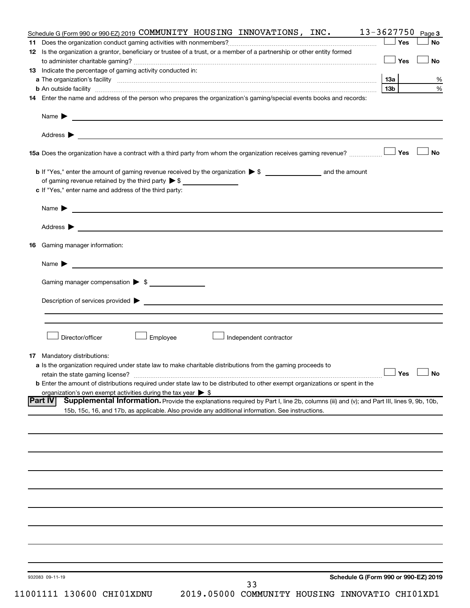|     | Schedule G (Form 990 or 990-EZ) 2019 COMMUNITY HOUSING INNOVATIONS, INC.                                                                                                                                                                                     |     |     | $13 - 3627750$ Page 3 |
|-----|--------------------------------------------------------------------------------------------------------------------------------------------------------------------------------------------------------------------------------------------------------------|-----|-----|-----------------------|
| 11. |                                                                                                                                                                                                                                                              |     | Yes | No                    |
|     | 12 Is the organization a grantor, beneficiary or trustee of a trust, or a member of a partnership or other entity formed                                                                                                                                     |     |     |                       |
|     |                                                                                                                                                                                                                                                              |     | Yes | <b>No</b>             |
|     | 13 Indicate the percentage of gaming activity conducted in:                                                                                                                                                                                                  |     |     |                       |
|     |                                                                                                                                                                                                                                                              | 1За |     | %                     |
|     |                                                                                                                                                                                                                                                              | 13b |     | $\%$                  |
|     | 14 Enter the name and address of the person who prepares the organization's gaming/special events books and records:                                                                                                                                         |     |     |                       |
|     |                                                                                                                                                                                                                                                              |     |     |                       |
|     | Address ><br>and the control of the control of the control of the control of the control of the control of the control of the                                                                                                                                |     |     |                       |
|     | 15a Does the organization have a contract with a third party from whom the organization receives gaming revenue?                                                                                                                                             |     | Yes | <b>No</b>             |
|     | <b>b</b> If "Yes," enter the amount of gaming revenue received by the organization $\triangleright$ \$ and the amount                                                                                                                                        |     |     |                       |
|     | of gaming revenue retained by the third party $\triangleright$ \$                                                                                                                                                                                            |     |     |                       |
|     | c If "Yes," enter name and address of the third party:                                                                                                                                                                                                       |     |     |                       |
|     | Name > 2008 - 2008 - 2009 - 2009 - 2009 - 2009 - 2009 - 2009 - 2009 - 2009 - 2009 - 2009 - 2009 - 2009 - 2009 - 2009 - 2009 - 2009 - 2009 - 2009 - 2009 - 2009 - 2009 - 2009 - 2009 - 2009 - 2009 - 2009 - 2009 - 2009 - 2009                                |     |     |                       |
|     |                                                                                                                                                                                                                                                              |     |     |                       |
|     |                                                                                                                                                                                                                                                              |     |     |                       |
| 16  | Gaming manager information:                                                                                                                                                                                                                                  |     |     |                       |
|     | <u> 1989 - Johann Barbara, martin amerikan basal dan berasal dan berasal dalam basal dan berasal dan berasal dan</u><br>Name $\blacktriangleright$                                                                                                           |     |     |                       |
|     | Gaming manager compensation $\triangleright$ \$                                                                                                                                                                                                              |     |     |                       |
|     |                                                                                                                                                                                                                                                              |     |     |                       |
|     | Description of services provided $\blacktriangleright$                                                                                                                                                                                                       |     |     |                       |
|     |                                                                                                                                                                                                                                                              |     |     |                       |
|     | Director/officer<br>Employee<br>Independent contractor                                                                                                                                                                                                       |     |     |                       |
|     |                                                                                                                                                                                                                                                              |     |     |                       |
|     | <b>17</b> Mandatory distributions:                                                                                                                                                                                                                           |     |     |                       |
|     | a Is the organization required under state law to make charitable distributions from the gaming proceeds to                                                                                                                                                  |     |     |                       |
|     | retain the state gaming license?                                                                                                                                                                                                                             |     |     | $\Box$ Yes $\Box$ No  |
|     | <b>b</b> Enter the amount of distributions required under state law to be distributed to other exempt organizations or spent in the                                                                                                                          |     |     |                       |
|     | organization's own exempt activities during the tax year $\triangleright$ \$                                                                                                                                                                                 |     |     |                       |
|     | <b>Part IV</b><br>Supplemental Information. Provide the explanations required by Part I, line 2b, columns (iii) and (v); and Part III, lines 9, 9b, 10b,<br>15b, 15c, 16, and 17b, as applicable. Also provide any additional information. See instructions. |     |     |                       |
|     |                                                                                                                                                                                                                                                              |     |     |                       |
|     |                                                                                                                                                                                                                                                              |     |     |                       |
|     |                                                                                                                                                                                                                                                              |     |     |                       |
|     |                                                                                                                                                                                                                                                              |     |     |                       |
|     |                                                                                                                                                                                                                                                              |     |     |                       |
|     |                                                                                                                                                                                                                                                              |     |     |                       |
|     |                                                                                                                                                                                                                                                              |     |     |                       |
|     |                                                                                                                                                                                                                                                              |     |     |                       |
|     |                                                                                                                                                                                                                                                              |     |     |                       |
|     |                                                                                                                                                                                                                                                              |     |     |                       |
|     |                                                                                                                                                                                                                                                              |     |     |                       |
|     |                                                                                                                                                                                                                                                              |     |     |                       |
|     |                                                                                                                                                                                                                                                              |     |     |                       |
|     |                                                                                                                                                                                                                                                              |     |     |                       |
|     | Schedule G (Form 990 or 990-EZ) 2019<br>932083 09-11-19                                                                                                                                                                                                      |     |     |                       |
|     | 33                                                                                                                                                                                                                                                           |     |     |                       |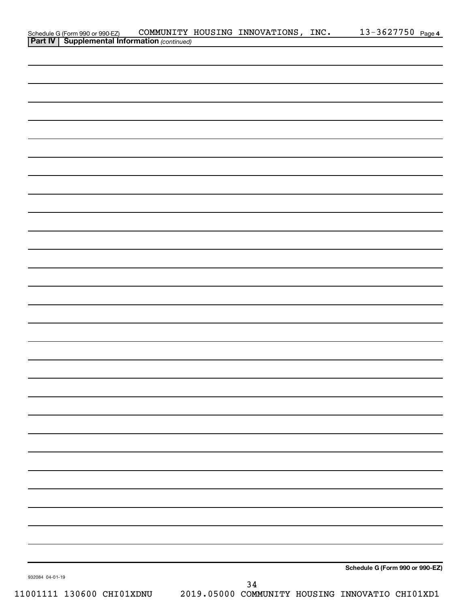|                                                                                                    |  | COMMUNITY HOUSING INNOVATIONS, INC. | 13-3627750 Page 4               |
|----------------------------------------------------------------------------------------------------|--|-------------------------------------|---------------------------------|
| Schedule G (Form 990 or 990-EZ) COMMUNITY<br><b>Part IV   Supplemental Information</b> (continued) |  |                                     |                                 |
|                                                                                                    |  |                                     |                                 |
|                                                                                                    |  |                                     |                                 |
|                                                                                                    |  |                                     |                                 |
|                                                                                                    |  |                                     |                                 |
|                                                                                                    |  |                                     |                                 |
|                                                                                                    |  |                                     |                                 |
|                                                                                                    |  |                                     |                                 |
|                                                                                                    |  |                                     |                                 |
|                                                                                                    |  |                                     |                                 |
|                                                                                                    |  |                                     |                                 |
|                                                                                                    |  |                                     |                                 |
|                                                                                                    |  |                                     |                                 |
|                                                                                                    |  |                                     |                                 |
|                                                                                                    |  |                                     |                                 |
|                                                                                                    |  |                                     |                                 |
|                                                                                                    |  |                                     |                                 |
|                                                                                                    |  |                                     |                                 |
|                                                                                                    |  |                                     |                                 |
|                                                                                                    |  |                                     |                                 |
|                                                                                                    |  |                                     |                                 |
|                                                                                                    |  |                                     |                                 |
|                                                                                                    |  |                                     |                                 |
|                                                                                                    |  |                                     |                                 |
|                                                                                                    |  |                                     |                                 |
|                                                                                                    |  |                                     |                                 |
|                                                                                                    |  |                                     |                                 |
|                                                                                                    |  |                                     |                                 |
|                                                                                                    |  |                                     |                                 |
|                                                                                                    |  |                                     |                                 |
|                                                                                                    |  |                                     |                                 |
|                                                                                                    |  |                                     |                                 |
|                                                                                                    |  |                                     |                                 |
|                                                                                                    |  |                                     |                                 |
|                                                                                                    |  |                                     |                                 |
|                                                                                                    |  |                                     |                                 |
|                                                                                                    |  |                                     |                                 |
|                                                                                                    |  |                                     |                                 |
|                                                                                                    |  |                                     |                                 |
|                                                                                                    |  |                                     |                                 |
|                                                                                                    |  |                                     |                                 |
|                                                                                                    |  |                                     |                                 |
|                                                                                                    |  |                                     |                                 |
|                                                                                                    |  |                                     |                                 |
|                                                                                                    |  |                                     |                                 |
|                                                                                                    |  |                                     |                                 |
|                                                                                                    |  |                                     |                                 |
|                                                                                                    |  |                                     |                                 |
|                                                                                                    |  |                                     | Schedule G (Form 990 or 990-EZ) |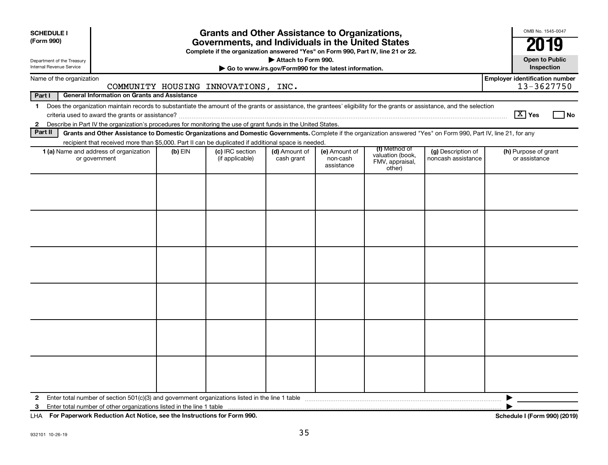| <b>SCHEDULE I</b><br>(Form 990)                        |                                                                                                                                                                          |           | <b>Grants and Other Assistance to Organizations,</b><br>Governments, and Individuals in the United States<br>Complete if the organization answered "Yes" on Form 990, Part IV, line 21 or 22. |                                                                              |                                         |                                                                |                                          | OMB No. 1545-0047<br>201                            |  |  |
|--------------------------------------------------------|--------------------------------------------------------------------------------------------------------------------------------------------------------------------------|-----------|-----------------------------------------------------------------------------------------------------------------------------------------------------------------------------------------------|------------------------------------------------------------------------------|-----------------------------------------|----------------------------------------------------------------|------------------------------------------|-----------------------------------------------------|--|--|
| Department of the Treasury<br>Internal Revenue Service |                                                                                                                                                                          |           |                                                                                                                                                                                               | Attach to Form 990.<br>Go to www.irs.gov/Form990 for the latest information. |                                         |                                                                |                                          | <b>Open to Public</b><br>Inspection                 |  |  |
|                                                        | Name of the organization                                                                                                                                                 |           | COMMUNITY HOUSING INNOVATIONS, INC.                                                                                                                                                           |                                                                              |                                         |                                                                |                                          | <b>Employer identification number</b><br>13-3627750 |  |  |
| Part I                                                 | <b>General Information on Grants and Assistance</b>                                                                                                                      |           |                                                                                                                                                                                               |                                                                              |                                         |                                                                |                                          |                                                     |  |  |
| $\mathbf 1$                                            | Does the organization maintain records to substantiate the amount of the grants or assistance, the grantees' eligibility for the grants or assistance, and the selection |           |                                                                                                                                                                                               |                                                                              |                                         |                                                                |                                          | $\sqrt{X}$ Yes<br>l No                              |  |  |
| Part II                                                | 2 Describe in Part IV the organization's procedures for monitoring the use of grant funds in the United States.                                                          |           |                                                                                                                                                                                               |                                                                              |                                         |                                                                |                                          |                                                     |  |  |
|                                                        | Grants and Other Assistance to Domestic Organizations and Domestic Governments. Complete if the organization answered "Yes" on Form 990, Part IV, line 21, for any       |           |                                                                                                                                                                                               |                                                                              |                                         |                                                                |                                          |                                                     |  |  |
|                                                        | recipient that received more than \$5,000. Part II can be duplicated if additional space is needed.<br>1 (a) Name and address of organization<br>or government           | $(b)$ EIN | (c) IRC section<br>(if applicable)                                                                                                                                                            | (d) Amount of<br>cash grant                                                  | (e) Amount of<br>non-cash<br>assistance | (f) Method of<br>valuation (book,<br>FMV, appraisal,<br>other) | (g) Description of<br>noncash assistance | (h) Purpose of grant<br>or assistance               |  |  |
|                                                        |                                                                                                                                                                          |           |                                                                                                                                                                                               |                                                                              |                                         |                                                                |                                          |                                                     |  |  |
| $\mathbf{2}$<br>3                                      | Enter total number of other organizations listed in the line 1 table                                                                                                     |           |                                                                                                                                                                                               |                                                                              |                                         |                                                                |                                          |                                                     |  |  |

**For Paperwork Reduction Act Notice, see the Instructions for Form 990. Schedule I (Form 990) (2019)** LHA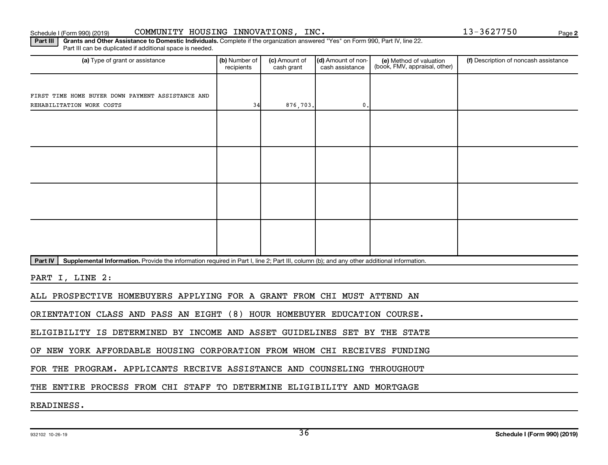## Schedule I (Form 990) (2019) COMMUNITY HOUSING INNOVATIONS,INC。 13-3627750 Page

**2**

Part III | Grants and Other Assistance to Domestic Individuals. Complete if the organization answered "Yes" on Form 990, Part IV, line 22. Part III can be duplicated if additional space is needed.

| (a) Type of grant or assistance                                                                                                                      | (b) Number of<br>recipients | (c) Amount of<br>cash grant | (d) Amount of non-<br>cash assistance | (e) Method of valuation<br>(book, FMV, appraisal, other) | (f) Description of noncash assistance |
|------------------------------------------------------------------------------------------------------------------------------------------------------|-----------------------------|-----------------------------|---------------------------------------|----------------------------------------------------------|---------------------------------------|
|                                                                                                                                                      |                             |                             |                                       |                                                          |                                       |
| FIRST TIME HOME BUYER DOWN PAYMENT ASSISTANCE AND                                                                                                    |                             |                             |                                       |                                                          |                                       |
| REHABILITATION WORK COSTS                                                                                                                            | 34                          | 876,703.                    | $\mathbf{0}$                          |                                                          |                                       |
|                                                                                                                                                      |                             |                             |                                       |                                                          |                                       |
|                                                                                                                                                      |                             |                             |                                       |                                                          |                                       |
|                                                                                                                                                      |                             |                             |                                       |                                                          |                                       |
|                                                                                                                                                      |                             |                             |                                       |                                                          |                                       |
|                                                                                                                                                      |                             |                             |                                       |                                                          |                                       |
|                                                                                                                                                      |                             |                             |                                       |                                                          |                                       |
|                                                                                                                                                      |                             |                             |                                       |                                                          |                                       |
|                                                                                                                                                      |                             |                             |                                       |                                                          |                                       |
|                                                                                                                                                      |                             |                             |                                       |                                                          |                                       |
|                                                                                                                                                      |                             |                             |                                       |                                                          |                                       |
|                                                                                                                                                      |                             |                             |                                       |                                                          |                                       |
|                                                                                                                                                      |                             |                             |                                       |                                                          |                                       |
|                                                                                                                                                      |                             |                             |                                       |                                                          |                                       |
| Part IV<br>Supplemental Information. Provide the information required in Part I, line 2; Part III, column (b); and any other additional information. |                             |                             |                                       |                                                          |                                       |
|                                                                                                                                                      |                             |                             |                                       |                                                          |                                       |
| PART I, LINE 2:                                                                                                                                      |                             |                             |                                       |                                                          |                                       |
| ALL PROSPECTIVE HOMEBUYERS APPLYING FOR A GRANT FROM CHI MUST ATTEND AN                                                                              |                             |                             |                                       |                                                          |                                       |
|                                                                                                                                                      |                             |                             |                                       |                                                          |                                       |
| ORIENTATION CLASS AND PASS AN EIGHT (8) HOUR HOMEBUYER EDUCATION COURSE.                                                                             |                             |                             |                                       |                                                          |                                       |
| ELIGIBILITY IS DETERMINED BY INCOME AND ASSET GUIDELINES SET BY THE STATE                                                                            |                             |                             |                                       |                                                          |                                       |
| OF NEW YORK AFFORDABLE HOUSING CORPORATION FROM WHOM CHI RECEIVES FUNDING                                                                            |                             |                             |                                       |                                                          |                                       |
| FOR THE PROGRAM. APPLICANTS RECEIVE ASSISTANCE AND COUNSELING THROUGHOUT                                                                             |                             |                             |                                       |                                                          |                                       |
|                                                                                                                                                      |                             |                             |                                       |                                                          |                                       |

THE ENTIRE PROCESS FROM CHI STAFF TO DETERMINE ELIGIBILITY AND MORTGAGE

READINESS.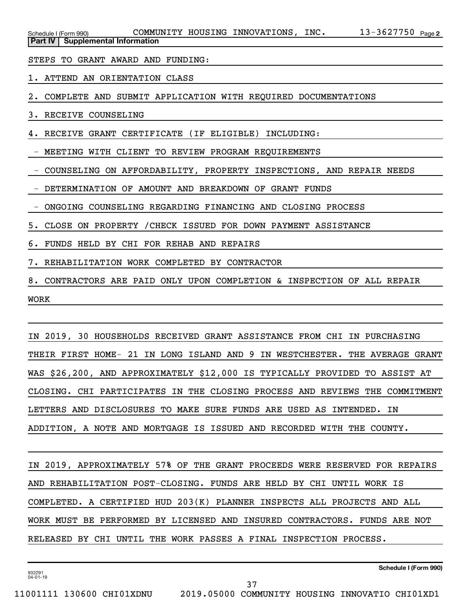|  | Schedule I (Form 990)                     |  | COMMUNITY HOUSING INNOVATIONS, | INC. | $13 - 3627750$ Page 2 |  |
|--|-------------------------------------------|--|--------------------------------|------|-----------------------|--|
|  | <b>Part IV   Supplemental Information</b> |  |                                |      |                       |  |

STEPS TO GRANT AWARD AND FUNDING:

1. ATTEND AN ORIENTATION CLASS

2. COMPLETE AND SUBMIT APPLICATION WITH REQUIRED DOCUMENTATIONS

3. RECEIVE COUNSELING

4. RECEIVE GRANT CERTIFICATE (IF ELIGIBLE) INCLUDING:

- MEETING WITH CLIENT TO REVIEW PROGRAM REQUIREMENTS

- COUNSELING ON AFFORDABILITY, PROPERTY INSPECTIONS, AND REPAIR NEEDS

- DETERMINATION OF AMOUNT AND BREAKDOWN OF GRANT FUNDS

- ONGOING COUNSELING REGARDING FINANCING AND CLOSING PROCESS

5. CLOSE ON PROPERTY /CHECK ISSUED FOR DOWN PAYMENT ASSISTANCE

6. FUNDS HELD BY CHI FOR REHAB AND REPAIRS

7. REHABILITATION WORK COMPLETED BY CONTRACTOR

8. CONTRACTORS ARE PAID ONLY UPON COMPLETION & INSPECTION OF ALL REPAIR WORK

IN 2019, 30 HOUSEHOLDS RECEIVED GRANT ASSISTANCE FROM CHI IN PURCHASING THEIR FIRST HOME- 21 IN LONG ISLAND AND 9 IN WESTCHESTER. THE AVERAGE GRANT WAS \$26,200, AND APPROXIMATELY \$12,000 IS TYPICALLY PROVIDED TO ASSIST AT CLOSING. CHI PARTICIPATES IN THE CLOSING PROCESS AND REVIEWS THE COMMITMENT LETTERS AND DISCLOSURES TO MAKE SURE FUNDS ARE USED AS INTENDED. IN ADDITION, A NOTE AND MORTGAGE IS ISSUED AND RECORDED WITH THE COUNTY.

IN 2019, APPROXIMATELY 57% OF THE GRANT PROCEEDS WERE RESERVED FOR REPAIRS AND REHABILITATION POST-CLOSING. FUNDS ARE HELD BY CHI UNTIL WORK IS COMPLETED. A CERTIFIED HUD 203(K) PLANNER INSPECTS ALL PROJECTS AND ALL WORK MUST BE PERFORMED BY LICENSED AND INSURED CONTRACTORS. FUNDS ARE NOT RELEASED BY CHI UNTIL THE WORK PASSES A FINAL INSPECTION PROCESS.

37

932291 04-01-19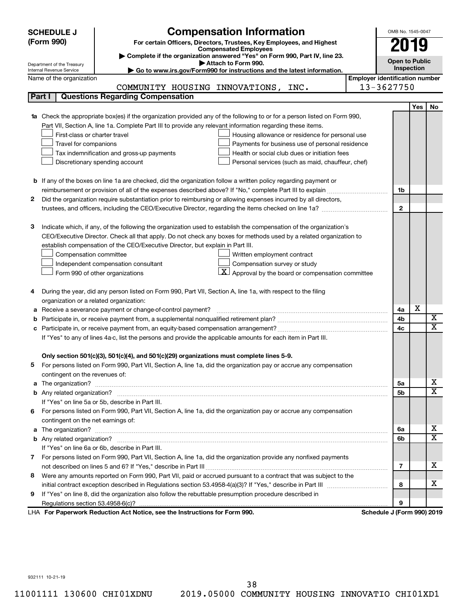| (Form 990)<br>For certain Officers, Directors, Trustees, Key Employees, and Highest<br>2019<br><b>Compensated Employees</b><br>Complete if the organization answered "Yes" on Form 990, Part IV, line 23.<br><b>Open to Public</b><br>Attach to Form 990.<br>Department of the Treasury<br><b>Inspection</b><br>Go to www.irs.gov/Form990 for instructions and the latest information.<br>Internal Revenue Service<br><b>Employer identification number</b><br>Name of the organization<br>13-3627750<br>COMMUNITY HOUSING INNOVATIONS, INC.<br><b>Questions Regarding Compensation</b><br>Part I<br>Yes<br>No<br>Check the appropriate box(es) if the organization provided any of the following to or for a person listed on Form 990,<br>Part VII, Section A, line 1a. Complete Part III to provide any relevant information regarding these items.<br>First-class or charter travel<br>Housing allowance or residence for personal use<br>Travel for companions<br>Payments for business use of personal residence<br>Health or social club dues or initiation fees<br>Tax indemnification and gross-up payments<br>Discretionary spending account<br>Personal services (such as maid, chauffeur, chef)<br><b>b</b> If any of the boxes on line 1a are checked, did the organization follow a written policy regarding payment or<br>1b<br>Did the organization require substantiation prior to reimbursing or allowing expenses incurred by all directors,<br>2<br>$\mathbf{2}$<br>3<br>Indicate which, if any, of the following the organization used to establish the compensation of the organization's<br>CEO/Executive Director. Check all that apply. Do not check any boxes for methods used by a related organization to<br>establish compensation of the CEO/Executive Director, but explain in Part III.<br>Compensation committee<br>Written employment contract<br>Compensation survey or study<br>Independent compensation consultant<br>$\boxed{\textbf{X}}$ Approval by the board or compensation committee<br>Form 990 of other organizations<br>During the year, did any person listed on Form 990, Part VII, Section A, line 1a, with respect to the filing<br>4<br>organization or a related organization:<br>X<br>Receive a severance payment or change-of-control payment?<br>4a<br>а<br>X<br>4b<br>$\mathbf x$<br>4c<br>If "Yes" to any of lines 4a-c, list the persons and provide the applicable amounts for each item in Part III.<br>Only section 501(c)(3), 501(c)(4), and 501(c)(29) organizations must complete lines 5-9.<br>For persons listed on Form 990, Part VII, Section A, line 1a, did the organization pay or accrue any compensation<br>contingent on the revenues of:<br>x<br>The organization? <b>William Commission Commission Commission</b> Commission Commission Commission Commission<br>5а<br>a<br>X<br>5b<br>If "Yes" on line 5a or 5b, describe in Part III.<br>6 For persons listed on Form 990, Part VII, Section A, line 1a, did the organization pay or accrue any compensation<br>contingent on the net earnings of:<br>x<br>a<br>6a<br>$\overline{\textbf{x}}$<br>6b<br>If "Yes" on line 6a or 6b, describe in Part III.<br>7 For persons listed on Form 990, Part VII, Section A, line 1a, did the organization provide any nonfixed payments<br>x<br>7<br>8 Were any amounts reported on Form 990, Part VII, paid or accrued pursuant to a contract that was subject to the<br>x<br>8<br>If "Yes" on line 8, did the organization also follow the rebuttable presumption procedure described in<br>9<br>9 | <b>SCHEDULE J</b> | <b>Compensation Information</b> | OMB No. 1545-0047 |  |
|--------------------------------------------------------------------------------------------------------------------------------------------------------------------------------------------------------------------------------------------------------------------------------------------------------------------------------------------------------------------------------------------------------------------------------------------------------------------------------------------------------------------------------------------------------------------------------------------------------------------------------------------------------------------------------------------------------------------------------------------------------------------------------------------------------------------------------------------------------------------------------------------------------------------------------------------------------------------------------------------------------------------------------------------------------------------------------------------------------------------------------------------------------------------------------------------------------------------------------------------------------------------------------------------------------------------------------------------------------------------------------------------------------------------------------------------------------------------------------------------------------------------------------------------------------------------------------------------------------------------------------------------------------------------------------------------------------------------------------------------------------------------------------------------------------------------------------------------------------------------------------------------------------------------------------------------------------------------------------------------------------------------------------------------------------------------------------------------------------------------------------------------------------------------------------------------------------------------------------------------------------------------------------------------------------------------------------------------------------------------------------------------------------------------------------------------------------------------------------------------------------------------------------------------------------------------------------------------------------------------------------------------------------------------------------------------------------------------------------------------------------------------------------------------------------------------------------------------------------------------------------------------------------------------------------------------------------------------------------------------------------------------------------------------------------------------------------------------------------------------------------------------------------------------------------------------------------------------------------------------------------------------------------------------------------------------------------------------------------------------------------------------------------------------------------------------------------------------------------------------------------------------------------------------------------------------------|-------------------|---------------------------------|-------------------|--|
|                                                                                                                                                                                                                                                                                                                                                                                                                                                                                                                                                                                                                                                                                                                                                                                                                                                                                                                                                                                                                                                                                                                                                                                                                                                                                                                                                                                                                                                                                                                                                                                                                                                                                                                                                                                                                                                                                                                                                                                                                                                                                                                                                                                                                                                                                                                                                                                                                                                                                                                                                                                                                                                                                                                                                                                                                                                                                                                                                                                                                                                                                                                                                                                                                                                                                                                                                                                                                                                                                                                                                                          |                   |                                 |                   |  |
|                                                                                                                                                                                                                                                                                                                                                                                                                                                                                                                                                                                                                                                                                                                                                                                                                                                                                                                                                                                                                                                                                                                                                                                                                                                                                                                                                                                                                                                                                                                                                                                                                                                                                                                                                                                                                                                                                                                                                                                                                                                                                                                                                                                                                                                                                                                                                                                                                                                                                                                                                                                                                                                                                                                                                                                                                                                                                                                                                                                                                                                                                                                                                                                                                                                                                                                                                                                                                                                                                                                                                                          |                   |                                 |                   |  |
|                                                                                                                                                                                                                                                                                                                                                                                                                                                                                                                                                                                                                                                                                                                                                                                                                                                                                                                                                                                                                                                                                                                                                                                                                                                                                                                                                                                                                                                                                                                                                                                                                                                                                                                                                                                                                                                                                                                                                                                                                                                                                                                                                                                                                                                                                                                                                                                                                                                                                                                                                                                                                                                                                                                                                                                                                                                                                                                                                                                                                                                                                                                                                                                                                                                                                                                                                                                                                                                                                                                                                                          |                   |                                 |                   |  |
|                                                                                                                                                                                                                                                                                                                                                                                                                                                                                                                                                                                                                                                                                                                                                                                                                                                                                                                                                                                                                                                                                                                                                                                                                                                                                                                                                                                                                                                                                                                                                                                                                                                                                                                                                                                                                                                                                                                                                                                                                                                                                                                                                                                                                                                                                                                                                                                                                                                                                                                                                                                                                                                                                                                                                                                                                                                                                                                                                                                                                                                                                                                                                                                                                                                                                                                                                                                                                                                                                                                                                                          |                   |                                 |                   |  |
|                                                                                                                                                                                                                                                                                                                                                                                                                                                                                                                                                                                                                                                                                                                                                                                                                                                                                                                                                                                                                                                                                                                                                                                                                                                                                                                                                                                                                                                                                                                                                                                                                                                                                                                                                                                                                                                                                                                                                                                                                                                                                                                                                                                                                                                                                                                                                                                                                                                                                                                                                                                                                                                                                                                                                                                                                                                                                                                                                                                                                                                                                                                                                                                                                                                                                                                                                                                                                                                                                                                                                                          |                   |                                 |                   |  |
|                                                                                                                                                                                                                                                                                                                                                                                                                                                                                                                                                                                                                                                                                                                                                                                                                                                                                                                                                                                                                                                                                                                                                                                                                                                                                                                                                                                                                                                                                                                                                                                                                                                                                                                                                                                                                                                                                                                                                                                                                                                                                                                                                                                                                                                                                                                                                                                                                                                                                                                                                                                                                                                                                                                                                                                                                                                                                                                                                                                                                                                                                                                                                                                                                                                                                                                                                                                                                                                                                                                                                                          |                   |                                 |                   |  |
|                                                                                                                                                                                                                                                                                                                                                                                                                                                                                                                                                                                                                                                                                                                                                                                                                                                                                                                                                                                                                                                                                                                                                                                                                                                                                                                                                                                                                                                                                                                                                                                                                                                                                                                                                                                                                                                                                                                                                                                                                                                                                                                                                                                                                                                                                                                                                                                                                                                                                                                                                                                                                                                                                                                                                                                                                                                                                                                                                                                                                                                                                                                                                                                                                                                                                                                                                                                                                                                                                                                                                                          |                   |                                 |                   |  |
|                                                                                                                                                                                                                                                                                                                                                                                                                                                                                                                                                                                                                                                                                                                                                                                                                                                                                                                                                                                                                                                                                                                                                                                                                                                                                                                                                                                                                                                                                                                                                                                                                                                                                                                                                                                                                                                                                                                                                                                                                                                                                                                                                                                                                                                                                                                                                                                                                                                                                                                                                                                                                                                                                                                                                                                                                                                                                                                                                                                                                                                                                                                                                                                                                                                                                                                                                                                                                                                                                                                                                                          |                   |                                 |                   |  |
|                                                                                                                                                                                                                                                                                                                                                                                                                                                                                                                                                                                                                                                                                                                                                                                                                                                                                                                                                                                                                                                                                                                                                                                                                                                                                                                                                                                                                                                                                                                                                                                                                                                                                                                                                                                                                                                                                                                                                                                                                                                                                                                                                                                                                                                                                                                                                                                                                                                                                                                                                                                                                                                                                                                                                                                                                                                                                                                                                                                                                                                                                                                                                                                                                                                                                                                                                                                                                                                                                                                                                                          |                   |                                 |                   |  |
|                                                                                                                                                                                                                                                                                                                                                                                                                                                                                                                                                                                                                                                                                                                                                                                                                                                                                                                                                                                                                                                                                                                                                                                                                                                                                                                                                                                                                                                                                                                                                                                                                                                                                                                                                                                                                                                                                                                                                                                                                                                                                                                                                                                                                                                                                                                                                                                                                                                                                                                                                                                                                                                                                                                                                                                                                                                                                                                                                                                                                                                                                                                                                                                                                                                                                                                                                                                                                                                                                                                                                                          |                   |                                 |                   |  |
|                                                                                                                                                                                                                                                                                                                                                                                                                                                                                                                                                                                                                                                                                                                                                                                                                                                                                                                                                                                                                                                                                                                                                                                                                                                                                                                                                                                                                                                                                                                                                                                                                                                                                                                                                                                                                                                                                                                                                                                                                                                                                                                                                                                                                                                                                                                                                                                                                                                                                                                                                                                                                                                                                                                                                                                                                                                                                                                                                                                                                                                                                                                                                                                                                                                                                                                                                                                                                                                                                                                                                                          |                   |                                 |                   |  |
|                                                                                                                                                                                                                                                                                                                                                                                                                                                                                                                                                                                                                                                                                                                                                                                                                                                                                                                                                                                                                                                                                                                                                                                                                                                                                                                                                                                                                                                                                                                                                                                                                                                                                                                                                                                                                                                                                                                                                                                                                                                                                                                                                                                                                                                                                                                                                                                                                                                                                                                                                                                                                                                                                                                                                                                                                                                                                                                                                                                                                                                                                                                                                                                                                                                                                                                                                                                                                                                                                                                                                                          |                   |                                 |                   |  |
|                                                                                                                                                                                                                                                                                                                                                                                                                                                                                                                                                                                                                                                                                                                                                                                                                                                                                                                                                                                                                                                                                                                                                                                                                                                                                                                                                                                                                                                                                                                                                                                                                                                                                                                                                                                                                                                                                                                                                                                                                                                                                                                                                                                                                                                                                                                                                                                                                                                                                                                                                                                                                                                                                                                                                                                                                                                                                                                                                                                                                                                                                                                                                                                                                                                                                                                                                                                                                                                                                                                                                                          |                   |                                 |                   |  |
|                                                                                                                                                                                                                                                                                                                                                                                                                                                                                                                                                                                                                                                                                                                                                                                                                                                                                                                                                                                                                                                                                                                                                                                                                                                                                                                                                                                                                                                                                                                                                                                                                                                                                                                                                                                                                                                                                                                                                                                                                                                                                                                                                                                                                                                                                                                                                                                                                                                                                                                                                                                                                                                                                                                                                                                                                                                                                                                                                                                                                                                                                                                                                                                                                                                                                                                                                                                                                                                                                                                                                                          |                   |                                 |                   |  |
|                                                                                                                                                                                                                                                                                                                                                                                                                                                                                                                                                                                                                                                                                                                                                                                                                                                                                                                                                                                                                                                                                                                                                                                                                                                                                                                                                                                                                                                                                                                                                                                                                                                                                                                                                                                                                                                                                                                                                                                                                                                                                                                                                                                                                                                                                                                                                                                                                                                                                                                                                                                                                                                                                                                                                                                                                                                                                                                                                                                                                                                                                                                                                                                                                                                                                                                                                                                                                                                                                                                                                                          |                   |                                 |                   |  |
|                                                                                                                                                                                                                                                                                                                                                                                                                                                                                                                                                                                                                                                                                                                                                                                                                                                                                                                                                                                                                                                                                                                                                                                                                                                                                                                                                                                                                                                                                                                                                                                                                                                                                                                                                                                                                                                                                                                                                                                                                                                                                                                                                                                                                                                                                                                                                                                                                                                                                                                                                                                                                                                                                                                                                                                                                                                                                                                                                                                                                                                                                                                                                                                                                                                                                                                                                                                                                                                                                                                                                                          |                   |                                 |                   |  |
|                                                                                                                                                                                                                                                                                                                                                                                                                                                                                                                                                                                                                                                                                                                                                                                                                                                                                                                                                                                                                                                                                                                                                                                                                                                                                                                                                                                                                                                                                                                                                                                                                                                                                                                                                                                                                                                                                                                                                                                                                                                                                                                                                                                                                                                                                                                                                                                                                                                                                                                                                                                                                                                                                                                                                                                                                                                                                                                                                                                                                                                                                                                                                                                                                                                                                                                                                                                                                                                                                                                                                                          |                   |                                 |                   |  |
|                                                                                                                                                                                                                                                                                                                                                                                                                                                                                                                                                                                                                                                                                                                                                                                                                                                                                                                                                                                                                                                                                                                                                                                                                                                                                                                                                                                                                                                                                                                                                                                                                                                                                                                                                                                                                                                                                                                                                                                                                                                                                                                                                                                                                                                                                                                                                                                                                                                                                                                                                                                                                                                                                                                                                                                                                                                                                                                                                                                                                                                                                                                                                                                                                                                                                                                                                                                                                                                                                                                                                                          |                   |                                 |                   |  |
|                                                                                                                                                                                                                                                                                                                                                                                                                                                                                                                                                                                                                                                                                                                                                                                                                                                                                                                                                                                                                                                                                                                                                                                                                                                                                                                                                                                                                                                                                                                                                                                                                                                                                                                                                                                                                                                                                                                                                                                                                                                                                                                                                                                                                                                                                                                                                                                                                                                                                                                                                                                                                                                                                                                                                                                                                                                                                                                                                                                                                                                                                                                                                                                                                                                                                                                                                                                                                                                                                                                                                                          |                   |                                 |                   |  |
|                                                                                                                                                                                                                                                                                                                                                                                                                                                                                                                                                                                                                                                                                                                                                                                                                                                                                                                                                                                                                                                                                                                                                                                                                                                                                                                                                                                                                                                                                                                                                                                                                                                                                                                                                                                                                                                                                                                                                                                                                                                                                                                                                                                                                                                                                                                                                                                                                                                                                                                                                                                                                                                                                                                                                                                                                                                                                                                                                                                                                                                                                                                                                                                                                                                                                                                                                                                                                                                                                                                                                                          |                   |                                 |                   |  |
|                                                                                                                                                                                                                                                                                                                                                                                                                                                                                                                                                                                                                                                                                                                                                                                                                                                                                                                                                                                                                                                                                                                                                                                                                                                                                                                                                                                                                                                                                                                                                                                                                                                                                                                                                                                                                                                                                                                                                                                                                                                                                                                                                                                                                                                                                                                                                                                                                                                                                                                                                                                                                                                                                                                                                                                                                                                                                                                                                                                                                                                                                                                                                                                                                                                                                                                                                                                                                                                                                                                                                                          |                   |                                 |                   |  |
|                                                                                                                                                                                                                                                                                                                                                                                                                                                                                                                                                                                                                                                                                                                                                                                                                                                                                                                                                                                                                                                                                                                                                                                                                                                                                                                                                                                                                                                                                                                                                                                                                                                                                                                                                                                                                                                                                                                                                                                                                                                                                                                                                                                                                                                                                                                                                                                                                                                                                                                                                                                                                                                                                                                                                                                                                                                                                                                                                                                                                                                                                                                                                                                                                                                                                                                                                                                                                                                                                                                                                                          |                   |                                 |                   |  |
|                                                                                                                                                                                                                                                                                                                                                                                                                                                                                                                                                                                                                                                                                                                                                                                                                                                                                                                                                                                                                                                                                                                                                                                                                                                                                                                                                                                                                                                                                                                                                                                                                                                                                                                                                                                                                                                                                                                                                                                                                                                                                                                                                                                                                                                                                                                                                                                                                                                                                                                                                                                                                                                                                                                                                                                                                                                                                                                                                                                                                                                                                                                                                                                                                                                                                                                                                                                                                                                                                                                                                                          |                   |                                 |                   |  |
|                                                                                                                                                                                                                                                                                                                                                                                                                                                                                                                                                                                                                                                                                                                                                                                                                                                                                                                                                                                                                                                                                                                                                                                                                                                                                                                                                                                                                                                                                                                                                                                                                                                                                                                                                                                                                                                                                                                                                                                                                                                                                                                                                                                                                                                                                                                                                                                                                                                                                                                                                                                                                                                                                                                                                                                                                                                                                                                                                                                                                                                                                                                                                                                                                                                                                                                                                                                                                                                                                                                                                                          |                   |                                 |                   |  |
|                                                                                                                                                                                                                                                                                                                                                                                                                                                                                                                                                                                                                                                                                                                                                                                                                                                                                                                                                                                                                                                                                                                                                                                                                                                                                                                                                                                                                                                                                                                                                                                                                                                                                                                                                                                                                                                                                                                                                                                                                                                                                                                                                                                                                                                                                                                                                                                                                                                                                                                                                                                                                                                                                                                                                                                                                                                                                                                                                                                                                                                                                                                                                                                                                                                                                                                                                                                                                                                                                                                                                                          |                   |                                 |                   |  |
|                                                                                                                                                                                                                                                                                                                                                                                                                                                                                                                                                                                                                                                                                                                                                                                                                                                                                                                                                                                                                                                                                                                                                                                                                                                                                                                                                                                                                                                                                                                                                                                                                                                                                                                                                                                                                                                                                                                                                                                                                                                                                                                                                                                                                                                                                                                                                                                                                                                                                                                                                                                                                                                                                                                                                                                                                                                                                                                                                                                                                                                                                                                                                                                                                                                                                                                                                                                                                                                                                                                                                                          |                   |                                 |                   |  |
|                                                                                                                                                                                                                                                                                                                                                                                                                                                                                                                                                                                                                                                                                                                                                                                                                                                                                                                                                                                                                                                                                                                                                                                                                                                                                                                                                                                                                                                                                                                                                                                                                                                                                                                                                                                                                                                                                                                                                                                                                                                                                                                                                                                                                                                                                                                                                                                                                                                                                                                                                                                                                                                                                                                                                                                                                                                                                                                                                                                                                                                                                                                                                                                                                                                                                                                                                                                                                                                                                                                                                                          |                   |                                 |                   |  |
|                                                                                                                                                                                                                                                                                                                                                                                                                                                                                                                                                                                                                                                                                                                                                                                                                                                                                                                                                                                                                                                                                                                                                                                                                                                                                                                                                                                                                                                                                                                                                                                                                                                                                                                                                                                                                                                                                                                                                                                                                                                                                                                                                                                                                                                                                                                                                                                                                                                                                                                                                                                                                                                                                                                                                                                                                                                                                                                                                                                                                                                                                                                                                                                                                                                                                                                                                                                                                                                                                                                                                                          |                   |                                 |                   |  |
|                                                                                                                                                                                                                                                                                                                                                                                                                                                                                                                                                                                                                                                                                                                                                                                                                                                                                                                                                                                                                                                                                                                                                                                                                                                                                                                                                                                                                                                                                                                                                                                                                                                                                                                                                                                                                                                                                                                                                                                                                                                                                                                                                                                                                                                                                                                                                                                                                                                                                                                                                                                                                                                                                                                                                                                                                                                                                                                                                                                                                                                                                                                                                                                                                                                                                                                                                                                                                                                                                                                                                                          |                   |                                 |                   |  |
|                                                                                                                                                                                                                                                                                                                                                                                                                                                                                                                                                                                                                                                                                                                                                                                                                                                                                                                                                                                                                                                                                                                                                                                                                                                                                                                                                                                                                                                                                                                                                                                                                                                                                                                                                                                                                                                                                                                                                                                                                                                                                                                                                                                                                                                                                                                                                                                                                                                                                                                                                                                                                                                                                                                                                                                                                                                                                                                                                                                                                                                                                                                                                                                                                                                                                                                                                                                                                                                                                                                                                                          |                   |                                 |                   |  |
|                                                                                                                                                                                                                                                                                                                                                                                                                                                                                                                                                                                                                                                                                                                                                                                                                                                                                                                                                                                                                                                                                                                                                                                                                                                                                                                                                                                                                                                                                                                                                                                                                                                                                                                                                                                                                                                                                                                                                                                                                                                                                                                                                                                                                                                                                                                                                                                                                                                                                                                                                                                                                                                                                                                                                                                                                                                                                                                                                                                                                                                                                                                                                                                                                                                                                                                                                                                                                                                                                                                                                                          |                   |                                 |                   |  |
|                                                                                                                                                                                                                                                                                                                                                                                                                                                                                                                                                                                                                                                                                                                                                                                                                                                                                                                                                                                                                                                                                                                                                                                                                                                                                                                                                                                                                                                                                                                                                                                                                                                                                                                                                                                                                                                                                                                                                                                                                                                                                                                                                                                                                                                                                                                                                                                                                                                                                                                                                                                                                                                                                                                                                                                                                                                                                                                                                                                                                                                                                                                                                                                                                                                                                                                                                                                                                                                                                                                                                                          |                   |                                 |                   |  |
|                                                                                                                                                                                                                                                                                                                                                                                                                                                                                                                                                                                                                                                                                                                                                                                                                                                                                                                                                                                                                                                                                                                                                                                                                                                                                                                                                                                                                                                                                                                                                                                                                                                                                                                                                                                                                                                                                                                                                                                                                                                                                                                                                                                                                                                                                                                                                                                                                                                                                                                                                                                                                                                                                                                                                                                                                                                                                                                                                                                                                                                                                                                                                                                                                                                                                                                                                                                                                                                                                                                                                                          |                   |                                 |                   |  |
|                                                                                                                                                                                                                                                                                                                                                                                                                                                                                                                                                                                                                                                                                                                                                                                                                                                                                                                                                                                                                                                                                                                                                                                                                                                                                                                                                                                                                                                                                                                                                                                                                                                                                                                                                                                                                                                                                                                                                                                                                                                                                                                                                                                                                                                                                                                                                                                                                                                                                                                                                                                                                                                                                                                                                                                                                                                                                                                                                                                                                                                                                                                                                                                                                                                                                                                                                                                                                                                                                                                                                                          |                   |                                 |                   |  |
|                                                                                                                                                                                                                                                                                                                                                                                                                                                                                                                                                                                                                                                                                                                                                                                                                                                                                                                                                                                                                                                                                                                                                                                                                                                                                                                                                                                                                                                                                                                                                                                                                                                                                                                                                                                                                                                                                                                                                                                                                                                                                                                                                                                                                                                                                                                                                                                                                                                                                                                                                                                                                                                                                                                                                                                                                                                                                                                                                                                                                                                                                                                                                                                                                                                                                                                                                                                                                                                                                                                                                                          |                   |                                 |                   |  |
|                                                                                                                                                                                                                                                                                                                                                                                                                                                                                                                                                                                                                                                                                                                                                                                                                                                                                                                                                                                                                                                                                                                                                                                                                                                                                                                                                                                                                                                                                                                                                                                                                                                                                                                                                                                                                                                                                                                                                                                                                                                                                                                                                                                                                                                                                                                                                                                                                                                                                                                                                                                                                                                                                                                                                                                                                                                                                                                                                                                                                                                                                                                                                                                                                                                                                                                                                                                                                                                                                                                                                                          |                   |                                 |                   |  |
|                                                                                                                                                                                                                                                                                                                                                                                                                                                                                                                                                                                                                                                                                                                                                                                                                                                                                                                                                                                                                                                                                                                                                                                                                                                                                                                                                                                                                                                                                                                                                                                                                                                                                                                                                                                                                                                                                                                                                                                                                                                                                                                                                                                                                                                                                                                                                                                                                                                                                                                                                                                                                                                                                                                                                                                                                                                                                                                                                                                                                                                                                                                                                                                                                                                                                                                                                                                                                                                                                                                                                                          |                   |                                 |                   |  |
|                                                                                                                                                                                                                                                                                                                                                                                                                                                                                                                                                                                                                                                                                                                                                                                                                                                                                                                                                                                                                                                                                                                                                                                                                                                                                                                                                                                                                                                                                                                                                                                                                                                                                                                                                                                                                                                                                                                                                                                                                                                                                                                                                                                                                                                                                                                                                                                                                                                                                                                                                                                                                                                                                                                                                                                                                                                                                                                                                                                                                                                                                                                                                                                                                                                                                                                                                                                                                                                                                                                                                                          |                   |                                 |                   |  |
|                                                                                                                                                                                                                                                                                                                                                                                                                                                                                                                                                                                                                                                                                                                                                                                                                                                                                                                                                                                                                                                                                                                                                                                                                                                                                                                                                                                                                                                                                                                                                                                                                                                                                                                                                                                                                                                                                                                                                                                                                                                                                                                                                                                                                                                                                                                                                                                                                                                                                                                                                                                                                                                                                                                                                                                                                                                                                                                                                                                                                                                                                                                                                                                                                                                                                                                                                                                                                                                                                                                                                                          |                   |                                 |                   |  |
|                                                                                                                                                                                                                                                                                                                                                                                                                                                                                                                                                                                                                                                                                                                                                                                                                                                                                                                                                                                                                                                                                                                                                                                                                                                                                                                                                                                                                                                                                                                                                                                                                                                                                                                                                                                                                                                                                                                                                                                                                                                                                                                                                                                                                                                                                                                                                                                                                                                                                                                                                                                                                                                                                                                                                                                                                                                                                                                                                                                                                                                                                                                                                                                                                                                                                                                                                                                                                                                                                                                                                                          |                   |                                 |                   |  |
|                                                                                                                                                                                                                                                                                                                                                                                                                                                                                                                                                                                                                                                                                                                                                                                                                                                                                                                                                                                                                                                                                                                                                                                                                                                                                                                                                                                                                                                                                                                                                                                                                                                                                                                                                                                                                                                                                                                                                                                                                                                                                                                                                                                                                                                                                                                                                                                                                                                                                                                                                                                                                                                                                                                                                                                                                                                                                                                                                                                                                                                                                                                                                                                                                                                                                                                                                                                                                                                                                                                                                                          |                   |                                 |                   |  |
|                                                                                                                                                                                                                                                                                                                                                                                                                                                                                                                                                                                                                                                                                                                                                                                                                                                                                                                                                                                                                                                                                                                                                                                                                                                                                                                                                                                                                                                                                                                                                                                                                                                                                                                                                                                                                                                                                                                                                                                                                                                                                                                                                                                                                                                                                                                                                                                                                                                                                                                                                                                                                                                                                                                                                                                                                                                                                                                                                                                                                                                                                                                                                                                                                                                                                                                                                                                                                                                                                                                                                                          |                   |                                 |                   |  |
|                                                                                                                                                                                                                                                                                                                                                                                                                                                                                                                                                                                                                                                                                                                                                                                                                                                                                                                                                                                                                                                                                                                                                                                                                                                                                                                                                                                                                                                                                                                                                                                                                                                                                                                                                                                                                                                                                                                                                                                                                                                                                                                                                                                                                                                                                                                                                                                                                                                                                                                                                                                                                                                                                                                                                                                                                                                                                                                                                                                                                                                                                                                                                                                                                                                                                                                                                                                                                                                                                                                                                                          |                   |                                 |                   |  |
|                                                                                                                                                                                                                                                                                                                                                                                                                                                                                                                                                                                                                                                                                                                                                                                                                                                                                                                                                                                                                                                                                                                                                                                                                                                                                                                                                                                                                                                                                                                                                                                                                                                                                                                                                                                                                                                                                                                                                                                                                                                                                                                                                                                                                                                                                                                                                                                                                                                                                                                                                                                                                                                                                                                                                                                                                                                                                                                                                                                                                                                                                                                                                                                                                                                                                                                                                                                                                                                                                                                                                                          |                   |                                 |                   |  |
|                                                                                                                                                                                                                                                                                                                                                                                                                                                                                                                                                                                                                                                                                                                                                                                                                                                                                                                                                                                                                                                                                                                                                                                                                                                                                                                                                                                                                                                                                                                                                                                                                                                                                                                                                                                                                                                                                                                                                                                                                                                                                                                                                                                                                                                                                                                                                                                                                                                                                                                                                                                                                                                                                                                                                                                                                                                                                                                                                                                                                                                                                                                                                                                                                                                                                                                                                                                                                                                                                                                                                                          |                   |                                 |                   |  |
|                                                                                                                                                                                                                                                                                                                                                                                                                                                                                                                                                                                                                                                                                                                                                                                                                                                                                                                                                                                                                                                                                                                                                                                                                                                                                                                                                                                                                                                                                                                                                                                                                                                                                                                                                                                                                                                                                                                                                                                                                                                                                                                                                                                                                                                                                                                                                                                                                                                                                                                                                                                                                                                                                                                                                                                                                                                                                                                                                                                                                                                                                                                                                                                                                                                                                                                                                                                                                                                                                                                                                                          |                   |                                 |                   |  |
|                                                                                                                                                                                                                                                                                                                                                                                                                                                                                                                                                                                                                                                                                                                                                                                                                                                                                                                                                                                                                                                                                                                                                                                                                                                                                                                                                                                                                                                                                                                                                                                                                                                                                                                                                                                                                                                                                                                                                                                                                                                                                                                                                                                                                                                                                                                                                                                                                                                                                                                                                                                                                                                                                                                                                                                                                                                                                                                                                                                                                                                                                                                                                                                                                                                                                                                                                                                                                                                                                                                                                                          |                   |                                 |                   |  |
|                                                                                                                                                                                                                                                                                                                                                                                                                                                                                                                                                                                                                                                                                                                                                                                                                                                                                                                                                                                                                                                                                                                                                                                                                                                                                                                                                                                                                                                                                                                                                                                                                                                                                                                                                                                                                                                                                                                                                                                                                                                                                                                                                                                                                                                                                                                                                                                                                                                                                                                                                                                                                                                                                                                                                                                                                                                                                                                                                                                                                                                                                                                                                                                                                                                                                                                                                                                                                                                                                                                                                                          |                   |                                 |                   |  |
|                                                                                                                                                                                                                                                                                                                                                                                                                                                                                                                                                                                                                                                                                                                                                                                                                                                                                                                                                                                                                                                                                                                                                                                                                                                                                                                                                                                                                                                                                                                                                                                                                                                                                                                                                                                                                                                                                                                                                                                                                                                                                                                                                                                                                                                                                                                                                                                                                                                                                                                                                                                                                                                                                                                                                                                                                                                                                                                                                                                                                                                                                                                                                                                                                                                                                                                                                                                                                                                                                                                                                                          |                   |                                 |                   |  |
| LHA For Paperwork Reduction Act Notice, see the Instructions for Form 990.<br>Schedule J (Form 990) 2019                                                                                                                                                                                                                                                                                                                                                                                                                                                                                                                                                                                                                                                                                                                                                                                                                                                                                                                                                                                                                                                                                                                                                                                                                                                                                                                                                                                                                                                                                                                                                                                                                                                                                                                                                                                                                                                                                                                                                                                                                                                                                                                                                                                                                                                                                                                                                                                                                                                                                                                                                                                                                                                                                                                                                                                                                                                                                                                                                                                                                                                                                                                                                                                                                                                                                                                                                                                                                                                                 |                   |                                 |                   |  |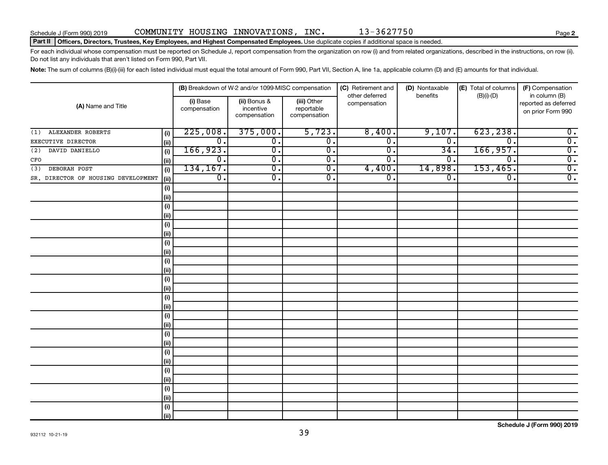### Part II | Officers, Directors, Trustees, Key Employees, and Highest Compensated Employees. Use duplicate copies if additional space is needed.

For each individual whose compensation must be reported on Schedule J, report compensation from the organization on row (i) and from related organizations, described in the instructions, on row (ii). Do not list any individuals that aren't listed on Form 990, Part VII.

Note: The sum of columns (B)(i)-(iii) for each listed individual must equal the total amount of Form 990, Part VII, Section A, line 1a, applicable column (D) and (E) amounts for that individual.

|                                     |                              |                          | (B) Breakdown of W-2 and/or 1099-MISC compensation |                                           | (C) Retirement and             | (D) Nontaxable   | (E) Total of columns | (F) Compensation                                           |
|-------------------------------------|------------------------------|--------------------------|----------------------------------------------------|-------------------------------------------|--------------------------------|------------------|----------------------|------------------------------------------------------------|
| (A) Name and Title                  |                              | (i) Base<br>compensation | (ii) Bonus &<br>incentive<br>compensation          | (iii) Other<br>reportable<br>compensation | other deferred<br>compensation | benefits         | $(B)(i)$ - $(D)$     | in column (B)<br>reported as deferred<br>on prior Form 990 |
| ALEXANDER ROBERTS<br>(1)            | (i)                          | 225,008.                 | 375,000.                                           | 5,723.                                    | 8,400.                         | 9,107.           | 623, 238.            | $\overline{0}$ .                                           |
| EXECUTIVE DIRECTOR                  | (ii)                         | 0.                       | $\overline{0}$ .                                   | $\overline{0}$ .                          | σ.                             | $\overline{0}$ . | 0.                   | $\overline{0}$ .                                           |
| DAVID DANIELLO<br>(2)               | (i)                          | 166,923.                 | $\overline{0}$ .                                   | $\overline{0}$ .                          | σ.                             | 34               | 166,957.             | $\overline{0}$ .                                           |
| CFO                                 | (ii)                         | $\overline{0}$ .         | $\overline{0}$ .                                   | $\overline{0}$ .                          | О.                             | $\mathbf 0$      | 0.                   | $\overline{0}$ .                                           |
| DEBORAH POST<br>(3)                 | (i)                          | 134,167.                 | $\overline{0}$ .                                   | $\overline{0}$ .                          | 4,400.                         | 14,898           | 153,465.             | $\overline{0}$ .                                           |
| SR. DIRECTOR OF HOUSING DEVELOPMENT | (ii)                         | $\overline{0}$ .         | $\overline{0}$ .                                   | $\overline{0}$ .                          | σ.                             | $\overline{0}$ . | $\overline{0}$ .     | $\overline{0}$ .                                           |
|                                     | (i)                          |                          |                                                    |                                           |                                |                  |                      |                                                            |
|                                     | (ii)                         |                          |                                                    |                                           |                                |                  |                      |                                                            |
|                                     | (i)                          |                          |                                                    |                                           |                                |                  |                      |                                                            |
|                                     | (ii)                         |                          |                                                    |                                           |                                |                  |                      |                                                            |
|                                     | (i)                          |                          |                                                    |                                           |                                |                  |                      |                                                            |
|                                     | (ii)                         |                          |                                                    |                                           |                                |                  |                      |                                                            |
|                                     | (i)                          |                          |                                                    |                                           |                                |                  |                      |                                                            |
|                                     | (ii)                         |                          |                                                    |                                           |                                |                  |                      |                                                            |
|                                     | (i)                          |                          |                                                    |                                           |                                |                  |                      |                                                            |
|                                     | (ii)                         |                          |                                                    |                                           |                                |                  |                      |                                                            |
|                                     | (i)<br>(ii)                  |                          |                                                    |                                           |                                |                  |                      |                                                            |
|                                     | (i)                          |                          |                                                    |                                           |                                |                  |                      |                                                            |
|                                     | (ii)                         |                          |                                                    |                                           |                                |                  |                      |                                                            |
|                                     | $\qquad \qquad \textbf{(i)}$ |                          |                                                    |                                           |                                |                  |                      |                                                            |
|                                     | (ii)                         |                          |                                                    |                                           |                                |                  |                      |                                                            |
|                                     | (i)                          |                          |                                                    |                                           |                                |                  |                      |                                                            |
|                                     | (ii)                         |                          |                                                    |                                           |                                |                  |                      |                                                            |
|                                     | (i)                          |                          |                                                    |                                           |                                |                  |                      |                                                            |
|                                     | (ii)                         |                          |                                                    |                                           |                                |                  |                      |                                                            |
|                                     | (i)                          |                          |                                                    |                                           |                                |                  |                      |                                                            |
|                                     | (ii)                         |                          |                                                    |                                           |                                |                  |                      |                                                            |
|                                     | (i)                          |                          |                                                    |                                           |                                |                  |                      |                                                            |
|                                     | (ii)                         |                          |                                                    |                                           |                                |                  |                      |                                                            |
|                                     | (i)                          |                          |                                                    |                                           |                                |                  |                      |                                                            |
|                                     | (ii)                         |                          |                                                    |                                           |                                |                  |                      |                                                            |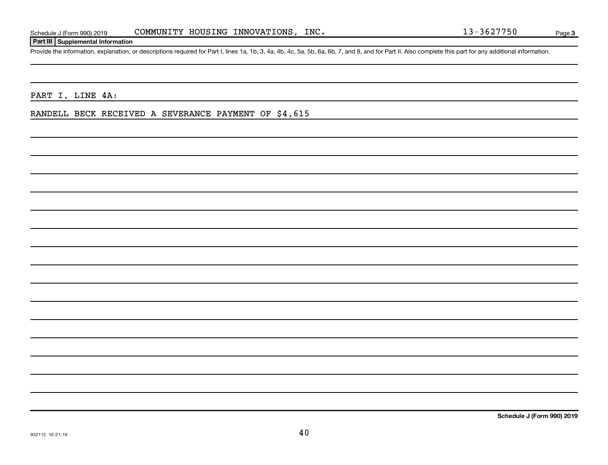## **Part III Supplemental Information**

Provide the information, explanation, or descriptions required for Part I, lines 1a, 1b, 3, 4a, 4b, 4c, 5a, 5b, 6a, 6b, 7, and 8, and for Part II. Also complete this part for any additional information.

PART I, LINE 4A:

RANDELL BECK RECEIVED A SEVERANCE PAYMENT OF \$4,615

**Schedule J (Form 990) 2019**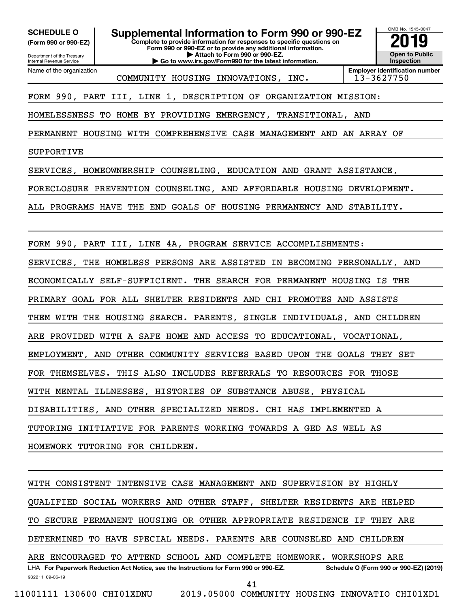Department of the Treasury **(Form 990 or 990-EZ)**

Name of the organization

Internal Revenue Service

**SCHEDULE O Supplemental Information to Form 990 or 990-EZ 2019** 

**Complete to provide information for responses to specific questions on Form 990 or 990-EZ or to provide any additional information.**

**| Attach to Form 990 or 990-EZ. | Go to www.irs.gov/Form990 for the latest information.**



COMMUNITY HOUSING INNOVATIONS, INC. 13-3627750

**Employer identification number**

FORM 990, PART III, LINE 1, DESCRIPTION OF ORGANIZATION MISSION:

HOMELESSNESS TO HOME BY PROVIDING EMERGENCY, TRANSITIONAL, AND

PERMANENT HOUSING WITH COMPREHENSIVE CASE MANAGEMENT AND AN ARRAY OF

SUPPORTIVE

SERVICES, HOMEOWNERSHIP COUNSELING, EDUCATION AND GRANT ASSISTANCE,

FORECLOSURE PREVENTION COUNSELING, AND AFFORDABLE HOUSING DEVELOPMENT.

ALL PROGRAMS HAVE THE END GOALS OF HOUSING PERMANENCY AND STABILITY.

FORM 990, PART III, LINE 4A, PROGRAM SERVICE ACCOMPLISHMENTS:

SERVICES, THE HOMELESS PERSONS ARE ASSISTED IN BECOMING PERSONALLY, AND

ECONOMICALLY SELF-SUFFICIENT. THE SEARCH FOR PERMANENT HOUSING IS THE

PRIMARY GOAL FOR ALL SHELTER RESIDENTS AND CHI PROMOTES AND ASSISTS

THEM WITH THE HOUSING SEARCH. PARENTS, SINGLE INDIVIDUALS, AND CHILDREN

ARE PROVIDED WITH A SAFE HOME AND ACCESS TO EDUCATIONAL, VOCATIONAL,

EMPLOYMENT, AND OTHER COMMUNITY SERVICES BASED UPON THE GOALS THEY SET

FOR THEMSELVES. THIS ALSO INCLUDES REFERRALS TO RESOURCES FOR THOSE

WITH MENTAL ILLNESSES, HISTORIES OF SUBSTANCE ABUSE, PHYSICAL

DISABILITIES, AND OTHER SPECIALIZED NEEDS. CHI HAS IMPLEMENTED A

TUTORING INITIATIVE FOR PARENTS WORKING TOWARDS A GED AS WELL AS

HOMEWORK TUTORING FOR CHILDREN.

932211 09-06-19 LHA For Paperwork Reduction Act Notice, see the Instructions for Form 990 or 990-EZ. Schedule O (Form 990 or 990-EZ) (2019) WITH CONSISTENT INTENSIVE CASE MANAGEMENT AND SUPERVISION BY HIGHLY QUALIFIED SOCIAL WORKERS AND OTHER STAFF, SHELTER RESIDENTS ARE HELPED TO SECURE PERMANENT HOUSING OR OTHER APPROPRIATE RESIDENCE IF THEY ARE DETERMINED TO HAVE SPECIAL NEEDS. PARENTS ARE COUNSELED AND CHILDREN ARE ENCOURAGED TO ATTEND SCHOOL AND COMPLETE HOMEWORK. WORKSHOPS ARE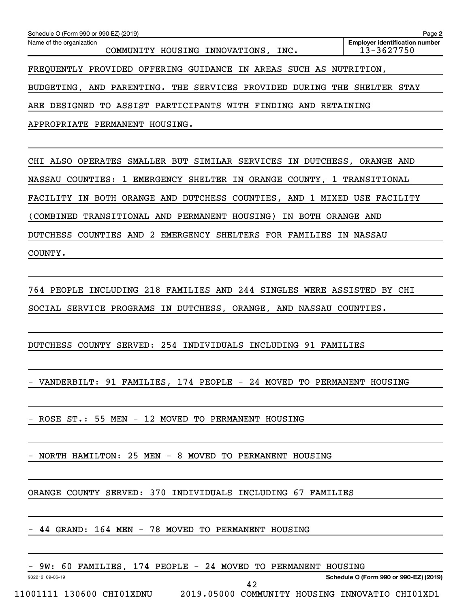| Schedule O (Form 990 or 990-EZ) (2019)                                             | Page 2                                              |
|------------------------------------------------------------------------------------|-----------------------------------------------------|
| Name of the organization<br>COMMUNITY HOUSING INNOVATIONS, INC.                    | <b>Employer identification number</b><br>13-3627750 |
| FREQUENTLY PROVIDED OFFERING GUIDANCE IN AREAS SUCH AS NUTRITION,                  |                                                     |
| BUDGETING, AND PARENTING. THE SERVICES PROVIDED DURING THE SHELTER STAY            |                                                     |
| TO ASSIST PARTICIPANTS WITH FINDING AND RETAINING<br>ARE DESIGNED                  |                                                     |
| APPROPRIATE PERMANENT HOUSING.                                                     |                                                     |
|                                                                                    |                                                     |
| CHI ALSO OPERATES SMALLER BUT SIMILAR SERVICES IN DUTCHESS, ORANGE AND             |                                                     |
| <b>NASSAU</b><br>COUNTIES:<br>1 EMERGENCY SHELTER IN ORANGE COUNTY, 1 TRANSITIONAL |                                                     |
| FACILITY IN BOTH ORANGE AND DUTCHESS COUNTIES, AND 1 MIXED USE FACILITY            |                                                     |
| TRANSITIONAL AND PERMANENT HOUSING)<br>IN BOTH ORANGE AND<br>(COMBINED             |                                                     |
| COUNTIES AND 2 EMERGENCY SHELTERS FOR FAMILIES IN NASSAU<br><b>DUTCHESS</b>        |                                                     |
| COUNTY.                                                                            |                                                     |
|                                                                                    |                                                     |
| 764 PEOPLE INCLUDING 218 FAMILIES AND 244 SINGLES WERE ASSISTED BY CHI             |                                                     |
| SOCIAL SERVICE PROGRAMS IN DUTCHESS, ORANGE, AND NASSAU COUNTIES.                  |                                                     |
|                                                                                    |                                                     |
| 254 INDIVIDUALS INCLUDING 91 FAMILIES<br>DUTCHESS COUNTY SERVED:                   |                                                     |
|                                                                                    |                                                     |
| - VANDERBILT: 91 FAMILIES, 174 PEOPLE - 24 MOVED TO PERMANENT HOUSING              |                                                     |
|                                                                                    |                                                     |
| - ROSE ST.: 55 MEN - 12 MOVED TO PERMANENT HOUSING                                 |                                                     |
|                                                                                    |                                                     |
| - NORTH HAMILTON: 25 MEN - 8 MOVED TO PERMANENT HOUSING                            |                                                     |
|                                                                                    |                                                     |
| ORANGE COUNTY SERVED: 370 INDIVIDUALS INCLUDING 67 FAMILIES                        |                                                     |
|                                                                                    |                                                     |
| - 44 GRAND: 164 MEN - 78 MOVED TO PERMANENT HOUSING                                |                                                     |
|                                                                                    |                                                     |

- 9W: 60 FAMILIES, 174 PEOPLE - 24 MOVED TO PERMANENT HOUSING

932212 09-06-19

**Schedule O (Form 990 or 990-EZ) (2019)**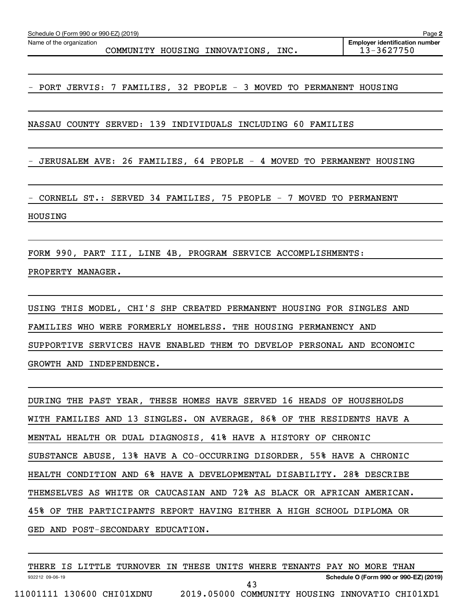Name of the organization

COMMUNITY HOUSING INNOVATIONS, INC. | 13-3627750

PORT JERVIS: 7 FAMILIES, 32 PEOPLE - 3 MOVED TO PERMANENT HOUSING

NASSAU COUNTY SERVED: 139 INDIVIDUALS INCLUDING 60 FAMILIES

- JERUSALEM AVE: 26 FAMILIES, 64 PEOPLE - 4 MOVED TO PERMANENT HOUSING

- CORNELL ST.: SERVED 34 FAMILIES, 75 PEOPLE - 7 MOVED TO PERMANENT HOUSING

FORM 990, PART III, LINE 4B, PROGRAM SERVICE ACCOMPLISHMENTS: PROPERTY MANAGER.

USING THIS MODEL, CHI'S SHP CREATED PERMANENT HOUSING FOR SINGLES AND FAMILIES WHO WERE FORMERLY HOMELESS. THE HOUSING PERMANENCY AND SUPPORTIVE SERVICES HAVE ENABLED THEM TO DEVELOP PERSONAL AND ECONOMIC GROWTH AND INDEPENDENCE.

DURING THE PAST YEAR, THESE HOMES HAVE SERVED 16 HEADS OF HOUSEHOLDS WITH FAMILIES AND 13 SINGLES. ON AVERAGE, 86% OF THE RESIDENTS HAVE A MENTAL HEALTH OR DUAL DIAGNOSIS, 41% HAVE A HISTORY OF CHRONIC SUBSTANCE ABUSE, 13% HAVE A CO-OCCURRING DISORDER, 55% HAVE A CHRONIC HEALTH CONDITION AND 6% HAVE A DEVELOPMENTAL DISABILITY. 28% DESCRIBE THEMSELVES AS WHITE OR CAUCASIAN AND 72% AS BLACK OR AFRICAN AMERICAN. 45% OF THE PARTICIPANTS REPORT HAVING EITHER A HIGH SCHOOL DIPLOMA OR GED AND POST-SECONDARY EDUCATION.

932212 09-06-19 **Schedule O (Form 990 or 990-EZ) (2019)** THERE IS LITTLE TURNOVER IN THESE UNITS WHERE TENANTS PAY NO MORE THAN 11001111 130600 CHI01XDNU 2019.05000 COMMUNITY HOUSING INNOVATIO CHI01XD1 43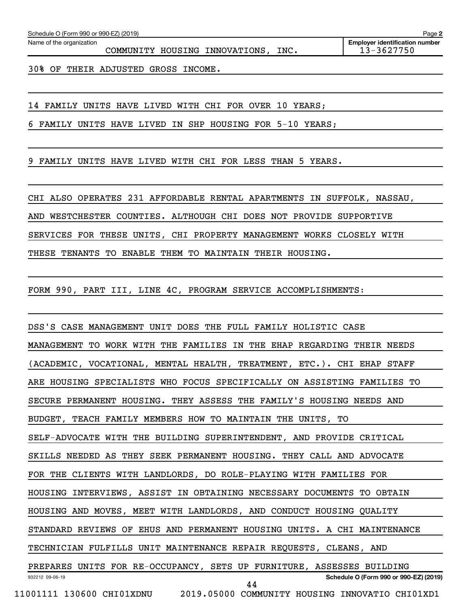Name of the organization

COMMUNITY HOUSING INNOVATIONS, INC. 13-3627750

30% OF THEIR ADJUSTED GROSS INCOME.

14 FAMILY UNITS HAVE LIVED WITH CHI FOR OVER 10 YEARS;

6 FAMILY UNITS HAVE LIVED IN SHP HOUSING FOR 5-10 YEARS;

9 FAMILY UNITS HAVE LIVED WITH CHI FOR LESS THAN 5 YEARS.

CHI ALSO OPERATES 231 AFFORDABLE RENTAL APARTMENTS IN SUFFOLK, NASSAU, AND WESTCHESTER COUNTIES. ALTHOUGH CHI DOES NOT PROVIDE SUPPORTIVE SERVICES FOR THESE UNITS, CHI PROPERTY MANAGEMENT WORKS CLOSELY WITH THESE TENANTS TO ENABLE THEM TO MAINTAIN THEIR HOUSING.

FORM 990, PART III, LINE 4C, PROGRAM SERVICE ACCOMPLISHMENTS:

932212 09-06-19 **Schedule O (Form 990 or 990-EZ) (2019)** DSS'S CASE MANAGEMENT UNIT DOES THE FULL FAMILY HOLISTIC CASE MANAGEMENT TO WORK WITH THE FAMILIES IN THE EHAP REGARDING THEIR NEEDS (ACADEMIC, VOCATIONAL, MENTAL HEALTH, TREATMENT, ETC.). CHI EHAP STAFF ARE HOUSING SPECIALISTS WHO FOCUS SPECIFICALLY ON ASSISTING FAMILIES TO SECURE PERMANENT HOUSING. THEY ASSESS THE FAMILY'S HOUSING NEEDS AND BUDGET, TEACH FAMILY MEMBERS HOW TO MAINTAIN THE UNITS, TO SELF-ADVOCATE WITH THE BUILDING SUPERINTENDENT, AND PROVIDE CRITICAL SKILLS NEEDED AS THEY SEEK PERMANENT HOUSING. THEY CALL AND ADVOCATE FOR THE CLIENTS WITH LANDLORDS, DO ROLE-PLAYING WITH FAMILIES FOR HOUSING INTERVIEWS, ASSIST IN OBTAINING NECESSARY DOCUMENTS TO OBTAIN HOUSING AND MOVES, MEET WITH LANDLORDS, AND CONDUCT HOUSING QUALITY STANDARD REVIEWS OF EHUS AND PERMANENT HOUSING UNITS. A CHI MAINTENANCE TECHNICIAN FULFILLS UNIT MAINTENANCE REPAIR REQUESTS, CLEANS, AND PREPARES UNITS FOR RE-OCCUPANCY, SETS UP FURNITURE, ASSESSES BUILDING 11001111 130600 CHI01XDNU 2019.05000 COMMUNITY HOUSING INNOVATIO CHI01XD1 44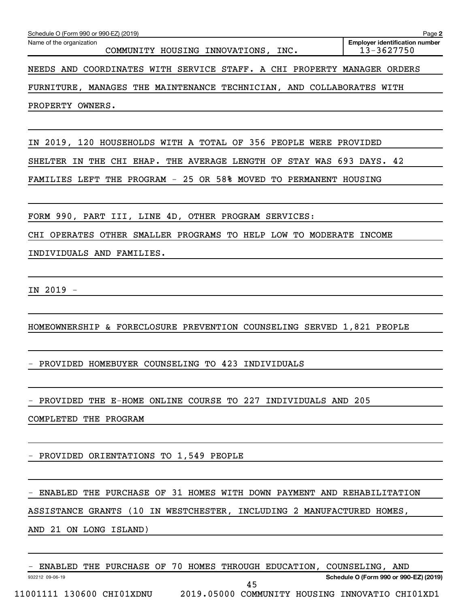| Name of the organization<br>COMMUNITY HOUSING INNOVATIONS, INC.                                                                            | <b>Employer identification number</b><br>13-3627750 |
|--------------------------------------------------------------------------------------------------------------------------------------------|-----------------------------------------------------|
| NEEDS AND COORDINATES WITH SERVICE STAFF. A CHI PROPERTY MANAGER ORDERS                                                                    |                                                     |
| FURNITURE, MANAGES THE MAINTENANCE TECHNICIAN, AND COLLABORATES WITH                                                                       |                                                     |
| PROPERTY OWNERS.                                                                                                                           |                                                     |
|                                                                                                                                            |                                                     |
| IN 2019, 120 HOUSEHOLDS WITH A TOTAL OF 356 PEOPLE WERE PROVIDED                                                                           |                                                     |
| SHELTER IN THE CHI EHAP. THE AVERAGE LENGTH OF STAY WAS 693 DAYS. 42                                                                       |                                                     |
| FAMILIES LEFT THE PROGRAM - 25 OR 58% MOVED TO PERMANENT HOUSING                                                                           |                                                     |
| FORM 990, PART III, LINE 4D, OTHER PROGRAM SERVICES:                                                                                       |                                                     |
| CHI OPERATES OTHER SMALLER PROGRAMS TO HELP LOW TO MODERATE INCOME                                                                         |                                                     |
| INDIVIDUALS AND FAMILIES.                                                                                                                  |                                                     |
|                                                                                                                                            |                                                     |
| IN 2019 -                                                                                                                                  |                                                     |
|                                                                                                                                            |                                                     |
| HOMEOWNERSHIP & FORECLOSURE PREVENTION COUNSELING SERVED 1,821 PEOPLE                                                                      |                                                     |
| PROVIDED HOMEBUYER COUNSELING TO 423 INDIVIDUALS                                                                                           |                                                     |
|                                                                                                                                            |                                                     |
| PROVIDED THE E-HOME ONLINE COURSE TO 227 INDIVIDUALS AND 205                                                                               |                                                     |
| COMPLETED THE PROGRAM                                                                                                                      |                                                     |
|                                                                                                                                            |                                                     |
| PROVIDED ORIENTATIONS TO 1,549 PEOPLE                                                                                                      |                                                     |
|                                                                                                                                            |                                                     |
| ENABLED THE PURCHASE OF 31 HOMES WITH DOWN PAYMENT AND REHABILITATION                                                                      |                                                     |
| ASSISTANCE GRANTS (10 IN WESTCHESTER, INCLUDING 2 MANUFACTURED HOMES,                                                                      |                                                     |
| AND 21 ON LONG ISLAND)<br>and the control of the control of the control of the control of the control of the control of the control of the |                                                     |
| ENABLED THE PURCHASE OF 70 HOMES THROUGH EDUCATION, COUNSELING, AND                                                                        |                                                     |
| 932212 09-06-19<br>45                                                                                                                      | Schedule O (Form 990 or 990-EZ) (2019)              |
| 11001111 130600 CHI01XDNU 2019.05000 COMMUNITY HOUSING INNOVATIO CHI01XD1                                                                  |                                                     |

Schedule O (Form 990 or 990-EZ) (2019)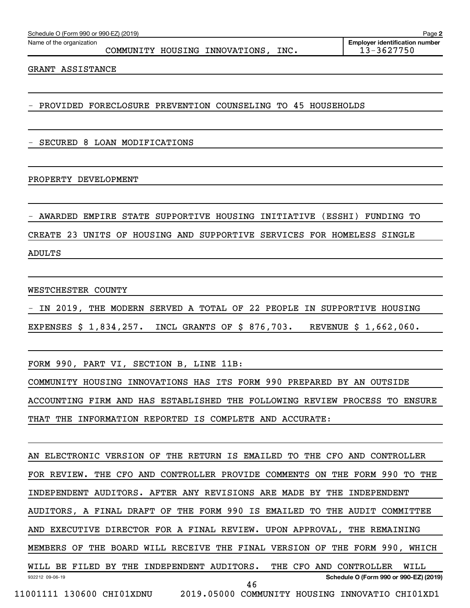Name of the organization

COMMUNITY HOUSING INNOVATIONS, INC. 13-3627750

GRANT ASSISTANCE

- PROVIDED FORECLOSURE PREVENTION COUNSELING TO 45 HOUSEHOLDS

- SECURED 8 LOAN MODIFICATIONS

### PROPERTY DEVELOPMENT

- AWARDED EMPIRE STATE SUPPORTIVE HOUSING INITIATIVE (ESSHI) FUNDING TO CREATE 23 UNITS OF HOUSING AND SUPPORTIVE SERVICES FOR HOMELESS SINGLE ADULTS

WESTCHESTER COUNTY

- IN 2019, THE MODERN SERVED A TOTAL OF 22 PEOPLE IN SUPPORTIVE HOUSING

EXPENSES \$ 1,834,257. INCL GRANTS OF \$ 876,703. REVENUE \$ 1,662,060.

FORM 990, PART VI, SECTION B, LINE 11B:

COMMUNITY HOUSING INNOVATIONS HAS ITS FORM 990 PREPARED BY AN OUTSIDE ACCOUNTING FIRM AND HAS ESTABLISHED THE FOLLOWING REVIEW PROCESS TO ENSURE THAT THE INFORMATION REPORTED IS COMPLETE AND ACCURATE:

932212 09-06-19 **Schedule O (Form 990 or 990-EZ) (2019)** AN ELECTRONIC VERSION OF THE RETURN IS EMAILED TO THE CFO AND CONTROLLER FOR REVIEW. THE CFO AND CONTROLLER PROVIDE COMMENTS ON THE FORM 990 TO THE INDEPENDENT AUDITORS. AFTER ANY REVISIONS ARE MADE BY THE INDEPENDENT AUDITORS, A FINAL DRAFT OF THE FORM 990 IS EMAILED TO THE AUDIT COMMITTEE AND EXECUTIVE DIRECTOR FOR A FINAL REVIEW. UPON APPROVAL, THE REMAINING MEMBERS OF THE BOARD WILL RECEIVE THE FINAL VERSION OF THE FORM 990, WHICH WILL BE FILED BY THE INDEPENDENT AUDITORS. THE CFO AND CONTROLLER WILL 46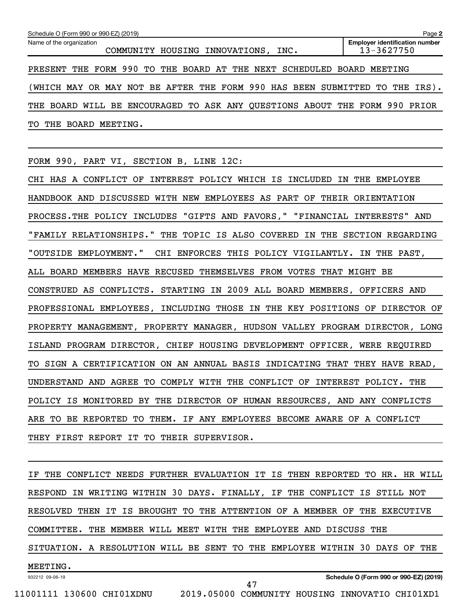| Schedule O (Form 990 or 990-EZ) (2019)<br>Page 2                                                                       |  |  |  |  |  |  |  |  |
|------------------------------------------------------------------------------------------------------------------------|--|--|--|--|--|--|--|--|
| <b>Employer identification number</b><br>Name of the organization<br>13-3627750<br>COMMUNITY HOUSING INNOVATIONS, INC. |  |  |  |  |  |  |  |  |
| PRESENT THE FORM 990 TO THE BOARD AT THE NEXT SCHEDULED BOARD MEETING                                                  |  |  |  |  |  |  |  |  |
| (WHICH MAY OR MAY NOT BE AFTER THE FORM 990 HAS BEEN SUBMITTED TO THE IRS).                                            |  |  |  |  |  |  |  |  |
| THE BOARD WILL BE ENCOURAGED TO ASK ANY QUESTIONS ABOUT THE FORM 990 PRIOR                                             |  |  |  |  |  |  |  |  |
| THE<br>BOARD MEETING.<br>TO.                                                                                           |  |  |  |  |  |  |  |  |

FORM 990, PART VI, SECTION B, LINE 12C:

CHI HAS A CONFLICT OF INTEREST POLICY WHICH IS INCLUDED IN THE EMPLOYEE HANDBOOK AND DISCUSSED WITH NEW EMPLOYEES AS PART OF THEIR ORIENTATION PROCESS.THE POLICY INCLUDES "GIFTS AND FAVORS," "FINANCIAL INTERESTS" AND "FAMILY RELATIONSHIPS." THE TOPIC IS ALSO COVERED IN THE SECTION REGARDING "OUTSIDE EMPLOYMENT." CHI ENFORCES THIS POLICY VIGILANTLY. IN THE PAST, ALL BOARD MEMBERS HAVE RECUSED THEMSELVES FROM VOTES THAT MIGHT BE CONSTRUED AS CONFLICTS. STARTING IN 2009 ALL BOARD MEMBERS, OFFICERS AND PROFESSIONAL EMPLOYEES, INCLUDING THOSE IN THE KEY POSITIONS OF DIRECTOR OF PROPERTY MANAGEMENT, PROPERTY MANAGER, HUDSON VALLEY PROGRAM DIRECTOR, LONG ISLAND PROGRAM DIRECTOR, CHIEF HOUSING DEVELOPMENT OFFICER, WERE REQUIRED TO SIGN A CERTIFICATION ON AN ANNUAL BASIS INDICATING THAT THEY HAVE READ, UNDERSTAND AND AGREE TO COMPLY WITH THE CONFLICT OF INTEREST POLICY. THE POLICY IS MONITORED BY THE DIRECTOR OF HUMAN RESOURCES, AND ANY CONFLICTS ARE TO BE REPORTED TO THEM. IF ANY EMPLOYEES BECOME AWARE OF A CONFLICT THEY FIRST REPORT IT TO THEIR SUPERVISOR.

932212 09-06-19 IF THE CONFLICT NEEDS FURTHER EVALUATION IT IS THEN REPORTED TO HR. HR WILL RESPOND IN WRITING WITHIN 30 DAYS. FINALLY, IF THE CONFLICT IS STILL NOT RESOLVED THEN IT IS BROUGHT TO THE ATTENTION OF A MEMBER OF THE EXECUTIVE COMMITTEE. THE MEMBER WILL MEET WITH THE EMPLOYEE AND DISCUSS THE SITUATION. A RESOLUTION WILL BE SENT TO THE EMPLOYEE WITHIN 30 DAYS OF THE MEETING.

```
11001111 130600 CHI01XDNU 2019.05000 COMMUNITY HOUSING INNOVATIO CHI01XD1
```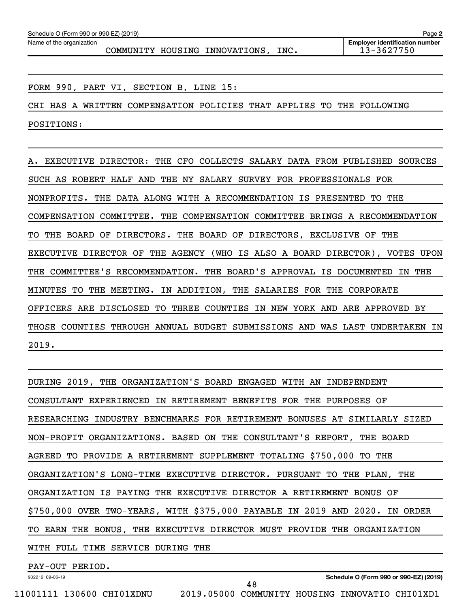COMMUNITY HOUSING INNOVATIONS, INC. 13-3627750

FORM 990, PART VI, SECTION B, LINE 15:

CHI HAS A WRITTEN COMPENSATION POLICIES THAT APPLIES TO THE FOLLOWING POSITIONS:

A. EXECUTIVE DIRECTOR: THE CFO COLLECTS SALARY DATA FROM PUBLISHED SOURCES SUCH AS ROBERT HALF AND THE NY SALARY SURVEY FOR PROFESSIONALS FOR NONPROFITS. THE DATA ALONG WITH A RECOMMENDATION IS PRESENTED TO THE COMPENSATION COMMITTEE. THE COMPENSATION COMMITTEE BRINGS A RECOMMENDATION TO THE BOARD OF DIRECTORS. THE BOARD OF DIRECTORS, EXCLUSIVE OF THE EXECUTIVE DIRECTOR OF THE AGENCY (WHO IS ALSO A BOARD DIRECTOR), VOTES UPON THE COMMITTEE'S RECOMMENDATION. THE BOARD'S APPROVAL IS DOCUMENTED IN THE MINUTES TO THE MEETING. IN ADDITION, THE SALARIES FOR THE CORPORATE OFFICERS ARE DISCLOSED TO THREE COUNTIES IN NEW YORK AND ARE APPROVED BY THOSE COUNTIES THROUGH ANNUAL BUDGET SUBMISSIONS AND WAS LAST UNDERTAKEN IN 2019.

DURING 2019, THE ORGANIZATION'S BOARD ENGAGED WITH AN INDEPENDENT CONSULTANT EXPERIENCED IN RETIREMENT BENEFITS FOR THE PURPOSES OF RESEARCHING INDUSTRY BENCHMARKS FOR RETIREMENT BONUSES AT SIMILARLY SIZED NON-PROFIT ORGANIZATIONS. BASED ON THE CONSULTANT'S REPORT, THE BOARD AGREED TO PROVIDE A RETIREMENT SUPPLEMENT TOTALING \$750,000 TO THE ORGANIZATION'S LONG-TIME EXECUTIVE DIRECTOR. PURSUANT TO THE PLAN, THE ORGANIZATION IS PAYING THE EXECUTIVE DIRECTOR A RETIREMENT BONUS OF \$750,000 OVER TWO-YEARS, WITH \$375,000 PAYABLE IN 2019 AND 2020. IN ORDER TO EARN THE BONUS, THE EXECUTIVE DIRECTOR MUST PROVIDE THE ORGANIZATION WITH FULL TIME SERVICE DURING THE

48

PAY-OUT PERIOD.

932212 09-06-19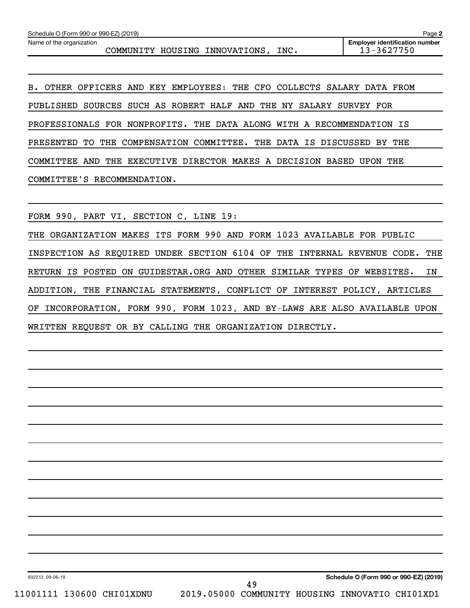B. OTHER OFFICERS AND KEY EMPLOYEES: THE CFO COLLECTS SALARY DATA FROM PUBLISHED SOURCES SUCH AS ROBERT HALF AND THE NY SALARY SURVEY FOR PROFESSIONALS FOR NONPROFITS. THE DATA ALONG WITH A RECOMMENDATION IS PRESENTED TO THE COMPENSATION COMMITTEE. THE DATA IS DISCUSSED BY THE COMMITTEE AND THE EXECUTIVE DIRECTOR MAKES A DECISION BASED UPON THE COMMITTEE'S RECOMMENDATION.

FORM 990, PART VI, SECTION C, LINE 19:

THE ORGANIZATION MAKES ITS FORM 990 AND FORM 1023 AVAILABLE FOR PUBLIC INSPECTION AS REQUIRED UNDER SECTION 6104 OF THE INTERNAL REVENUE CODE. THE RETURN IS POSTED ON GUIDESTAR.ORG AND OTHER SIMILAR TYPES OF WEBSITES. IN ADDITION, THE FINANCIAL STATEMENTS, CONFLICT OF INTEREST POLICY, ARTICLES OF INCORPORATION, FORM 990, FORM 1023, AND BY-LAWS ARE ALSO AVAILABLE UPON WRITTEN REQUEST OR BY CALLING THE ORGANIZATION DIRECTLY.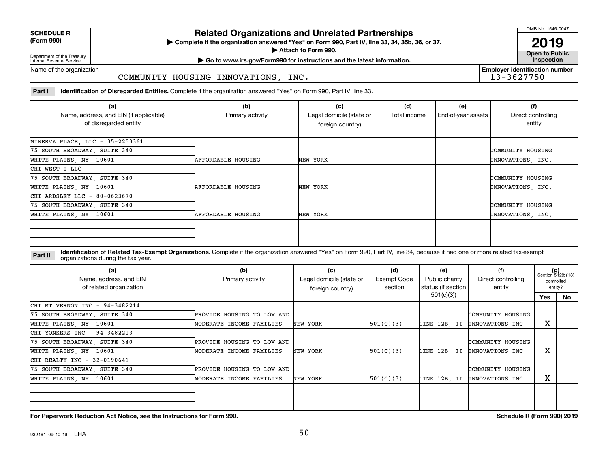**SCHEDULE R**

**(Form 990) Complete if the organization answered "Yes" on Form 990, Part IV, line 33, 34, 35b, 36, or 37.** | **Related Organizations and Unrelated Partnerships**

■ Attach to Form 990. **Dependent of Attach to Form 990.** Open to Public

OMB No. 1545-0047

**2019**<br>Open to Public

**Employer identification number**

Department of the Treasury Internal Revenue Service

## **| Go to www.irs.gov/Form990 for instructions and the latest information. Inspection**

Name of the organization

COMMUNITY HOUSING INNOVATIONS, INC.

Part I ldentification of Disregarded Entities. Complete if the organization answered "Yes" on Form 990, Part IV, line 33.

| (a)<br>Name, address, and EIN (if applicable)<br>of disregarded entity | (b)<br>Primary activity   | (c)<br>Legal domicile (state or<br>foreign country) | (d)<br>Total income | (e)<br>End-of-year assets | (f)<br>Direct controlling<br>entity |
|------------------------------------------------------------------------|---------------------------|-----------------------------------------------------|---------------------|---------------------------|-------------------------------------|
| MINERVA PLACE, LLC - 35-2253361                                        |                           |                                                     |                     |                           |                                     |
| 75 SOUTH BROADWAY, SUITE 340                                           |                           |                                                     |                     |                           | COMMUNITY HOUSING                   |
| WHITE PLAINS, NY 10601                                                 | <b>AFFORDABLE HOUSING</b> | NEW YORK                                            |                     |                           | INNOVATIONS, INC.                   |
| CHI WEST I LLC                                                         |                           |                                                     |                     |                           |                                     |
| 75 SOUTH BROADWAY, SUITE 340                                           |                           |                                                     |                     |                           | COMMUNITY HOUSING                   |
| WHITE PLAINS, NY 10601                                                 | <b>AFFORDABLE HOUSING</b> | NEW YORK                                            |                     |                           | INNOVATIONS, INC.                   |
| CHI ARDSLEY LLC - 80-0623670                                           |                           |                                                     |                     |                           |                                     |
| 75 SOUTH BROADWAY, SUITE 340                                           |                           |                                                     |                     |                           | COMMUNITY HOUSING                   |
| WHITE PLAINS, NY 10601                                                 | <b>AFFORDABLE HOUSING</b> | NEW YORK                                            |                     |                           | INNOVATIONS, INC.                   |
|                                                                        |                           |                                                     |                     |                           |                                     |

**Part II** Identification of Related Tax-Exempt Organizations. Complete if the organization answered "Yes" on Form 990, Part IV, line 34, because it had one or more related tax-exempt<br>Part II acconizations during the tax ye organizations during the tax year.

| (a)<br>Name, address, and EIN<br>of related organization | (b)<br>Primary activity    | (c)<br>Legal domicile (state or<br>foreign country) | (d)<br><b>Exempt Code</b><br>section | (e)<br>Public charity<br>status (if section | (f)<br>Direct controlling<br>entity |     | $(g)$<br>Section 512(b)(13)<br>controlled<br>entity? |
|----------------------------------------------------------|----------------------------|-----------------------------------------------------|--------------------------------------|---------------------------------------------|-------------------------------------|-----|------------------------------------------------------|
|                                                          |                            |                                                     |                                      | 501(c)(3))                                  |                                     | Yes | No                                                   |
| CHI MT VERNON INC - 94-3482214                           |                            |                                                     |                                      |                                             |                                     |     |                                                      |
| 75 SOUTH BROADWAY, SUITE 340                             | PROVIDE HOUSING TO LOW AND |                                                     |                                      |                                             | COMMUNITY HOUSING                   |     |                                                      |
| WHITE PLAINS, NY 10601                                   | MODERATE INCOME FAMILIES   | NEW YORK                                            | 501(C)(3)                            | LINE 12B, II                                | INNOVATIONS INC                     | х   |                                                      |
| CHI YONKERS INC - 94-3482213                             |                            |                                                     |                                      |                                             |                                     |     |                                                      |
| 75 SOUTH BROADWAY, SUITE 340                             | PROVIDE HOUSING TO LOW AND |                                                     |                                      |                                             | COMMUNITY HOUSING                   |     |                                                      |
| WHITE PLAINS, NY 10601                                   | MODERATE INCOME FAMILIES   | NEW YORK                                            | 501(C)(3)                            |                                             | LINE 12B. II INNOVATIONS INC        | х   |                                                      |
| CHI REALTY INC - 32-0190641                              |                            |                                                     |                                      |                                             |                                     |     |                                                      |
| 75 SOUTH BROADWAY, SUITE 340                             | PROVIDE HOUSING TO LOW AND |                                                     |                                      |                                             | COMMUNITY HOUSING                   |     |                                                      |
| WHITE PLAINS, NY 10601                                   | MODERATE INCOME FAMILIES   | NEW YORK                                            | 501(C)(3)                            |                                             | LINE 12B. II INNOVATIONS INC        | х   |                                                      |
|                                                          |                            |                                                     |                                      |                                             |                                     |     |                                                      |
|                                                          |                            |                                                     |                                      |                                             |                                     |     |                                                      |

**For Paperwork Reduction Act Notice, see the Instructions for Form 990. Schedule R (Form 990) 2019**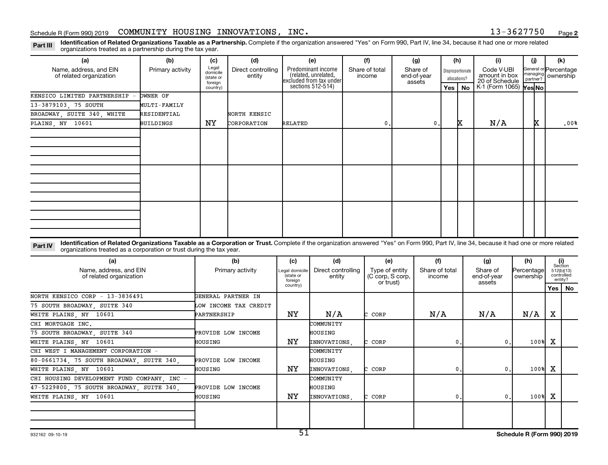Part III Identification of Related Organizations Taxable as a Partnership. Complete if the organization answered "Yes" on Form 990, Part IV, line 34, because it had one or more related<br>Read to the organizations tracted as organizations treated as a partnership during the tax year.

| (a)                                               | (b)                                                                                                                                                                                                                                                              | (c)                                       | (d)                          | (e)                                                                   | (f)                      | (g)                               |     | (h)                              | (i)                                           | (j)      | (k)                                           |
|---------------------------------------------------|------------------------------------------------------------------------------------------------------------------------------------------------------------------------------------------------------------------------------------------------------------------|-------------------------------------------|------------------------------|-----------------------------------------------------------------------|--------------------------|-----------------------------------|-----|----------------------------------|-----------------------------------------------|----------|-----------------------------------------------|
| Name, address, and EIN<br>of related organization | Primary activity                                                                                                                                                                                                                                                 | Legal<br>domicile<br>(state or<br>foreign | Direct controlling<br>entity | Predominant income<br>(related, unrelated,<br>excluded from tax under | Share of total<br>income | Share of<br>end-of-year<br>assets |     | Disproportionate<br>allocations? | Code V-UBI<br>amount in box<br>20 of Schedule | partner? | General or Percentage<br>managing   ownership |
|                                                   |                                                                                                                                                                                                                                                                  | country)                                  |                              | sections 512-514)                                                     |                          |                                   | Yes | <b>No</b>                        | K-1 (Form 1065) Yes No                        |          |                                               |
| KENSICO LIMITED PARTNERSHIP                       | <b>DWNER OF</b>                                                                                                                                                                                                                                                  |                                           |                              |                                                                       |                          |                                   |     |                                  |                                               |          |                                               |
| 13-3879103, 75 SOUTH                              | MULTI-FAMILY                                                                                                                                                                                                                                                     |                                           |                              |                                                                       |                          |                                   |     |                                  |                                               |          |                                               |
| BROADWAY, SUITE 340, WHITE                        | RESIDENTIAL                                                                                                                                                                                                                                                      |                                           | NORTH KENSIC                 |                                                                       |                          |                                   |     |                                  |                                               |          |                                               |
| PLAINS, NY 10601                                  | <b>BUILDINGS</b>                                                                                                                                                                                                                                                 | ΝY                                        | CORPORATION                  | RELATED                                                               | 0                        | 0.                                |     | ΙX.                              | N/A                                           | x        | .00%                                          |
|                                                   |                                                                                                                                                                                                                                                                  |                                           |                              |                                                                       |                          |                                   |     |                                  |                                               |          |                                               |
|                                                   |                                                                                                                                                                                                                                                                  |                                           |                              |                                                                       |                          |                                   |     |                                  |                                               |          |                                               |
|                                                   |                                                                                                                                                                                                                                                                  |                                           |                              |                                                                       |                          |                                   |     |                                  |                                               |          |                                               |
|                                                   |                                                                                                                                                                                                                                                                  |                                           |                              |                                                                       |                          |                                   |     |                                  |                                               |          |                                               |
|                                                   |                                                                                                                                                                                                                                                                  |                                           |                              |                                                                       |                          |                                   |     |                                  |                                               |          |                                               |
|                                                   |                                                                                                                                                                                                                                                                  |                                           |                              |                                                                       |                          |                                   |     |                                  |                                               |          |                                               |
|                                                   |                                                                                                                                                                                                                                                                  |                                           |                              |                                                                       |                          |                                   |     |                                  |                                               |          |                                               |
|                                                   |                                                                                                                                                                                                                                                                  |                                           |                              |                                                                       |                          |                                   |     |                                  |                                               |          |                                               |
|                                                   |                                                                                                                                                                                                                                                                  |                                           |                              |                                                                       |                          |                                   |     |                                  |                                               |          |                                               |
|                                                   |                                                                                                                                                                                                                                                                  |                                           |                              |                                                                       |                          |                                   |     |                                  |                                               |          |                                               |
|                                                   |                                                                                                                                                                                                                                                                  |                                           |                              |                                                                       |                          |                                   |     |                                  |                                               |          |                                               |
|                                                   |                                                                                                                                                                                                                                                                  |                                           |                              |                                                                       |                          |                                   |     |                                  |                                               |          |                                               |
| Part IV                                           | Identification of Related Organizations Taxable as a Corporation or Trust. Complete if the organization answered "Yes" on Form 990, Part IV, line 34, because it had one or more related<br>organizations treated as a corporation or trust during the tax year. |                                           |                              |                                                                       |                          |                                   |     |                                  |                                               |          |                                               |

| (a)                                               | (b)                   | (c)                                    | (d)          | (e)                                             | (f)                      | (g)                               | (h)                     | (i)<br>Section                      |          |
|---------------------------------------------------|-----------------------|----------------------------------------|--------------|-------------------------------------------------|--------------------------|-----------------------------------|-------------------------|-------------------------------------|----------|
| Name, address, and EIN<br>of related organization | Primary activity      | Legal domicile<br>(state or<br>foreian |              | Type of entity<br>(C corp, S corp,<br>or trust) | Share of total<br>income | Share of<br>end-of-year<br>assets | Percentage<br>ownership | 512(b)(13)<br>controlled<br>entity? |          |
|                                                   |                       | country)                               |              |                                                 |                          |                                   |                         |                                     | Yes   No |
| NORTH KENSICO CORP - 13-3836491                   | GENERAL PARTNER IN    |                                        |              |                                                 |                          |                                   |                         |                                     |          |
| 75 SOUTH BROADWAY, SUITE 340                      | LOW INCOME TAX CREDIT |                                        |              |                                                 |                          |                                   |                         |                                     |          |
| WHITE PLAINS, NY 10601                            | PARTNERSHIP           | NΥ                                     | N/A          | CORP                                            | N/A                      | N/A                               | $\mathrm{N}/\mathrm{A}$ | х                                   |          |
| CHI MORTGAGE INC.                                 |                       |                                        | COMMUNITY    |                                                 |                          |                                   |                         |                                     |          |
| 75 SOUTH BROADWAY, SUITE 340                      | PROVIDE LOW INCOME    |                                        | HOUSING      |                                                 |                          |                                   |                         |                                     |          |
| WHITE PLAINS, NY 10601                            | HOUSING               | NY.                                    | INNOVATIONS. | C CORP                                          | 0.1                      |                                   | 100%                    | х                                   |          |
| CHI WEST I MANAGEMENT CORPORATION -               |                       |                                        | COMMUNITY    |                                                 |                          |                                   |                         |                                     |          |
| 80-0661734, 75 SOUTH BROADWAY, SUITE 340,         | PROVIDE LOW INCOME    |                                        | HOUSING      |                                                 |                          |                                   |                         |                                     |          |
| WHITE PLAINS, NY 10601                            | HOUSING               | ΝY                                     | INNOVATIONS, | CORP                                            | 0.                       |                                   | 100%                    | x                                   |          |
| CHI HOUSING DEVELOPMENT FUND COMPANY, INC -       |                       |                                        | COMMUNITY    |                                                 |                          |                                   |                         |                                     |          |
| 47-5229800, 75 SOUTH BROADWAY, SUITE 340,         | PROVIDE LOW INCOME    |                                        | HOUSING      |                                                 |                          |                                   |                         |                                     |          |
| WHITE PLAINS, NY 10601                            | HOUSING               | ΝY                                     | INNOVATIONS. | C CORP                                          | 0.1                      |                                   | 100%                    | x                                   |          |
|                                                   |                       |                                        |              |                                                 |                          |                                   |                         |                                     |          |
|                                                   |                       |                                        |              |                                                 |                          |                                   |                         |                                     |          |
|                                                   |                       |                                        |              |                                                 |                          |                                   |                         |                                     |          |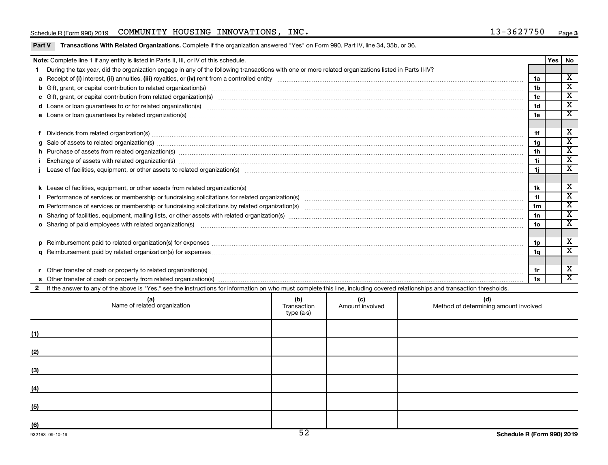## Schedule R (Form 990) 2019 Page COMMUNITY HOUSING INNOVATIONS, INC. 13-3627750

|   | Note: Complete line 1 if any entity is listed in Parts II, III, or IV of this schedule.                                                                                                                                        |                    |                        |                                              |                 | Yes<br><b>No</b>            |
|---|--------------------------------------------------------------------------------------------------------------------------------------------------------------------------------------------------------------------------------|--------------------|------------------------|----------------------------------------------|-----------------|-----------------------------|
|   | During the tax year, did the organization engage in any of the following transactions with one or more related organizations listed in Parts II-IV?                                                                            |                    |                        |                                              |                 |                             |
|   |                                                                                                                                                                                                                                |                    |                        |                                              | 1a              | $\overline{\mathbf{X}}$     |
|   |                                                                                                                                                                                                                                |                    |                        |                                              | 1 <sub>b</sub>  | $\overline{\mathbf{x}}$     |
|   |                                                                                                                                                                                                                                |                    |                        |                                              | 1c              | $\overline{\mathbf{x}}$     |
|   | d Loans or loan guarantees to or for related organization(s) www.communically.com/www.communically.com/www.communically.com/www.communically.com/www.communically.com/www.communically.com/www.communically.com/www.communical |                    |                        |                                              | 1 <sub>d</sub>  | $\overline{\texttt{x}}$     |
|   |                                                                                                                                                                                                                                |                    |                        |                                              | 1e              | $\overline{\mathbf{x}}$     |
|   |                                                                                                                                                                                                                                |                    |                        |                                              |                 |                             |
|   | Dividends from related organization(s) manufactured and contract and contract and contract and contract and contract and contract and contract and contract and contract and contract and contract and contract and contract a |                    |                        |                                              | 1f              | X                           |
| g | Sale of assets to related organization(s) www.communicallycommunicallycommunicallycommunicallycommunicallycommunicallycommunicallycommunicallycommunicallycommunicallycommunicallycommunicallycommunicallycommunicallycommunic |                    |                        |                                              | 1 <sub>g</sub>  | $\overline{\textnormal{x}}$ |
|   | h Purchase of assets from related organization(s) manufactured and content to content the content of assets from related organization(s) manufactured and content of the content of the content of the content of the content  |                    |                        |                                              | 1 <sub>h</sub>  | $\overline{\mathbf{x}}$     |
|   |                                                                                                                                                                                                                                |                    |                        |                                              | 1i              | $\overline{\mathbf{x}}$     |
|   |                                                                                                                                                                                                                                |                    |                        |                                              | 1j.             | $\overline{\mathbf{x}}$     |
|   |                                                                                                                                                                                                                                |                    |                        |                                              |                 |                             |
|   |                                                                                                                                                                                                                                |                    |                        |                                              | 1k              | $\overline{\mathbf{X}}$     |
|   |                                                                                                                                                                                                                                |                    |                        |                                              | 11              | $\overline{\mathbf{x}}$     |
|   |                                                                                                                                                                                                                                |                    |                        |                                              | 1 <sub>m</sub>  | $\overline{\mathbf{x}}$     |
|   |                                                                                                                                                                                                                                |                    |                        |                                              | 1n              | $\overline{\textnormal{x}}$ |
|   | o Sharing of paid employees with related organization(s) manufactured and content to the content of the content of the content of the content of the content of the content of the content of the content of the content of th |                    |                        |                                              | 10 <sub>o</sub> | $\overline{\texttt{x}}$     |
|   |                                                                                                                                                                                                                                |                    |                        |                                              |                 |                             |
|   | Reimbursement paid to related organization(s) for expenses [11111] Research Manuscritics Reimbursement paid to related organization(s) for expenses [11111] [1111] Reimbursem manuscritics Reimbursement paid to related organ |                    |                        |                                              | 1p              | X                           |
| a |                                                                                                                                                                                                                                |                    |                        |                                              | 1a              | $\overline{\mathbf{x}}$     |
|   |                                                                                                                                                                                                                                |                    |                        |                                              |                 |                             |
|   |                                                                                                                                                                                                                                |                    |                        |                                              | 1r              | х                           |
|   |                                                                                                                                                                                                                                |                    |                        |                                              | 1s              | $\overline{\mathbf{x}}$     |
|   | 2 If the answer to any of the above is "Yes," see the instructions for information on who must complete this line, including covered relationships and transaction thresholds.                                                 |                    |                        |                                              |                 |                             |
|   | (a)<br>Name of related organization                                                                                                                                                                                            | (b)<br>Transaction | (c)<br>Amount involved | (d)<br>Method of determining amount involved |                 |                             |

| (a)<br>Name of related organization | (Q)<br>Transaction<br>type (a-s) | (C)<br>Amount involved | (a)<br>Method of determining amount involved |
|-------------------------------------|----------------------------------|------------------------|----------------------------------------------|
| (1)                                 |                                  |                        |                                              |
| (2)                                 |                                  |                        |                                              |
| (3)                                 |                                  |                        |                                              |
| (4)                                 |                                  |                        |                                              |
| (5)                                 |                                  |                        |                                              |
| (6)                                 | $\overline{\phantom{a}}$         |                        |                                              |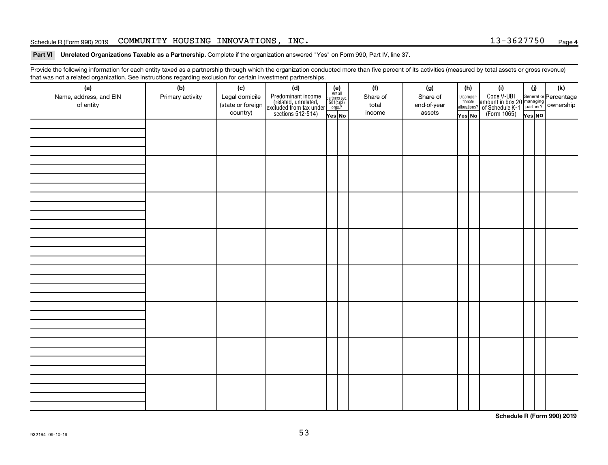## Schedule R (Form 990) 2019 Page COMMUNITY HOUSING INNOVATIONS, INC. 13-3627750

#### Part VI Unrelated Organizations Taxable as a Partnership. Complete if the organization answered "Yes" on Form 990, Part IV, line 37.

Provide the following information for each entity taxed as a partnership through which the organization conducted more than five percent of its activities (measured by total assets or gross revenue) that was not a related organization. See instructions regarding exclusion for certain investment partnerships.

| (a)<br>Name, address, and EIN<br>of entity | - - -<br>(b)<br>Primary activity | (c)<br>Legal domicile<br>(state or foreign<br>country) | - - - - <sub>1</sub> - - 1<br>(d)<br>Predominant income<br>(related, unrelated,<br>excluded from tax under<br>sections 512-514) | (e)<br>Are all<br>partners sec.<br>$\frac{501(c)(3)}{0rgs?}$<br>Yes No | (f)<br>Share of<br>total<br>income | (g)<br>Share of<br>end-of-year<br>assets | (h)<br>Dispropor-<br>tionate<br>allocations?<br>Yes No | (i)<br>Code V-UBI<br>amount in box 20 managing<br>of Schedule K-1<br>(Form 1065)<br>$\overline{Y_{\text{res}}}\overline{NQ}$ | (i)<br>Yes NO | (k) |
|--------------------------------------------|----------------------------------|--------------------------------------------------------|---------------------------------------------------------------------------------------------------------------------------------|------------------------------------------------------------------------|------------------------------------|------------------------------------------|--------------------------------------------------------|------------------------------------------------------------------------------------------------------------------------------|---------------|-----|
|                                            |                                  |                                                        |                                                                                                                                 |                                                                        |                                    |                                          |                                                        |                                                                                                                              |               |     |
|                                            |                                  |                                                        |                                                                                                                                 |                                                                        |                                    |                                          |                                                        |                                                                                                                              |               |     |
|                                            |                                  |                                                        |                                                                                                                                 |                                                                        |                                    |                                          |                                                        |                                                                                                                              |               |     |
|                                            |                                  |                                                        |                                                                                                                                 |                                                                        |                                    |                                          |                                                        |                                                                                                                              |               |     |
|                                            |                                  |                                                        |                                                                                                                                 |                                                                        |                                    |                                          |                                                        |                                                                                                                              |               |     |
|                                            |                                  |                                                        |                                                                                                                                 |                                                                        |                                    |                                          |                                                        |                                                                                                                              |               |     |
|                                            |                                  |                                                        |                                                                                                                                 |                                                                        |                                    |                                          |                                                        |                                                                                                                              |               |     |
|                                            |                                  |                                                        |                                                                                                                                 |                                                                        |                                    |                                          |                                                        |                                                                                                                              |               |     |

**Schedule R (Form 990) 2019**